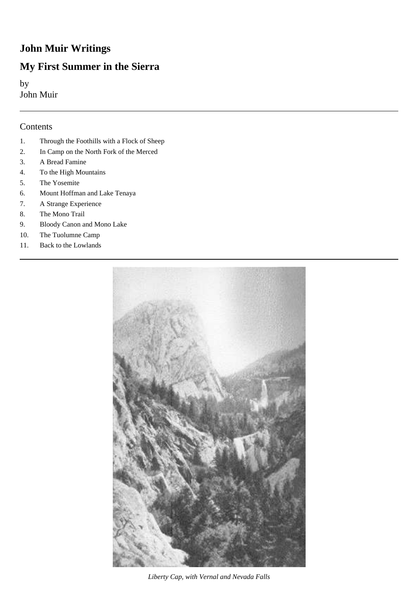# **John Muir Writings**

# **My First Summer in the Sierra**

by John Muir

# Contents

- 1. Through the Foothills with a Flock of Sheep
- 2. In Camp on the North Fork of the Merced
- 3. A Bread Famine
- 4. To the High Mountains
- 5. The Yosemite
- 6. Mount Hoffman and Lake Tenaya
- 7. A Strange Experience
- 8. The Mono Trail
- 9. Bloody Canon and Mono Lake
- 10. The Tuolumne Camp
- 11. Back to the Lowlands



*Liberty Cap, with Vernal and Nevada Falls*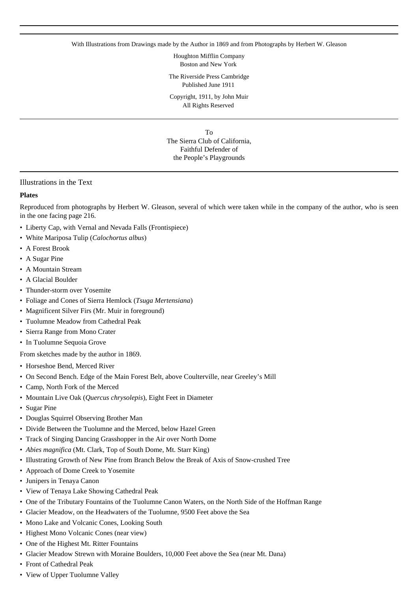With Illustrations from Drawings made by the Author in 1869 and from Photographs by Herbert W. Gleason

Houghton Mifflin Company Boston and New York

The Riverside Press Cambridge Published June 1911

Copyright, 1911, by John Muir All Rights Reserved

To

The Sierra Club of California, Faithful Defender of the People's Playgrounds

Illustrations in the Text

# **Plates**

Reproduced from photographs by Herbert W. Gleason, several of which were taken while in the company of the author, who is seen in the one facing page 216.

- Liberty Cap, with Vernal and Nevada Falls (Frontispiece)
- White Mariposa Tulip (*Calochortus albus*)
- A Forest Brook
- A Sugar Pine
- A Mountain Stream
- A Glacial Boulder
- Thunder-storm over Yosemite
- Foliage and Cones of Sierra Hemlock (*Tsuga Mertensiana*)
- Magnificent Silver Firs (Mr. Muir in foreground)
- Tuolumne Meadow from Cathedral Peak
- Sierra Range from Mono Crater
- In Tuolumne Sequoia Grove

From sketches made by the author in 1869.

- Horseshoe Bend, Merced River
- On Second Bench. Edge of the Main Forest Belt, above Coulterville, near Greeley's Mill
- Camp, North Fork of the Merced
- Mountain Live Oak (*Quercus chrysolepis*), Eight Feet in Diameter
- Sugar Pine
- Douglas Squirrel Observing Brother Man
- Divide Between the Tuolumne and the Merced, below Hazel Green
- Track of Singing Dancing Grasshopper in the Air over North Dome
- *Abies magnifica* (Mt. Clark, Top of South Dome, Mt. Starr King)
- Illustrating Growth of New Pine from Branch Below the Break of Axis of Snow-crushed Tree
- Approach of Dome Creek to Yosemite
- Junipers in Tenaya Canon
- View of Tenaya Lake Showing Cathedral Peak
- One of the Tributary Fountains of the Tuolumne Canon Waters, on the North Side of the Hoffman Range
- Glacier Meadow, on the Headwaters of the Tuolumne, 9500 Feet above the Sea
- Mono Lake and Volcanic Cones, Looking South
- Highest Mono Volcanic Cones (near view)
- One of the Highest Mt. Ritter Fountains
- Glacier Meadow Strewn with Moraine Boulders, 10,000 Feet above the Sea (near Mt. Dana)
- Front of Cathedral Peak
- View of Upper Tuolumne Valley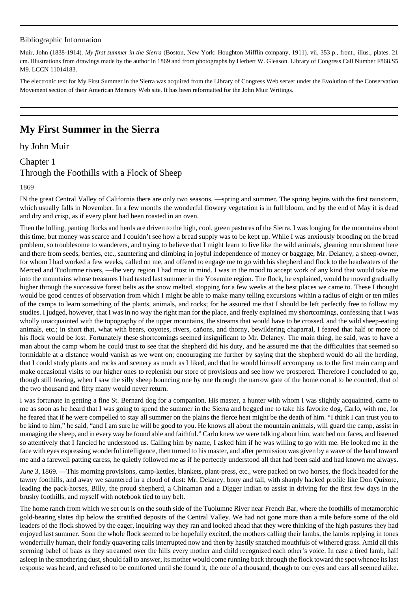# Bibliographic Information

Muir, John (1838-1914). *My first summer in the Sierra* (Boston, New York: Houghton Mifflin company, 1911). vii, 353 p., front., illus., plates. 21 cm. Illustrations from drawings made by the author in 1869 and from photographs by Herbert W. Gleason. Library of Congress Call Number F868.S5 M9. LCCN 11014183.

The electronic text for My First Summer in the Sierra was acquired from the Library of Congress Web server under the Evolution of the Conservation Movement section of their American Memory Web site. It has been reformatted for the John Muir Writings.

# **My First Summer in the Sierra**

by John Muir

Chapter 1 Through the Foothills with a Flock of Sheep

1869

IN the great Central Valley of California there are only two seasons, —spring and summer. The spring begins with the first rainstorm, which usually falls in November. In a few months the wonderful flowery vegetation is in full bloom, and by the end of May it is dead and dry and crisp, as if every plant had been roasted in an oven.

Then the lolling, panting flocks and herds are driven to the high, cool, green pastures of the Sierra. I was longing for the mountains about this time, but money was scarce and I couldn't see how a bread supply was to be kept up. While I was anxiously brooding on the bread problem, so troublesome to wanderers, and trying to believe that I might learn to live like the wild animals, gleaning nourishment here and there from seeds, berries, etc., sauntering and climbing in joyful independence of money or baggage, Mr. Delaney, a sheep-owner, for whom I had worked a few weeks, called on me, and offered to engage me to go with his shepherd and flock to the headwaters of the Merced and Tuolumne rivers, —the very region I had most in mind. I was in the mood to accept work of any kind that would take me into the mountains whose treasures I had tasted last summer in the Yosemite region. The flock, he explained, would be moved gradually higher through the successive forest belts as the snow melted, stopping for a few weeks at the best places we came to. These I thought would be good centres of observation from which I might be able to make many telling excursions within a radius of eight or ten miles of the camps to learn something of the plants, animals, and rocks; for he assured me that I should be left perfectly free to follow my studies. I judged, however, that I was in no way the right man for the place, and freely explained my shortcomings, confessing that I was wholly unacquainted with the topography of the upper mountains, the streams that would have to be crossed, and the wild sheep-eating animals, etc.; in short that, what with bears, coyotes, rivers, cañons, and thorny, bewildering chaparral, I feared that half or more of his flock would be lost. Fortunately these shortcomings seemed insignificant to Mr. Delaney. The main thing, he said, was to have a man about the camp whom he could trust to see that the shepherd did his duty, and he assured me that the difficulties that seemed so formidable at a distance would vanish as we went on; encouraging me further by saying that the shepherd would do all the herding, that I could study plants and rocks and scenery as much as I liked, and that he would himself accompany us to the first main camp and make occasional visits to our higher ones to replenish our store of provisions and see how we prospered. Therefore I concluded to go, though still fearing, when I saw the silly sheep bouncing one by one through the narrow gate of the home corral to be counted, that of the two thousand and fifty many would never return.

I was fortunate in getting a fine St. Bernard dog for a companion. His master, a hunter with whom I was slightly acquainted, came to me as soon as he heard that I was going to spend the summer in the Sierra and begged me to take his favorite dog, Carlo, with me, for he feared that if he were compelled to stay all summer on the plains the fierce heat might be the death of him. "I think I can trust you to be kind to him," he said, "and I am sure he will be good to you. He knows all about the mountain animals, will guard the camp, assist in managing the sheep, and in every way be found able and faithful." Carlo knew we were talking about him, watched our faces, and listened so attentively that I fancied he understood us. Calling him by name, I asked him if he was willing to go with me. He looked me in the face with eyes expressing wonderful intelligence, then turned to his master, and after permission was given by a wave of the hand toward me and a farewell patting caress, he quietly followed me as if he perfectly understood all that had been said and had known me always.

*June* 3, 1869. —This morning provisions, camp-kettles, blankets, plant-press, etc., were packed on two horses, the flock headed for the tawny foothills, and away we sauntered in a cloud of dust: Mr. Delaney, bony and tall, with sharply hacked profile like Don Quixote, leading the pack-horses, Billy, the proud shepherd, a Chinaman and a Digger Indian to assist in driving for the first few days in the brushy foothills, and myself with notebook tied to my belt.

The home ranch from which we set out is on the south side of the Tuolumne River near French Bar, where the foothills of metamorphic gold-bearing slates dip below the stratified deposits of the Central Valley. We had not gone more than a mile before some of the old leaders of the flock showed by the eager, inquiring way they ran and looked ahead that they were thinking of the high pastures they had enjoyed last summer. Soon the whole flock seemed to be hopefully excited, the mothers calling their lambs, the lambs replying in tones wonderfully human, their fondly quavering calls interrupted now and then by hastily snatched mouthfuls of withered grass. Amid all this seeming babel of baas as they streamed over the hills every mother and child recognized each other's voice. In case a tired lamb, half asleep in the smothering dust, should fail to answer, its mother would come running back through the flock toward the spot whence its last response was heard, and refused to be comforted until she found it, the one of a thousand, though to our eyes and ears all seemed alike.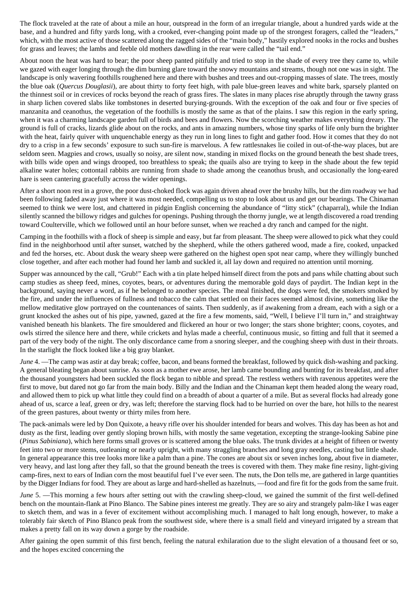The flock traveled at the rate of about a mile an hour, outspread in the form of an irregular triangle, about a hundred yards wide at the base, and a hundred and fifty yards long, with a crooked, ever-changing point made up of the strongest foragers, called the "leaders," which, with the most active of those scattered along the ragged sides of the "main body," hastily explored nooks in the rocks and bushes for grass and leaves; the lambs and feeble old mothers dawdling in the rear were called the "tail end."

About noon the heat was hard to bear; the poor sheep panted pitifully and tried to stop in the shade of every tree they came to, while we gazed with eager longing through the dim burning glare toward the snowy mountains and streams, though not one was in sight. The landscape is only wavering foothills roughened here and there with bushes and trees and out-cropping masses of slate. The trees, mostly the blue oak (*Quercus Douglasii*), are about thirty to forty feet high, with pale blue-green leaves and white bark, sparsely planted on the thinnest soil or in crevices of rocks beyond the reach of grass fires. The slates in many places rise abruptly through the tawny grass in sharp lichen covered slabs like tombstones in deserted burying-grounds. With the exception of the oak and four or five species of manzanita and ceanothus, the vegetation of the foothills is mostly the same as that of the plains. I saw this region in the early spring, when it was a charming landscape garden full of birds and bees and flowers. Now the scorching weather makes everything dreary. The ground is full of cracks, lizards glide about on the rocks, and ants in amazing numbers, whose tiny sparks of life only burn the brighter with the heat, fairly quiver with unquenchable energy as they run in long lines to fight and gather food. How it comes that they do not dry to a crisp in a few seconds' exposure to such sun-fire is marvelous. A few rattlesnakes lie coiled in out-of-the-way places, but are seldom seen. Magpies and crows, usually so noisy, are silent now, standing in mixed flocks on the ground beneath the best shade trees, with bills wide open and wings drooped, too breathless to speak; the quails also are trying to keep in the shade about the few tepid alkaline water holes; cottontail rabbits are running from shade to shade among the ceanothus brush, and occasionally the long-eared hare is seen cantering gracefully across the wider openings.

After a short noon rest in a grove, the poor dust-choked flock was again driven ahead over the brushy hills, but the dim roadway we had been following faded away just where it was most needed, compelling us to stop to look about us and get our bearings. The Chinaman seemed to think we were lost, and chattered in pidgin English concerning the abundance of "litty stick" (chaparral), while the Indian silently scanned the billowy ridges and gulches for openings. Pushing through the thorny jungle, we at length discovered a road trending toward Coulterville, which we followed until an hour before sunset, when we reached a dry ranch and camped for the night.

Camping in the foothills with a flock of sheep is simple and easy, but far from pleasant. The sheep were allowed to pick what they could find in the neighborhood until after sunset, watched by the shepherd, while the others gathered wood, made a fire, cooked, unpacked and fed the horses, etc. About dusk the weary sheep were gathered on the highest open spot near camp, where they willingly bunched close together, and after each mother had found her lamb and suckled it, all lay down and required no attention until morning.

Supper was announced by the call, "Grub!" Each with a tin plate helped himself direct from the pots and pans while chatting about such camp studies as sheep feed, mines, coyotes, bears, or adventures during the memorable gold days of paydirt. The Indian kept in the background, saying never a word, as if he belonged to another species. The meal finished, the dogs were fed, the smokers smoked by the fire, and under the influences of fullness and tobacco the calm that settled on their faces seemed almost divine, something like the mellow meditative glow portrayed on the countenances of saints. Then suddenly, as if awakening from a dream, each with a sigh or a grunt knocked the ashes out of his pipe, yawned, gazed at the fire a few moments, said, "Well, I believe I'll turn in," and straightway vanished beneath his blankets. The fire smouldered and flickered an hour or two longer; the stars shone brighter; coons, coyotes, and owls stirred the silence here and there, while crickets and hylas made a cheerful, continuous music, so fitting and full that it seemed a part of the very body of the night. The only discordance came from a snoring sleeper, and the coughing sheep with dust in their throats. In the starlight the flock looked like a big gray blanket.

*June* 4. —The camp was astir at day break; coffee, bacon, and beans formed the breakfast, followed by quick dish-washing and packing. A general bleating began about sunrise. As soon as a mother ewe arose, her lamb came bounding and bunting for its breakfast, and after the thousand youngsters had been suckled the flock began to nibble and spread. The restless wethers with ravenous appetites were the first to move, but dared not go far from the main body. Billy and the Indian and the Chinaman kept them headed along the weary road, and allowed them to pick up what little they could find on a breadth of about a quarter of a mile. But as several flocks had already gone ahead of us, scarce a leaf, green or dry, was left; therefore the starving flock had to be hurried on over the bare, hot hills to the nearest of the green pastures, about twenty or thirty miles from here.

The pack-animals were led by Don Quixote, a heavy rifle over his shoulder intended for bears and wolves. This day has been as hot and dusty as the first, leading over gently sloping brown hills, with mostly the same vegetation, excepting the strange-looking Sabine pine (*Pinus Sabiniana*), which here forms small groves or is scattered among the blue oaks. The trunk divides at a height of fifteen or twenty feet into two or more stems, outleaning or nearly upright, with many straggling branches and long gray needles, casting but little shade. In general appearance this tree looks more like a palm than a pine. The cones are about six or seven inches long, about five in diameter, very heavy, and last long after they fall, so that the ground beneath the trees is covered with them. They make fine resiny, light-giving camp-fires, next to ears of Indian corn the most beautiful fuel I've ever seen. The nuts, the Don tells me, are gathered in large quantities by the Digger Indians for food. They are about as large and hard-shelled as hazelnuts, —food and fire fit for the gods from the same fruit.

*June* 5. —This morning a few hours after setting out with the crawling sheep-cloud, we gained the summit of the first well-defined bench on the mountain-flank at Pino Blanco. The Sabine pines interest me greatly. They are so airy and strangely palm-like I was eager to sketch them, and was in a fever of excitement without accomplishing much. I managed to halt long enough, however, to make a tolerably fair sketch of Pino Blanco peak from the southwest side, where there is a small field and vineyard irrigated by a stream that makes a pretty fall on its way down a gorge by the roadside.

After gaining the open summit of this first bench, feeling the natural exhilaration due to the slight elevation of a thousand feet or so, and the hopes excited concerning the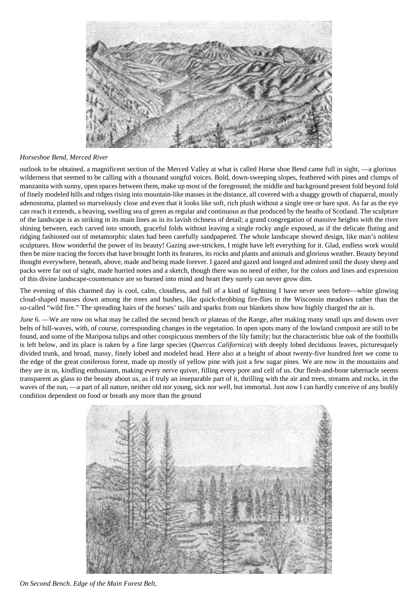

# *Horseshoe Bend, Merced River*

outlook to be obtained, a magnificent section of the Merced Valley at what is called Horse shoe Bend came full in sight, —a glorious wilderness that seemed to be calling with a thousand songful voices. Bold, down-sweeping slopes, feathered with pines and clumps of manzanita with sunny, open spaces between them, make up most of the foreground; the middle and background present fold beyond fold of finely modeled hills and ridges rising into mountain-like masses in the distance, all covered with a shaggy growth of chaparral, mostly adenostoma, planted so marvelously close and even that it looks like soft, rich plush without a single tree or bare spot. As far as the eye can reach it extends, a heaving, swelling sea of green as regular and continuous as that produced by the heaths of Scotland. The sculpture of the landscape is as striking in its main lines as in its lavish richness of detail; a grand congregation of massive heights with the river shining between, each carved into smooth, graceful folds without leaving a single rocky angle exposed, as if the delicate fluting and ridging fashioned out of metamorphic slates had been carefully sandpapered. The whole landscape showed design, like man's noblest sculptures. How wonderful the power of its beauty! Gazing awe-stricken, I might have left everything for it. Glad, endless work would then be mine tracing the forces that have brought forth its features, its rocks and plants and animals and glorious weather. Beauty beyond thought everywhere, beneath, above, made and being made forever. I gazed and gazed and longed and admired until the dusty sheep and packs were far out of sight, made hurried notes and a sketch, though there was no need of either, for the colors and lines and expression of this divine landscape-countenance are so burned into mind and heart they surely can never grow dim.

The evening of this charmed day is cool, calm, cloudless, and full of a kind of lightning I have never seen before—white glowing cloud-shaped masses down among the trees and bushes, like quick-throbbing fire-flies in the Wisconsin meadows rather than the so-called "wild fire." The spreading hairs of the horses' tails and sparks from our blankets show how highly charged the air is.

*June* 6. —We are now on what may be called the second bench or plateau of the Range, after making many small ups and downs over belts of hill-waves, with, of course, corresponding changes in the vegetation. In open spots many of the lowland composit are still to be found, and some of the Mariposa tulips and other conspicuous members of the lily family; but the characteristic blue oak of the foothills is left below, and its place is taken by a fine large species (*Quercus Californica*) with deeply lobed deciduous leaves, picturesquely divided trunk, and broad, massy, finely lobed and modeled head. Here also at a height of about twenty-five hundred feet we come to the edge of the great coniferous forest, made up mostly of yellow pine with just a few sugar pines. We are now in the mountains and they are in us, kindling enthusiasm, making every nerve quiver, filling every pore and cell of us. Our flesh-and-bone tabernacle seems transparent as glass to the beauty about us, as if truly an inseparable part of it, thrilling with the air and trees, streams and rocks, in the waves of the sun, —a part of all nature, neither old nor young, sick nor well, but immortal. Just now I can hardly conceive of any bodily condition dependent on food or breath any more than the ground



*On Second Bench. Edge of the Main Forest Belt,*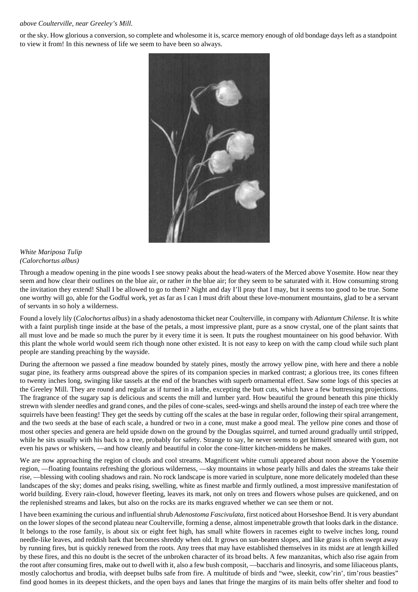#### *above Coulterville, near Greeley's Mill.*

or the sky. How glorious a conversion, so complete and wholesome it is, scarce memory enough of old bondage days left as a standpoint to view it from! In this newness of life we seem to have been so always.



# *White Mariposa Tulip (Calorchortus albus)*

Through a meadow opening in the pine woods I see snowy peaks about the head-waters of the Merced above Yosemite. How near they seem and how clear their outlines on the blue air, or rather *in* the blue air; for they seem to be saturated with it. How consuming strong the invitation they extend! Shall I be allowed to go to them? Night and day I'll pray that I may, but it seems too good to be true. Some one worthy will go, able for the Godful work, yet as far as I can I must drift about these love-monument mountains, glad to be a servant of servants in so holy a wilderness.

Found a lovely lily (*Calochortus albus*) in a shady adenostoma thicket near Coulterville, in company with *Adiantum Chilense*. It is white with a faint purplish tinge inside at the base of the petals, a most impressive plant, pure as a snow crystal, one of the plant saints that all must love and be made so much the purer by it every time it is seen. It puts the roughest mountaineer on his good behavior. With this plant the whole world would seem rich though none other existed. It is not easy to keep on with the camp cloud while such plant people are standing preaching by the wayside.

During the afternoon we passed a fine meadow bounded by stately pines, mostly the arrowy yellow pine, with here and there a noble sugar pine, its feathery arms outspread above the spires of its companion species in marked contrast; a glorious tree, its cones fifteen to twenty inches long, swinging like tassels at the end of the branches with superb ornamental effect. Saw some logs of this species at the Greeley Mill. They are round and regular as if turned in a lathe, excepting the butt cuts, which have a few buttressing projections. The fragrance of the sugary sap is delicious and scents the mill and lumber yard. How beautiful the ground beneath this pine thickly strewn with slender needles and grand cones, and the piles of cone-scales, seed-wings and shells around the instep of each tree where the squirrels have been feasting! They get the seeds by cutting off the scales at the base in regular order, following their spiral arrangement, and the two seeds at the base of each scale, a hundred or two in a cone, must make a good meal. The yellow pine cones and those of most other species and genera are held upside down on the ground by the Douglas squirrel, and turned around gradually until stripped, while he sits usually with his back to a tree, probably for safety. Strange to say, he never seems to get himself smeared with gum, not even his paws or whiskers, —and how cleanly and beautiful in color the cone-litter kitchen-middens he makes.

We are now approaching the region of clouds and cool streams. Magnificent white cumuli appeared about noon above the Yosemite region, —floating fountains refreshing the glorious wilderness, —sky mountains in whose pearly hills and dales the streams take their rise, —blessing with cooling shadows and rain. No rock landscape is more varied in sculpture, none more delicately modeled than these landscapes of the sky; domes and peaks rising, swelling, white as finest marble and firmly outlined, a most impressive manifestation of world building. Every rain-cloud, however fleeting, leaves its mark, not only on trees and flowers whose pulses are quickened, and on the replenished streams and lakes, but also on the rocks are its marks engraved whether we can see them or not.

I have been examining the curious and influential shrub *Adenostoma Fascivulata*, first noticed about Horseshoe Bend. It is very abundant on the lower slopes of the second plateau near Coulterville, forming a dense, almost impenetrable growth that looks dark in the distance. It belongs to the rose family, is about six or eight feet high, has small white flowers in racemes eight to twelve inches long, round needle-like leaves, and reddish bark that becomes shreddy when old. It grows on sun-beaten slopes, and like grass is often swept away by running fires, but is quickly renewed from the roots. Any trees that may have established themselves in its midst are at length killed by these fires, and this no doubt is the secret of the unbroken character of its broad belts. A few manzanitas, which also rise again from the root after consuming fires, make out to dwell with it, also a few bush composit, —baccharis and linosyris, and some liliaceous plants, mostly calochortus and brodia, with deepset bulbs safe from fire. A multitude of birds and "wee, sleekit, cow'rin', tim'rous beasties" find good homes in its deepest thickets, and the open bays and lanes that fringe the margins of its main belts offer shelter and food to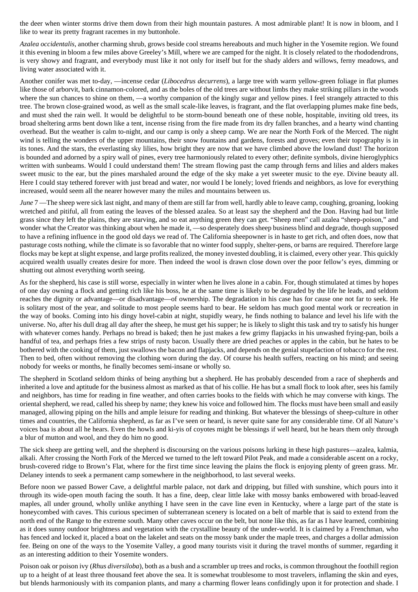the deer when winter storms drive them down from their high mountain pastures. A most admirable plant! It is now in bloom, and I like to wear its pretty fragrant racemes in my buttonhole.

*Azalea occidentalis*, another charming shrub, grows beside cool streams hereabouts and much higher in the Yosemite region. We found it this evening in bloom a few miles above Greeley's Mill, where we are camped for the night. It is closely related to the rhododendrons, is very showy and fragrant, and everybody must like it not only for itself but for the shady alders and willows, ferny meadows, and living water associated with it.

Another conifer was met to-day, —incense cedar (*Libocedrus decurrens*), a large tree with warm yellow-green foliage in flat plumes like those of arborvit, bark cinnamon-colored, and as the boles of the old trees are without limbs they make striking pillars in the woods where the sun chances to shine on them, —a worthy companion of the kingly sugar and yellow pines. I feel strangely attracted to this tree. The brown close-grained wood, as well as the small scale-like leaves, is fragrant, and the flat overlapping plumes make fine beds, and must shed the rain well. It would be delightful to be storm-bound beneath one of these noble, hospitable, inviting old trees, its broad sheltering arms bent down like a tent, incense rising from the fire made from its dry fallen branches, and a hearty wind chanting overhead. But the weather is calm to-night, and our camp is only a sheep camp. We are near the North Fork of the Merced. The night wind is telling the wonders of the upper mountains, their snow fountains and gardens, forests and groves; even their topography is in its tones. And the stars, the everlasting sky lilies, how bright they are now that we have climbed above the lowland dust! The horizon is bounded and adorned by a spiry wall of pines, every tree harmoniously related to every other; definite symbols, divine hieroglyphics written with sunbeams. Would I could understand them! The stream flowing past the camp through ferns and lilies and alders makes sweet music to the ear, but the pines marshaled around the edge of the sky make a yet sweeter music to the eye. Divine beauty all. Here I could stay tethered forever with just bread and water, nor would I be lonely; loved friends and neighbors, as love for everything increased, would seem all the nearer however many the miles and mountains between us.

*June* 7—The sheep were sick last night, and many of them are still far from well, hardly able to leave camp, coughing, groaning, looking wretched and pitiful, all from eating the leaves of the blessed azalea. So at least say the shepherd and the Don. Having had but little grass since they left the plains, they are starving, and so eat anything green they can get. "Sheep men" call azalea "sheep-poison," and wonder what the Creator was thinking about when he made it, —so desperately does sheep business blind and degrade, though supposed to have a refining influence in the good old days we read of. The California sheepowner is in haste to get rich, and often does, now that pasturage costs nothing, while the climate is so favorable that no winter food supply, shelter-pens, or barns are required. Therefore large flocks may be kept at slight expense, and large profits realized, the money invested doubling, it is claimed, every other year. This quickly acquired wealth usually creates desire for more. Then indeed the wool is drawn close down over the poor fellow's eyes, dimming or shutting out almost everything worth seeing.

As for the shepherd, his case is still worse, especially in winter when he lives alone in a cabin. For, though stimulated at times by hopes of one day owning a flock and getting rich like his boss, he at the same time is likely to be degraded by the life he leads, and seldom reaches the dignity or advantage—or disadvantage—of ownership. The degradation in his case has for cause one not far to seek. He is solitary most of the year, and solitude to most people seems hard to bear. He seldom has much good mental work or recreation in the way of books. Coming into his dingy hovel-cabin at night, stupidly weary, he finds nothing to balance and level his life with the universe. No, after his dull drag all day after the sheep, he must get his supper; he is likely to slight this task and try to satisfy his hunger with whatever comes handy. Perhaps no bread is baked; then he just makes a few grimy flapjacks in his unwashed frying-pan, boils a handful of tea, and perhaps fries a few strips of rusty bacon. Usually there are dried peaches or apples in the cabin, but he hates to be bothered with the cooking of them, just swallows the bacon and flapjacks, and depends on the genial stupefaction of tobacco for the rest. Then to bed, often without removing the clothing worn during the day. Of course his health suffers, reacting on his mind; and seeing nobody for weeks or months, he finally becomes semi-insane or wholly so.

The shepherd in Scotland seldom thinks of being anything but a shepherd. He has probably descended from a race of shepherds and inherited a love and aptitude for the business almost as marked as that of his collie. He has but a small flock to look after, sees his family and neighbors, has time for reading in fine weather, and often carries books to the fields with which he may converse with kings. The oriental shepherd, we read, called his sheep by name; they knew his voice and followed him. The flocks must have been small and easily managed, allowing piping on the hills and ample leisure for reading and thinking. But whatever the blessings of sheep-culture in other times and countries, the California shepherd, as far as I've seen or heard, is never quite sane for any considerable time. Of all Nature's voices baa is about all he hears. Even the howls and ki-yis of coyotes might be blessings if well heard, but he hears them only through a blur of mutton and wool, and they do him no good.

The sick sheep are getting well, and the shepherd is discoursing on the various poisons lurking in these high pastures—azalea, kalmia, alkali. After crossing the North Fork of the Merced we turned to the left toward Pilot Peak, and made a considerable ascent on a rocky, brush-covered ridge to Brown's Flat, where for the first time since leaving the plains the flock is enjoying plenty of green grass. Mr. Delaney intends to seek a permanent camp somewhere in the neighborhood, to last several weeks.

Before noon we passed Bower Cave, a delightful marble palace, not dark and dripping, but filled with sunshine, which pours into it through its wide-open mouth facing the south. It has a fine, deep, clear little lake with mossy banks embowered with broad-leaved maples, all under ground, wholly unlike anything I have seen in the cave line even in Kentucky, where a large part of the state is honeycombed with caves. This curious specimen of subterranean scenery is located on a belt of marble that is said to extend from the north end of the Range to the extreme south. Many other caves occur on the belt, but none like this, as far as I have learned, combining as it does sunny outdoor brightness and vegetation with the crystalline beauty of the under-world. It is claimed by a Frenchman, who has fenced and locked it, placed a boat on the lakelet and seats on the mossy bank under the maple trees, and charges a dollar admission fee. Being on one of the ways to the Yosemite Valley, a good many tourists visit it during the travel months of summer, regarding it as an interesting addition to their Yosemite wonders.

Poison oak or poison ivy (*Rhus diversiloba*), both as a bush and a scrambler up trees and rocks, is common throughout the foothill region up to a height of at least three thousand feet above the sea. It is somewhat troublesome to most travelers, inflaming the skin and eyes, but blends harmoniously with its companion plants, and many a charming flower leans confidingly upon it for protection and shade. I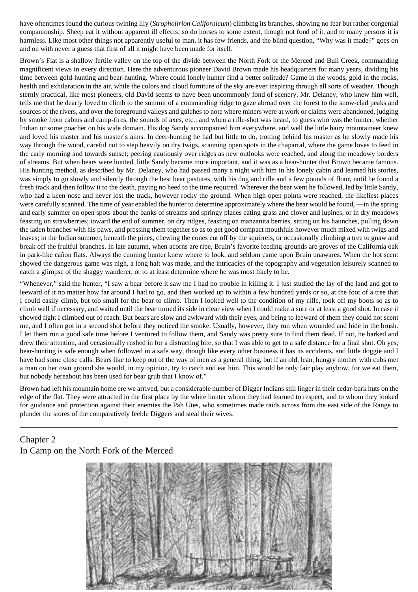have oftentimes found the curious twining lily (*Stropholirion Californicum*) climbing its branches, showing no fear but rather congenial companionship. Sheep eat it without apparent ill effects; so do horses to some extent, though not fond of it, and to many persons it is harmless. Like most other things not apparently useful to man, it has few friends, and the blind question, "Why was it made?" goes on and on with never a guess that first of all it might have been made for itself.

Brown's Flat is a shallow fertile valley on the top of the divide between the North Fork of the Merced and Bull Creek, commanding magnificent views in every direction. Here the adventurous pioneer David Brown made his headquarters for many years, dividing his time between gold-hunting and bear-hunting. Where could lonely hunter find a better solitude? Game in the woods, gold in the rocks, health and exhilaration in the air, while the colors and cloud furniture of the sky are ever inspiring through all sorts of weather. Though sternly practical, like most pioneers, old David seems to have been uncommonly fond of scenery. Mr. Delaney, who knew him well, tells me that he dearly loved to climb to the summit of a commanding ridge to gaze abroad over the forest to the snow-clad peaks and sources of the rivers, and over the foreground valleys and gulches to note where miners were at work or claims were abandoned, judging by smoke from cabins and camp-fires, the sounds of axes, etc.; and when a rifle-shot was heard, to guess who was the hunter, whether Indian or some poacher on his wide domain. His dog Sandy accompanied him everywhere, and well the little hairy mountaineer knew and loved his master and his master's aims. In deer-hunting he had but little to do, trotting behind his master as he slowly made his way through the wood, careful not to step heavily on dry twigs, scanning open spots in the chaparral, where the game loves to feed in the early morning and towards sunset; peering cautiously over ridges as new outlooks were reached, and along the meadowy borders of streams. But when bears were hunted, little Sandy became more important, and it was as a bear-hunter that Brown became famous. His hunting method, as described by Mr. Delaney, who had passed many a night with him in his lonely cabin and learned his stories, was simply to go slowly and silently through the best bear pastures, with his dog and rifle and a few pounds of flour, until he found a fresh track and then follow it to the death, paying no heed to the time required. Wherever the bear went he followed, led by little Sandy, who had a keen nose and never lost the track, however rocky the ground. When high open points were reached, the likeliest places were carefully scanned. The time of year enabled the hunter to determine approximately where the bear would be found, —in the spring and early summer on open spots about the banks of streams and springy places eating grass and clover and lupines, or in dry meadows feasting on strawberries; toward the end of summer, on dry ridges, feasting on manzanita berries, sitting on his haunches, pulling down the laden branches with his paws, and pressing them together so as to get good compact mouthfuls however much mixed with twigs and leaves; in the Indian summer, beneath the pines, chewing the cones cut off by the squirrels, or occasionally climbing a tree to gnaw and break off the fruitful branches. In late autumn, when acorns are ripe, Bruin's favorite feeding-grounds are groves of the California oak in park-like cañon flats. Always the cunning hunter knew where to look, and seldom came upon Bruin unawares. When the hot scent showed the dangerous game was nigh, a long halt was made, and the intricacies of the topography and vegetation leisurely scanned to catch a glimpse of the shaggy wanderer, or to at least determine where he was most likely to be.

"Whenever," said the hunter, "I saw a bear before it saw me I had no trouble in killing it. I just studied the lay of the land and got to leeward of it no matter how far around I had to go, and then worked up to within a few hundred yards or so, at the foot of a tree that I could easily climb, but too small for the bear to climb. Then I looked well to the condition of my rifle, took off my boots so as to climb well if necessary, and waited until the bear turned its side in clear view when I could make a sure or at least a good shot. In case it showed fight I climbed out of reach. But bears are slow and awkward with their eyes, and being to leeward of them they could not scent me, and I often got in a second shot before they noticed the smoke. Usually, however, they run when wounded and hide in the brush. I let them run a good safe time before I ventured to follow them, and Sandy was pretty sure to find them dead. If not, he barked and drew their attention, and occasionally rushed in for a distracting bite, so that I was able to get to a safe distance for a final shot. Oh yes, bear-hunting is safe enough when followed in a safe way, though like every other business it has its accidents, and little doggie and I have had some close calls. Bears like to keep out of the way of men as a general thing, but if an old, lean, hungry mother with cubs met a man on her own ground she would, in my opinion, try to catch and eat him. This would be only fair play anyhow, for we eat them, but nobody hereabout has been used for bear grub that I know of."

Brown had left his mountain home ere we arrived, but a considerable number of Digger Indians still linger in their cedar-bark huts on the edge of the flat. They were attracted in the first place by the white hunter whom they had learned to respect, and to whom they looked for guidance and protection against their enemies the Pah Utes, who sometimes made raids across from the east side of the Range to plunder the stores of the comparatively feeble Diggers and steal their wives.

# Chapter 2 In Camp on the North Fork of the Merced

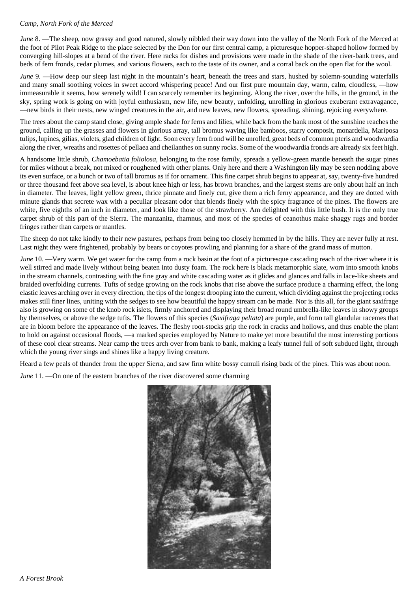# *Camp, North Fork of the Merced*

*June* 8. —The sheep, now grassy and good natured, slowly nibbled their way down into the valley of the North Fork of the Merced at the foot of Pilot Peak Ridge to the place selected by the Don for our first central camp, a picturesque hopper-shaped hollow formed by converging hill-slopes at a bend of the river. Here racks for dishes and provisions were made in the shade of the river-bank trees, and beds of fern fronds, cedar plumes, and various flowers, each to the taste of its owner, and a corral back on the open flat for the wool.

*June* 9. —How deep our sleep last night in the mountain's heart, beneath the trees and stars, hushed by solemn-sounding waterfalls and many small soothing voices in sweet accord whispering peace! And our first pure mountain day, warm, calm, cloudless, —how immeasurable it seems, how serenely wild! I can scarcely remember its beginning. Along the river, over the hills, in the ground, in the sky, spring work is going on with joyful enthusiasm, new life, new beauty, unfolding, unrolling in glorious exuberant extravagance, —new birds in their nests, new winged creatures in the air, and new leaves, new flowers, spreading, shining, rejoicing everywhere.

The trees about the camp stand close, giving ample shade for ferns and lilies, while back from the bank most of the sunshine reaches the ground, calling up the grasses and flowers in glorious array, tall bromus waving like bamboos, starry composit, monardella, Mariposa tulips, lupines, gilias, violets, glad children of light. Soon every fern frond will be unrolled, great beds of common pteris and woodwardia along the river, wreaths and rosettes of pellaea and cheilanthes on sunny rocks. Some of the woodwardia fronds are already six feet high.

A handsome little shrub, *Chamoebatia foliolosa*, belonging to the rose family, spreads a yellow-green mantle beneath the sugar pines for miles without a break, not mixed or roughened with other plants. Only here and there a Washington lily may be seen nodding above its even surface, or a bunch or two of tall bromus as if for ornament. This fine carpet shrub begins to appear at, say, twenty-five hundred or three thousand feet above sea level, is about knee high or less, has brown branches, and the largest stems are only about half an inch in diameter. The leaves, light yellow green, thrice pinnate and finely cut, give them a rich ferny appearance, and they are dotted with minute glands that secrete wax with a peculiar pleasant odor that blends finely with the spicy fragrance of the pines. The flowers are white, five eighths of an inch in diameter, and look like those of the strawberry. Am delighted with this little bush. It is the only true carpet shrub of this part of the Sierra. The manzanita, rhamnus, and most of the species of ceanothus make shaggy rugs and border fringes rather than carpets or mantles.

The sheep do not take kindly to their new pastures, perhaps from being too closely hemmed in by the hills. They are never fully at rest. Last night they were frightened, probably by bears or coyotes prowling and planning for a share of the grand mass of mutton.

*June* 10. —Very warm. We get water for the camp from a rock basin at the foot of a picturesque cascading reach of the river where it is well stirred and made lively without being beaten into dusty foam. The rock here is black metamorphic slate, worn into smooth knobs in the stream channels, contrasting with the fine gray and white cascading water as it glides and glances and falls in lace-like sheets and braided overfolding currents. Tufts of sedge growing on the rock knobs that rise above the surface produce a charming effect, the long elastic leaves arching over in every direction, the tips of the longest drooping into the current, which dividing against the projecting rocks makes still finer lines, uniting with the sedges to see how beautiful the happy stream can be made. Nor is this all, for the giant saxifrage also is growing on some of the knob rock islets, firmly anchored and displaying their broad round umbrella-like leaves in showy groups by themselves, or above the sedge tufts. The flowers of this species (*Saxifraga peltata*) are purple, and form tall glandular racemes that are in bloom before the appearance of the leaves. The fleshy root-stocks grip the rock in cracks and hollows, and thus enable the plant to hold on against occasional floods, —a marked species employed by Nature to make yet more beautiful the most interesting portions of these cool clear streams. Near camp the trees arch over from bank to bank, making a leafy tunnel full of soft subdued light, through which the young river sings and shines like a happy living creature.

Heard a few peals of thunder from the upper Sierra, and saw firm white bossy cumuli rising back of the pines. This was about noon.

*June* 11. — On one of the eastern branches of the river discovered some charming

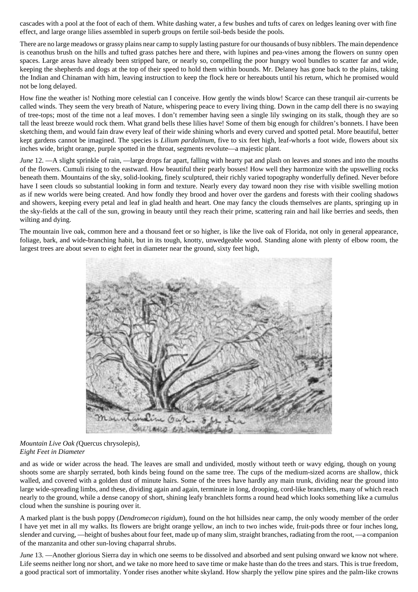cascades with a pool at the foot of each of them. White dashing water, a few bushes and tufts of carex on ledges leaning over with fine effect, and large orange lilies assembled in superb groups on fertile soil-beds beside the pools.

There are no large meadows or grassy plains near camp to supply lasting pasture for our thousands of busy nibblers. The main dependence is ceanothus brush on the hills and tufted grass patches here and there, with lupines and pea-vines among the flowers on sunny open spaces. Large areas have already been stripped bare, or nearly so, compelling the poor hungry wool bundles to scatter far and wide, keeping the shepherds and dogs at the top of their speed to hold them within bounds. Mr. Delaney has gone back to the plains, taking the Indian and Chinaman with him, leaving instruction to keep the flock here or hereabouts until his return, which he promised would not be long delayed.

How fine the weather is! Nothing more celestial can I conceive. How gently the winds blow! Scarce can these tranquil air-currents be called winds. They seem the very breath of Nature, whispering peace to every living thing. Down in the camp dell there is no swaying of tree-tops; most of the time not a leaf moves. I don't remember having seen a single lily swinging on its stalk, though they are so tall the least breeze would rock them. What grand bells these lilies have! Some of them big enough for children's bonnets. I have been sketching them, and would fain draw every leaf of their wide shining whorls and every curved and spotted petal. More beautiful, better kept gardens cannot be imagined. The species is *Lilium pardalinum*, five to six feet high, leaf-whorls a foot wide, flowers about six inches wide, bright orange, purple spotted in the throat, segments revolute—a majestic plant.

*June* 12. —A slight sprinkle of rain, —large drops far apart, falling with hearty pat and plash on leaves and stones and into the mouths of the flowers. Cumuli rising to the eastward. How beautiful their pearly bosses! How well they harmonize with the upswelling rocks beneath them. Mountains of the sky, solid-looking, finely sculptured, their richly varied topography wonderfully defined. Never before have I seen clouds so substantial looking in form and texture. Nearly every day toward noon they rise with visible swelling motion as if new worlds were being created. And how fondly they brood and hover over the gardens and forests with their cooling shadows and showers, keeping every petal and leaf in glad health and heart. One may fancy the clouds themselves are plants, springing up in the sky-fields at the call of the sun, growing in beauty until they reach their prime, scattering rain and hail like berries and seeds, then wilting and dying.

The mountain live oak, common here and a thousand feet or so higher, is like the live oak of Florida, not only in general appearance, foliage, bark, and wide-branching habit, but in its tough, knotty, unwedgeable wood. Standing alone with plenty of elbow room, the largest trees are about seven to eight feet in diameter near the ground, sixty feet high,



# *Mountain Live Oak (*Quercus chrysolepis*), Eight Feet in Diameter*

and as wide or wider across the head. The leaves are small and undivided, mostly without teeth or wavy edging, though on young shoots some are sharply serrated, both kinds being found on the same tree. The cups of the medium-sized acorns are shallow, thick walled, and covered with a golden dust of minute hairs. Some of the trees have hardly any main trunk, dividing near the ground into large wide-spreading limbs, and these, dividing again and again, terminate in long, drooping, cord-like branchlets, many of which reach nearly to the ground, while a dense canopy of short, shining leafy branchlets forms a round head which looks something like a cumulus cloud when the sunshine is pouring over it.

A marked plant is the bush poppy (*Dendromecon rigidum*), found on the hot hillsides near camp, the only woody member of the order I have yet met in all my walks. Its flowers are bright orange yellow, an inch to two inches wide, fruit-pods three or four inches long, slender and curving, —height of bushes about four feet, made up of many slim, straight branches, radiating from the root, —a companion of the manzanita and other sun-loving chaparral shrubs.

*June* 13. —Another glorious Sierra day in which one seems to be dissolved and absorbed and sent pulsing onward we know not where. Life seems neither long nor short, and we take no more heed to save time or make haste than do the trees and stars. This is true freedom, a good practical sort of immortality. Yonder rises another white skyland. How sharply the yellow pine spires and the palm-like crowns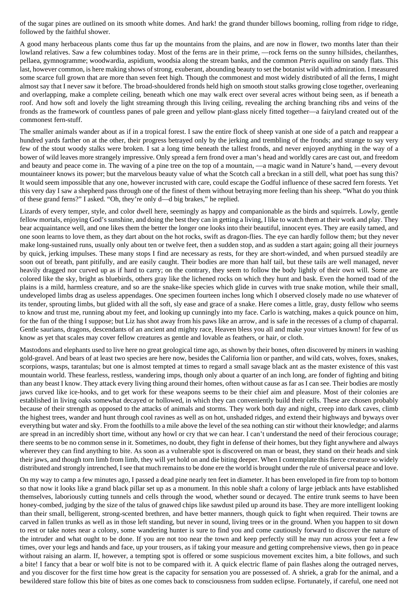of the sugar pines are outlined on its smooth white domes. And hark! the grand thunder billows booming, rolling from ridge to ridge, followed by the faithful shower.

A good many herbaceous plants come thus far up the mountains from the plains, and are now in flower, two months later than their lowland relatives. Saw a few columbines today. Most of the ferns are in their prime, —rock ferns on the sunny hillsides, cheilanthes, pellaea, gymnogramme; woodwardia, aspidium, woodsia along the stream banks, and the common *Pteris aquilina* on sandy flats. This last, however common, is here making shows of strong, exuberant, abounding beauty to set the botanist wild with admiration. I measured some scarce full grown that are more than seven feet high. Though the commonest and most widely distributed of all the ferns, I might almost say that I never saw it before. The broad-shouldered fronds held high on smooth stout stalks growing close together, overleaning and overlapping, make a complete ceiling, beneath which one may walk erect over several acres without being seen, as if beneath a roof. And how soft and lovely the light streaming through this living ceiling, revealing the arching branching ribs and veins of the fronds as the framework of countless panes of pale green and yellow plant-glass nicely fitted together—a fairyland created out of the commonest fern-stuff.

The smaller animals wander about as if in a tropical forest. I saw the entire flock of sheep vanish at one side of a patch and reappear a hundred yards farther on at the other, their progress betrayed only by the jerking and trembling of the fronds; and strange to say very few of the stout woody stalks were broken. I sat a long time beneath the tallest fronds, and never enjoyed anything in the way of a bower of wild leaves more strangely impressive. Only spread a fern frond over a man's head and worldly cares are cast out, and freedom and beauty and peace come in. The waving of a pine tree on the top of a mountain, —a magic wand in Nature's hand, —every devout mountaineer knows its power; but the marvelous beauty value of what the Scotch call a breckan in a still dell, what poet has sung this? It would seem impossible that any one, however incrusted with care, could escape the Godful influence of these sacred fern forests. Yet this very day I saw a shepherd pass through one of the finest of them without betraying more feeling than his sheep. "What do you think of these grand ferns?" I asked. "Oh, they're only d—d big brakes," he replied.

Lizards of every temper, style, and color dwell here, seemingly as happy and companionable as the birds and squirrels. Lowly, gentle fellow mortals, enjoying God's sunshine, and doing the best they can in getting a living, I like to watch them at their work and play. They bear acquaintance well, and one likes them the better the longer one looks into their beautiful, innocent eyes. They are easily tamed, and one soon learns to love them, as they dart about on the hot rocks, swift as dragon-flies. The eye can hardly follow them; but they never make long-sustained runs, usually only about ten or twelve feet, then a sudden stop, and as sudden a start again; going all their journeys by quick, jerking impulses. These many stops I find are necessary as rests, for they are short-winded, and when pursued steadily are soon out of breath, pant pitifully, and are easily caught. Their bodies are more than half tail, but these tails are well managed, never heavily dragged nor curved up as if hard to carry; on the contrary, they seem to follow the body lightly of their own will. Some are colored like the sky, bright as bluebirds, others gray like the lichened rocks on which they hunt and bask. Even the horned toad of the plains is a mild, harmless creature, and so are the snake-like species which glide in curves with true snake motion, while their small, undeveloped limbs drag as useless appendages. One specimen fourteen inches long which I observed closely made no use whatever of its tender, sprouting limbs, but glided with all the soft, sly ease and grace of a snake. Here comes a little, gray, dusty fellow who seems to know and trust me, running about my feet, and looking up cunningly into my face. Carlo is watching, makes a quick pounce on him, for the fun of the thing I suppose; but Liz has shot away from his paws like an arrow, and is safe in the recesses of a clump of chaparral. Gentle saurians, dragons, descendants of an ancient and mighty race, Heaven bless you all and make your virtues known! for few of us know as yet that scales may cover fellow creatures as gentle and lovable as feathers, or hair, or cloth.

Mastodons and elephants used to live here no great geological time ago, as shown by their bones, often discovered by miners in washing gold-gravel. And bears of at least two species are here now, besides the California lion or panther, and wild cats, wolves, foxes, snakes, scorpions, wasps, tarantulas; but one is almost tempted at times to regard a small savage black ant as the master existence of this vast mountain world. These fearless, restless, wandering imps, though only about a quarter of an inch long, are fonder of fighting and biting than any beast I know. They attack every living thing around their homes, often without cause as far as I can see. Their bodies are mostly jaws curved like ice-hooks, and to get work for these weapons seems to be their chief aim and pleasure. Most of their colonies are established in living oaks somewhat decayed or hollowed, in which they can conveniently build their cells. These are chosen probably because of their strength as opposed to the attacks of animals and storms. They work both day and night, creep into dark caves, climb the highest trees, wander and hunt through cool ravines as well as on hot, unshaded ridges, and extend their highways and byways over everything but water and sky. From the foothills to a mile above the level of the sea nothing can stir without their knowledge; and alarms are spread in an incredibly short time, without any howl or cry that we can hear. I can't understand the need of their ferocious courage; there seems to be no common sense in it. Sometimes, no doubt, they fight in defense of their homes, but they fight anywhere and always wherever they can find anything to bite. As soon as a vulnerable spot is discovered on man or beast, they stand on their heads and sink their jaws, and though torn limb from limb, they will yet hold on and die biting deeper. When I contemplate this fierce creature so widely distributed and strongly intrenched, I see that much remains to be done ere the world is brought under the rule of universal peace and love.

On my way to camp a few minutes ago, I passed a dead pine nearly ten feet in diameter. It has been enveloped in fire from top to bottom so that now it looks like a grand black pillar set up as a monument. In this noble shaft a colony of large jetblack ants have established themselves, laboriously cutting tunnels and cells through the wood, whether sound or decayed. The entire trunk seems to have been honey-combed, judging by the size of the talus of gnawed chips like sawdust piled up around its base. They are more intelligent looking than their small, belligerent, strong-scented brethren, and have better manners, though quick to fight when required. Their towns are carved in fallen trunks as well as in those left standing, but never in sound, living trees or in the ground. When you happen to sit down to rest or take notes near a colony, some wandering hunter is sure to find you and come cautiously forward to discover the nature of the intruder and what ought to be done. If you are not too near the town and keep perfectly still he may run across your feet a few times, over your legs and hands and face, up your trousers, as if taking your measure and getting comprehensive views, then go in peace without raising an alarm. If, however, a tempting spot is offered or some suspicious movement excites him, a bite follows, and such a bite! I fancy that a bear or wolf bite is not to be compared with it. A quick electric flame of pain flashes along the outraged nerves, and you discover for the first time how great is the capacity for sensation you are possessed of. A shriek, a grab for the animal, and a bewildered stare follow this bite of bites as one comes back to consciousness from sudden eclipse. Fortunately, if careful, one need not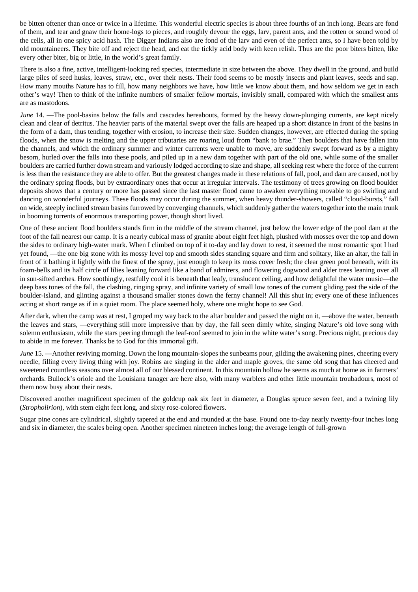be bitten oftener than once or twice in a lifetime. This wonderful electric species is about three fourths of an inch long. Bears are fond of them, and tear and gnaw their home-logs to pieces, and roughly devour the eggs, larv, parent ants, and the rotten or sound wood of the cells, all in one spicy acid hash. The Digger Indians also are fond of the larv and even of the perfect ants, so I have been told by old mountaineers. They bite off and reject the head, and eat the tickly acid body with keen relish. Thus are the poor biters bitten, like every other biter, big or little, in the world's great family.

There is also a fine, active, intelligent-looking red species, intermediate in size between the above. They dwell in the ground, and build large piles of seed husks, leaves, straw, etc., over their nests. Their food seems to be mostly insects and plant leaves, seeds and sap. How many mouths Nature has to fill, how many neighbors we have, how little we know about them, and how seldom we get in each other's way! Then to think of the infinite numbers of smaller fellow mortals, invisibly small, compared with which the smallest ants are as mastodons.

*June* 14. —The pool-basins below the falls and cascades hereabouts, formed by the heavy down-plunging currents, are kept nicely clean and clear of detritus. The heavier parts of the material swept over the falls are heaped up a short distance in front of the basins in the form of a dam, thus tending, together with erosion, to increase their size. Sudden changes, however, are effected during the spring floods, when the snow is melting and the upper tributaries are roaring loud from "bank to brae." Then boulders that have fallen into the channels, and which the ordinary summer and winter currents were unable to move, are suddenly swept forward as by a mighty besom, hurled over the falls into these pools, and piled up in a new dam together with part of the old one, while some of the smaller boulders are carried further down stream and variously lodged according to size and shape, all seeking rest where the force of the current is less than the resistance they are able to offer. But the greatest changes made in these relations of fall, pool, and dam are caused, not by the ordinary spring floods, but by extraordinary ones that occur at irregular intervals. The testimony of trees growing on flood boulder deposits shows that a century or more has passed since the last master flood came to awaken everything movable to go swirling and dancing on wonderful journeys. These floods may occur during the summer, when heavy thunder-showers, called "cloud-bursts," fall on wide, steeply inclined stream basins furrowed by converging channels, which suddenly gather the waters together into the main trunk in booming torrents of enormous transporting power, though short lived.

One of these ancient flood boulders stands firm in the middle of the stream channel, just below the lower edge of the pool dam at the foot of the fall nearest our camp. It is a nearly cubical mass of granite about eight feet high, plushed with mosses over the top and down the sides to ordinary high-water mark. When I climbed on top of it to-day and lay down to rest, it seemed the most romantic spot I had yet found, —the one big stone with its mossy level top and smooth sides standing square and firm and solitary, like an altar, the fall in front of it bathing it lightly with the finest of the spray, just enough to keep its moss cover fresh; the clear green pool beneath, with its foam-bells and its half circle of lilies leaning forward like a band of admirers, and flowering dogwood and alder trees leaning over all in sun-sifted arches. How soothingly, restfully cool it is beneath that leafy, translucent ceiling, and how delightful the water music—the deep bass tones of the fall, the clashing, ringing spray, and infinite variety of small low tones of the current gliding past the side of the boulder-island, and glinting against a thousand smaller stones down the ferny channel! All this shut in; every one of these influences acting at short range as if in a quiet room. The place seemed holy, where one might hope to see God.

After dark, when the camp was at rest, I groped my way back to the altar boulder and passed the night on it, —above the water, beneath the leaves and stars, —everything still more impressive than by day, the fall seen dimly white, singing Nature's old love song with solemn enthusiasm, while the stars peering through the leaf-roof seemed to join in the white water's song. Precious night, precious day to abide in me forever. Thanks be to God for this immortal gift.

*June* 15. —Another reviving morning. Down the long mountain-slopes the sunbeams pour, gilding the awakening pines, cheering every needle, filling every living thing with joy. Robins are singing in the alder and maple groves, the same old song that has cheered and sweetened countless seasons over almost all of our blessed continent. In this mountain hollow he seems as much at home as in farmers' orchards. Bullock's oriole and the Louisiana tanager are here also, with many warblers and other little mountain troubadours, most of them now busy about their nests.

Discovered another magnificent specimen of the goldcup oak six feet in diameter, a Douglas spruce seven feet, and a twining lily (*Stropholirion*), with stem eight feet long, and sixty rose-colored flowers.

Sugar pine cones are cylindrical, slightly tapered at the end and rounded at the base. Found one to-day nearly twenty-four inches long and six in diameter, the scales being open. Another specimen nineteen inches long; the average length of full-grown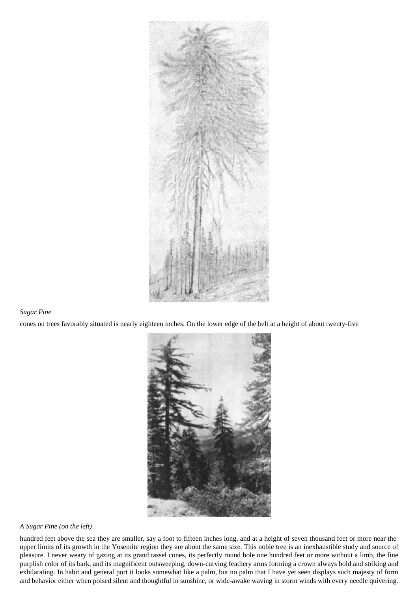

## *Sugar Pine*

cones on trees favorably situated is nearly eighteen inches. On the lower edge of the belt at a height of about twenty-five



## *A Sugar Pine (on the left)*

hundred feet above the sea they are smaller, say a foot to fifteen inches long, and at a height of seven thousand feet or more near the upper limits of its growth in the Yosemite region they are about the same size. This noble tree is an inexhaustible study and source of pleasure. I never weary of gazing at its grand tassel cones, its perfectly round bole one hundred feet or more without a limb, the fine purplish color of its bark, and its magnificent outsweeping, down-curving feathery arms forming a crown always bold and striking and exhilarating. In habit and general port it looks somewhat like a palm, but no palm that I have yet seen displays such majesty of form and behavior either when poised silent and thoughtful in sunshine, or wide-awake waving in storm winds with every needle quivering.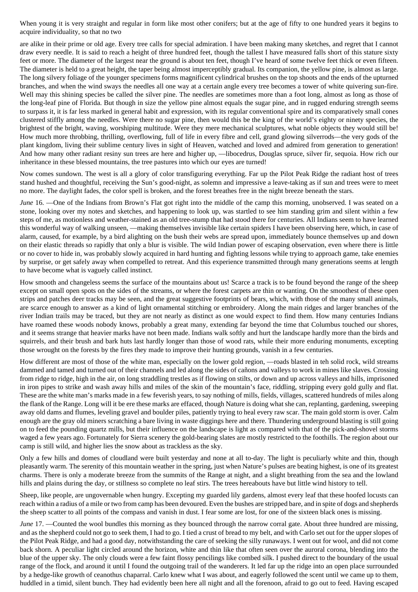When young it is very straight and regular in form like most other conifers; but at the age of fifty to one hundred years it begins to acquire individuality, so that no two

are alike in their prime or old age. Every tree calls for special admiration. I have been making many sketches, and regret that I cannot draw every needle. It is said to reach a height of three hundred feet, though the tallest I have measured falls short of this stature sixty feet or more. The diameter of the largest near the ground is about ten feet, though I've heard of some twelve feet thick or even fifteen. The diameter is held to a great height, the taper being almost imperceptibly gradual. Its companion, the yellow pine, is almost as large. The long silvery foliage of the younger specimens forms magnificent cylindrical brushes on the top shoots and the ends of the upturned branches, and when the wind sways the needles all one way at a certain angle every tree becomes a tower of white quivering sun-fire. Well may this shining species be called the silver pine. The needles are sometimes more than a foot long, almost as long as those of the long-leaf pine of Florida. But though in size the yellow pine almost equals the sugar pine, and in rugged enduring strength seems to surpass it, it is far less marked in general habit and expression, with its regular conventional spire and its comparatively small cones clustered stiffly among the needles. Were there no sugar pine, then would this be the king of the world's eighty or ninety species, the brightest of the bright, waving, worshiping multitude. Were they mere mechanical sculptures, what noble objects they would still be! How much more throbbing, thrilling, overflowing, full of life in every fibre and cell, grand glowing silverrods—the very gods of the plant kingdom, living their sublime century lives in sight of Heaven, watched and loved and admired from generation to generation! And how many other radiant resiny sun trees are here and higher up, —libocedrus, Douglas spruce, silver fir, sequoia. How rich our inheritance in these blessed mountains, the tree pastures into which our eyes are turned!

Now comes sundown. The west is all a glory of color transfiguring everything. Far up the Pilot Peak Ridge the radiant host of trees stand hushed and thoughtful, receiving the Sun's good-night, as solemn and impressive a leave-taking as if sun and trees were to meet no more. The daylight fades, the color spell is broken, and the forest breathes free in the night breeze beneath the stars.

*June* 16. —One of the Indians from Brown's Flat got right into the middle of the camp this morning, unobserved. I was seated on a stone, looking over my notes and sketches, and happening to look up, was startled to see him standing grim and silent within a few steps of me, as motionless and weather-stained as an old tree-stump that had stood there for centuries. All Indians seem to have learned this wonderful way of walking unseen, —making themselves invisible like certain spiders I have been observing here, which, in case of alarm, caused, for example, by a bird alighting on the bush their webs are spread upon, immediately bounce themselves up and down on their elastic threads so rapidly that only a blur is visible. The wild Indian power of escaping observation, even where there is little or no cover to hide in, was probably slowly acquired in hard hunting and fighting lessons while trying to approach game, take enemies by surprise, or get safely away when compelled to retreat. And this experience transmitted through many generations seems at length to have become what is vaguely called instinct.

How smooth and changeless seems the surface of the mountains about us! Scarce a track is to be found beyond the range of the sheep except on small open spots on the sides of the streams, or where the forest carpets are thin or wanting. On the smoothest of these open strips and patches deer tracks may be seen, and the great suggestive footprints of bears, which, with those of the many small animals, are scarce enough to answer as a kind of light ornamental stitching or embroidery. Along the main ridges and larger branches of the river Indian trails may be traced, but they are not nearly as distinct as one would expect to find them. How many centuries Indians have roamed these woods nobody knows, probably a great many, extending far beyond the time that Columbus touched our shores, and it seems strange that heavier marks have not been made. Indians walk softly and hurt the landscape hardly more than the birds and squirrels, and their brush and bark huts last hardly longer than those of wood rats, while their more enduring monuments, excepting those wrought on the forests by the fires they made to improve their hunting grounds, vanish in a few centuries.

How different are most of those of the white man, especially on the lower gold region, —roads blasted in teh solid rock, wild streams dammed and tamed and turned out of their channels and led along the sides of cañons and valleys to work in mines like slaves. Crossing from ridge to ridge, high in the air, on long straddling trestles as if flowing on stilts, or down and up across valleys and hills, imprisoned in iron pipes to strike and wash away hills and miles of the skin of the mountain's face, riddling, stripping every gold gully and flat. These are the white man's marks made in a few feverish years, to say nothing of mills, fields, villages, scattered hundreds of miles along the flank of the Range. Long will it be ere these marks are effaced, though Nature is doing what she can, replanting, gardening, sweeping away old dams and flumes, leveling gravel and boulder piles, patiently trying to heal every raw scar. The main gold storm is over. Calm enough are the gray old miners scratching a bare living in waste diggings here and there. Thundering underground blasting is still going on to feed the pounding quartz mills, but their influence on the landscape is light as compared with that of the pick-and-shovel storms waged a few years ago. Fortunately for Sierra scenery the gold-bearing slates are mostly restricted to the foothills. The region about our camp is still wild, and higher lies the snow about as trackless as the sky.

Only a few hills and domes of cloudland were built yesterday and none at all to-day. The light is peculiarly white and thin, though pleasantly warm. The serenity of this mountain weather in the spring, just when Nature's pulses are beating highest, is one of its greatest charms. There is only a moderate breeze from the summits of the Range at night, and a slight breathing from the sea and the lowland hills and plains during the day, or stillness so complete no leaf stirs. The trees hereabouts have but little wind history to tell.

Sheep, like people, are ungovernable when hungry. Excepting my guarded lily gardens, almost every leaf that these hoofed locusts can reach within a radius of a mile or two from camp has been devoured. Even the bushes are stripped bare, and in spite of dogs and shepherds the sheep scatter to all points of the compass and vanish in dust. I fear some are lost, for one of the sixteen black ones is missing.

*June* 17. —Counted the wool bundles this morning as they bounced through the narrow corral gate. About three hundred are missing, and as the shepherd could not go to seek them, I had to go. I tied a crust of bread to my belt, and with Carlo set out for the upper slopes of the Pilot Peak Ridge, and had a good day, notwithstanding the care of seeking the silly runaways. I went out for wool, and did not come back shorn. A peculiar light circled around the horizon, white and thin like that often seen over the auroral corona, blending into the blue of the upper sky. The only clouds were a few faint flossy pencilings like combed silk. I pushed direct to the boundary of the usual range of the flock, and around it until I found the outgoing trail of the wanderers. It led far up the ridge into an open place surrounded by a hedge-like growth of ceanothus chaparral. Carlo knew what I was about, and eagerly followed the scent until we came up to them, huddled in a timid, silent bunch. They had evidently been here all night and all the forenoon, afraid to go out to feed. Having escaped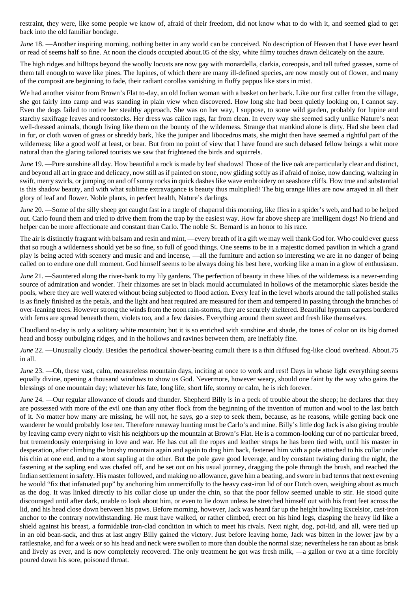restraint, they were, like some people we know of, afraid of their freedom, did not know what to do with it, and seemed glad to get back into the old familiar bondage.

*June* 18. —Another inspiring morning, nothing better in any world can be conceived. No description of Heaven that I have ever heard or read of seems half so fine. At noon the clouds occupied about.05 of the sky, white filmy touches drawn delicately on the azure.

The high ridges and hilltops beyond the woolly locusts are now gay with monardella, clarkia, coreopsis, and tall tufted grasses, some of them tall enough to wave like pines. The lupines, of which there are many ill-defined species, are now mostly out of flower, and many of the composit are beginning to fade, their radiant corollas vanishing in fluffy pappus like stars in mist.

We had another visitor from Brown's Flat to-day, an old Indian woman with a basket on her back. Like our first caller from the village, she got fairly into camp and was standing in plain view when discovered. How long she had been quietly looking on, I cannot say. Even the dogs failed to notice her stealthy approach. She was on her way, I suppose, to some wild garden, probably for lupine and starchy saxifrage leaves and rootstocks. Her dress was calico rags, far from clean. In every way she seemed sadly unlike Nature's neat well-dressed animals, though living like them on the bounty of the wilderness. Strange that mankind alone is dirty. Had she been clad in fur, or cloth woven of grass or shreddy bark, like the juniper and libocedrus mats, she might then have seemed a rightful part of the wilderness; like a good wolf at least, or bear. But from no point of view that I have found are such debased fellow beings a whit more natural than the glaring tailored tourists we saw that frightened the birds and squirrels.

*June* 19. —Pure sunshine all day. How beautiful a rock is made by leaf shadows! Those of the live oak are particularly clear and distinct, and beyond all art in grace and delicacy, now still as if painted on stone, now gliding softly as if afraid of noise, now dancing, waltzing in swift, merry swirls, or jumping on and off sunny rocks in quick dashes like wave embroidery on seashore cliffs. How true and substantial is this shadow beauty, and with what sublime extravagance is beauty thus multiplied! The big orange lilies are now arrayed in all their glory of leaf and flower. Noble plants, in perfect health, Nature's darlings.

*June* 20. —Some of the silly sheep got caught fast in a tangle of chaparral this morning, like flies in a spider's web, and had to be helped out. Carlo found them and tried to drive them from the trap by the easiest way. How far above sheep are intelligent dogs! No friend and helper can be more affectionate and constant than Carlo. The noble St. Bernard is an honor to his race.

The air is distinctly fragrant with balsam and resin and mint, —every breath of it a gift we may well thank God for. Who could ever guess that so rough a wilderness should yet be so fine, so full of good things. One seems to be in a majestic domed pavilion in which a grand play is being acted with scenery and music and and incense, —all the furniture and action so interesting we are in no danger of being called on to endure one dull moment. God himself seems to be always doing his best here, working like a man in a glow of enthusiasm.

*June* 21. —Sauntered along the river-bank to my lily gardens. The perfection of beauty in these lilies of the wilderness is a never-ending source of admiration and wonder. Their rhizomes are set in black mould accumulated in hollows of the metamorphic slates beside the pools, where they are well watered without being subjected to flood action. Every leaf in the level whorls around the tall polished stalks is as finely finished as the petals, and the light and heat required are measured for them and tempered in passing through the branches of over-leaning trees. However strong the winds from the noon rain-storms, they are securely sheltered. Beautiful hypnum carpets bordered with ferns are spread beneath them, violets too, and a few daisies. Everything around them sweet and fresh like themselves.

Cloudland to-day is only a solitary white mountain; but it is so enriched with sunshine and shade, the tones of color on its big domed head and bossy outbulging ridges, and in the hollows and ravines between them, are ineffably fine.

*June* 22. — Unusually cloudy. Besides the periodical shower-bearing cumuli there is a thin diffused fog-like cloud overhead. About.75 in all.

*June* 23. —Oh, these vast, calm, measureless mountain days, inciting at once to work and rest! Days in whose light everything seems equally divine, opening a thousand windows to show us God. Nevermore, however weary, should one faint by the way who gains the blessings of one mountain day; whatever his fate, long life, short life, stormy or calm, he is rich forever.

*June* 24. —Our regular allowance of clouds and thunder. Shepherd Billy is in a peck of trouble about the sheep; he declares that they are possessed with more of the evil one than any other flock from the beginning of the invention of mutton and wool to the last batch of it. No matter how many are missing, he will not, he says, go a step to seek them, because, as he reasons, while getting back one wanderer he would probably lose ten. Therefore runaway hunting must be Carlo's and mine. Billy's little dog Jack is also giving trouble by leaving camp every night to visit his neighbors up the mountain at Brown's Flat. He is a common-looking cur of no particular breed, but tremendously enterprising in love and war. He has cut all the ropes and leather straps he has been tied with, until his master in desperation, after climbing the brushy mountain again and again to drag him back, fastened him with a pole attached to his collar under his chin at one end, and to a stout sapling at the other. But the pole gave good leverage, and by constant twisting during the night, the fastening at the sapling end was chafed off, and he set out on his usual journey, dragging the pole through the brush, and reached the Indian settlement in safety. His master followed, and making no allowance, gave him a beating, and swore in bad terms that next evening he would "fix that infatuated pup" by anchoring him unmercifully to the heavy cast-iron lid of our Dutch oven, weighing about as much as the dog. It was linked directly to his collar close up under the chin, so that the poor fellow seemed unable to stir. He stood quite discouraged until after dark, unable to look about him, or even to lie down unless he stretched himself out with his front feet across the lid, and his head close down between his paws. Before morning, however, Jack was heard far up the height howling Excelsior, cast-iron anchor to the contrary notwithstanding. He must have walked, or rather climbed, erect on his hind legs, clasping the heavy lid like a shield against his breast, a formidable iron-clad condition in which to meet his rivals. Next night, dog, pot-lid, and all, were tied up in an old bean-sack, and thus at last angry Billy gained the victory. Just before leaving home, Jack was bitten in the lower jaw by a rattlesnake, and for a week or so his head and neck were swollen to more than double the normal size; nevertheless he ran about as brisk and lively as ever, and is now completely recovered. The only treatment he got was fresh milk, —a gallon or two at a time forcibly poured down his sore, poisoned throat.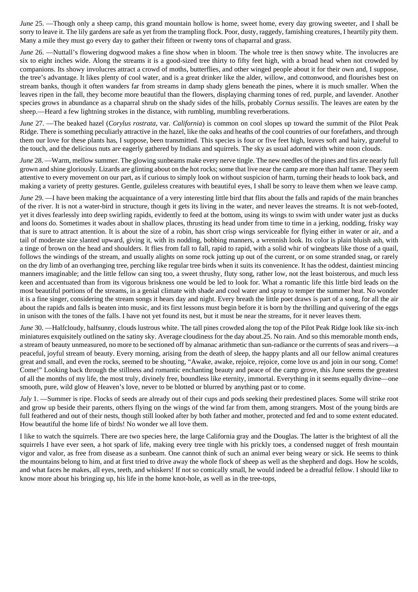*June* 25. —Though only a sheep camp, this grand mountain hollow is home, sweet home, every day growing sweeter, and I shall be sorry to leave it. The lily gardens are safe as yet from the trampling flock. Poor, dusty, raggedy, famishing creatures, I heartily pity them. Many a mile they must go every day to gather their fifteen or twenty tons of chaparral and grass.

*June* 26. —Nuttall's flowering dogwood makes a fine show when in bloom. The whole tree is then snowy white. The involucres are six to eight inches wide. Along the streams it is a good-sized tree thirty to fifty feet high, with a broad head when not crowded by companions. Its showy involucres attract a crowd of moths, butterflies, and other winged people about it for their own and, I suppose, the tree's advantage. It likes plenty of cool water, and is a great drinker like the alder, willow, and cottonwood, and flourishes best on stream banks, though it often wanders far from streams in damp shady glens beneath the pines, where it is much smaller. When the leaves ripen in the fall, they become more beautiful than the flowers, displaying charming tones of red, purple, and lavender. Another species grows in abundance as a chaparral shrub on the shady sides of the hills, probably *Cornus sessilis*. The leaves are eaten by the sheep.—Heard a few lightning strokes in the distance, with rumbling, mumbling reverberations.

*June* 27. —The beaked hazel (*Corylus rostrata*, var. *California*) is common on cool slopes up toward the summit of the Pilot Peak Ridge. There is something peculiarly attractive in the hazel, like the oaks and heaths of the cool countries of our forefathers, and through them our love for these plants has, I suppose, been transmitted. This species is four or five feet high, leaves soft and hairy, grateful to the touch, and the delicious nuts are eagerly gathered by Indians and squirrels. The sky as usual adorned with white noon clouds.

*June* 28. —Warm, mellow summer. The glowing sunbeams make every nerve tingle. The new needles of the pines and firs are nearly full grown and shine gloriously. Lizards are glinting about on the hot rocks; some that live near the camp are more than half tame. They seem attentive to every movement on our part, as if curious to simply look on without suspicion of harm, turning their heads to look back, and making a variety of pretty gestures. Gentle, guileless creatures with beautiful eyes, I shall be sorry to leave them when we leave camp.

*June* 29. —I have been making the acquaintance of a very interesting little bird that flits about the falls and rapids of the main branches of the river. It is not a water-bird in structure, though it gets its living in the water, and never leaves the streams. It is not web-footed, yet it dives fearlessly into deep swirling rapids, evidently to feed at the bottom, using its wings to swim with under water just as ducks and loons do. Sometimes it wades about in shallow places, thrusting its head under from time to time in a jerking, nodding, frisky way that is sure to attract attention. It is about the size of a robin, has short crisp wings serviceable for flying either in water or air, and a tail of moderate size slanted upward, giving it, with its nodding, bobbing manners, a wrennish look. Its color is plain bluish ash, with a tinge of brown on the head and shoulders. It flies from fall to fall, rapid to rapid, with a solid whir of wingbeats like those of a quail, follows the windings of the stream, and usually alights on some rock jutting up out of the current, or on some stranded snag, or rarely on the dry limb of an overhanging tree, perching like regular tree birds when it suits its convenience. It has the oddest, daintiest mincing manners imaginable; and the little fellow can sing too, a sweet thrushy, fluty song, rather low, not the least boisterous, and much less keen and accentuated than from its vigorous briskness one would be led to look for. What a romantic life this little bird leads on the most beautiful portions of the streams, in a genial climate with shade and cool water and spray to temper the summer heat. No wonder it is a fine singer, considering the stream songs it hears day and night. Every breath the little poet draws is part of a song, for all the air about the rapids and falls is beaten into music, and its first lessons must begin before it is born by the thrilling and quivering of the eggs in unison with the tones of the falls. I have not yet found its nest, but it must be near the streams, for it never leaves them.

*June* 30. —Halfcloudy, halfsunny, clouds lustrous white. The tall pines crowded along the top of the Pilot Peak Ridge look like six-inch miniatures exquisitely outlined on the satiny sky. Average cloudiness for the day about.25. No rain. And so this memorable month ends, a stream of beauty unmeasured, no more to be sectioned off by almanac arithmetic than sun-radiance or the currents of seas and rivers—a peaceful, joyful stream of beauty. Every morning, arising from the death of sleep, the happy plants and all our fellow animal creatures great and small, and even the rocks, seemed to be shouting, "Awake, awake, rejoice, rejoice, come love us and join in our song. Come! Come!" Looking back through the stillness and romantic enchanting beauty and peace of the camp grove, this June seems the greatest of all the months of my life, the most truly, divinely free, boundless like eternity, immortal. Everything in it seems equally divine—one smooth, pure, wild glow of Heaven's love, never to be blotted or blurred by anything past or to come.

*July* 1. —Summer is ripe. Flocks of seeds are already out of their cups and pods seeking their predestined places. Some will strike root and grow up beside their parents, others flying on the wings of the wind far from them, among strangers. Most of the young birds are full feathered and out of their nests, though still looked after by both father and mother, protected and fed and to some extent educated. How beautiful the home life of birds! No wonder we all love them.

I like to watch the squirrels. There are two species here, the large California gray and the Douglas. The latter is the brightest of all the squirrels I have ever seen, a hot spark of life, making every tree tingle with his prickly toes, a condensed nugget of fresh mountain vigor and valor, as free from disease as a sunbeam. One cannot think of such an animal ever being weary or sick. He seems to think the mountains belong to him, and at first tried to drive away the whole flock of sheep as well as the shepherd and dogs. How he scolds, and what faces he makes, all eyes, teeth, and whiskers! If not so comically small, he would indeed be a dreadful fellow. I should like to know more about his bringing up, his life in the home knot-hole, as well as in the tree-tops,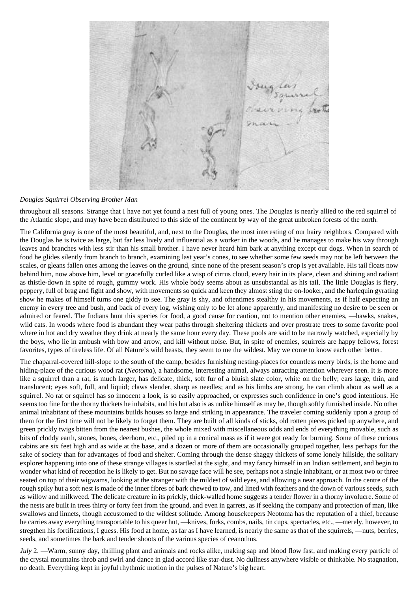

#### *Douglas Squirrel Observing Brother Man*

throughout all seasons. Strange that I have not yet found a nest full of young ones. The Douglas is nearly allied to the red squirrel of the Atlantic slope, and may have been distributed to this side of the continent by way of the great unbroken forests of the north.

The California gray is one of the most beautiful, and, next to the Douglas, the most interesting of our hairy neighbors. Compared with the Douglas he is twice as large, but far less lively and influential as a worker in the woods, and he manages to make his way through leaves and branches with less stir than his small brother. I have never heard him bark at anything except our dogs. When in search of food he glides silently from branch to branch, examining last year's cones, to see whether some few seeds may not be left between the scales, or gleans fallen ones among the leaves on the ground, since none of the present season's crop is yet available. His tail floats now behind him, now above him, level or gracefully curled like a wisp of cirrus cloud, every hair in its place, clean and shining and radiant as thistle-down in spite of rough, gummy work. His whole body seems about as unsubstantial as his tail. The little Douglas is fiery, peppery, full of brag and fight and show, with movements so quick and keen they almost sting the on-looker, and the harlequin gyrating show he makes of himself turns one giddy to see. The gray is shy, and oftentimes stealthy in his movements, as if half expecting an enemy in every tree and bush, and back of every log, wishing only to be let alone apparently, and manifesting no desire to be seen or admired or feared. The Indians hunt this species for food, a good cause for caution, not to mention other enemies, —hawks, snakes, wild cats. In woods where food is abundant they wear paths through sheltering thickets and over prostrate trees to some favorite pool where in hot and dry weather they drink at nearly the same hour every day. These pools are said to be narrowly watched, especially by the boys, who lie in ambush with bow and arrow, and kill without noise. But, in spite of enemies, squirrels are happy fellows, forest favorites, types of tireless life. Of all Nature's wild beasts, they seem to me the wildest. May we come to know each other better.

The chaparral-covered hill-slope to the south of the camp, besides furnishing nesting-places for countless merry birds, is the home and hiding-place of the curious wood rat (*Neotoma*), a handsome, interesting animal, always attracting attention wherever seen. It is more like a squirrel than a rat, is much larger, has delicate, thick, soft fur of a bluish slate color, white on the belly; ears large, thin, and translucent; eyes soft, full, and liquid; claws slender, sharp as needles; and as his limbs are strong, he can climb about as well as a squirrel. No rat or squirrel has so innocent a look, is so easily approached, or expresses such confidence in one's good intentions. He seems too fine for the thorny thickets he inhabits, and his hut also is as unlike himself as may be, though softly furnished inside. No other animal inhabitant of these mountains builds houses so large and striking in appearance. The traveler coming suddenly upon a group of them for the first time will not be likely to forget them. They are built of all kinds of sticks, old rotten pieces picked up anywhere, and green prickly twigs bitten from the nearest bushes, the whole mixed with miscellaneous odds and ends of everything movable, such as bits of cloddy earth, stones, bones, deerhorn, etc., piled up in a conical mass as if it were got ready for burning. Some of these curious cabins are six feet high and as wide at the base, and a dozen or more of them are occasionally grouped together, less perhaps for the sake of society than for advantages of food and shelter. Coming through the dense shaggy thickets of some lonely hillside, the solitary explorer happening into one of these strange villages is startled at the sight, and may fancy himself in an Indian settlement, and begin to wonder what kind of reception he is likely to get. But no savage face will he see, perhaps not a single inhabitant, or at most two or three seated on top of their wigwams, looking at the stranger with the mildest of wild eyes, and allowing a near approach. In the centre of the rough spiky hut a soft nest is made of the inner fibres of bark chewed to tow, and lined with feathers and the down of various seeds, such as willow and milkweed. The delicate creature in its prickly, thick-walled home suggests a tender flower in a thorny involucre. Some of the nests are built in trees thirty or forty feet from the ground, and even in garrets, as if seeking the company and protection of man, like swallows and linnets, though accustomed to the wildest solitude. Among housekeepers Neotoma has the reputation of a thief, because he carries away everything transportable to his queer hut, —knives, forks, combs, nails, tin cups, spectacles, etc., —merely, however, to stregthen his fortifications, I guess. His food at home, as far as I have learned, is nearly the same as that of the squirrels, —nuts, berries, seeds, and sometimes the bark and tender shoots of the various species of ceanothus.

*July* 2. —Warm, sunny day, thrilling plant and animals and rocks alike, making sap and blood flow fast, and making every particle of the crystal mountains throb and swirl and dance in glad accord like star-dust. No dullness anywhere visible or thinkable. No stagnation, no death. Everything kept in joyful rhythmic motion in the pulses of Nature's big heart.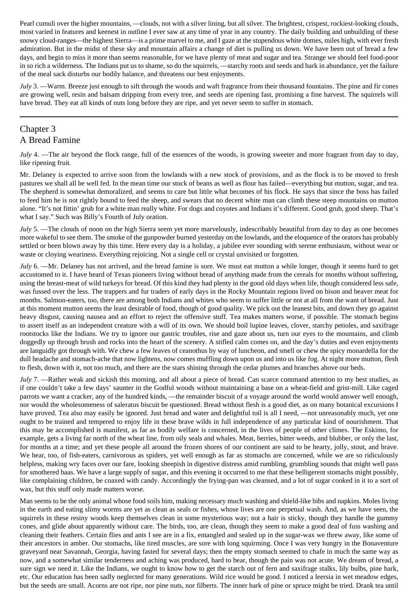Pearl cumuli over the higher mountains, —clouds, not with a silver lining, but all silver. The brightest, crispest, rockiest-looking clouds, most varied in features and keenest in outline I ever saw at any time of year in any country. The daily building and unbuilding of these snowy cloud-ranges—the highest Sierra—is a prime marvel to me, and I gaze at the stupendous white domes, miles high, with ever fresh admiration. But in the midst of these sky and mountain affairs a change of diet is pulling us down. We have been out of bread a few days, and begin to miss it more than seems reasonable, for we have plenty of meat and sugar and tea. Strange we should feel food-poor in so rich a wilderness. The Indians put us to shame, so do the squirrels, —starchy roots and seeds and bark in abundance, yet the failure of the meal sack disturbs our bodily balance, and threatens our best enjoyments.

*July* 3. —Warm. Breeze just enough to sift through the woods and waft fragrance from their thousand fountains. The pine and fir cones are growing well, resin and balsam dripping from every tree, and seeds are ripening fast, promising a fine harvest. The squirrels will have bread. They eat all kinds of nuts long before they are ripe, and yet never seem to suffer in stomach.

# Chapter 3 A Bread Famine

*July* 4. —The air beyond the flock range, full of the essences of the woods, is growing sweeter and more fragrant from day to day, like ripening fruit.

Mr. Delaney is expected to arrive soon from the lowlands with a new stock of provisions, and as the flock is to be moved to fresh pastures we shall all be well fed. In the mean time our stock of beans as well as flour has failed—everything but mutton, sugar, and tea. The shepherd is somewhat demoralized, and seems to care but little what becomes of his flock. He says that since the boss has failed to feed him he is not rightly bound to feed the sheep, and swears that no decent white man can climb these steep mountains on mutton alone. "It's not fittin' grub for a white man really white. For dogs and coyotes and Indians it's different. Good grub, good sheep. That's what I say." Such was Billy's Fourth of July oration.

*July* 5. —The clouds of noon on the high Sierra seem yet more marvelously, indescribably beautiful from day to day as one becomes more wakeful to see them. The smoke of the gunpowder burned yesterday on the lowlands, and the eloquence of the orators has probably settled or been blown away by this time. Here every day is a holiday, a jubilee ever sounding with serene enthusiasm, without wear or waste or cloying weariness. Everything rejoicing. Not a single cell or crystal unvisited or forgotten.

*July* 6. —Mr. Delaney has not arrived, and the bread famine is sore. We must eat mutton a while longer, though it seems hard to get accustomed to it. I have heard of Texas pioneers living without bread of anything made from the cereals for months without suffering, using the breast-meat of wild turkeys for bread. Of this kind they had plenty in the good old days when life, though considered less safe, was fussed over the less. The trappers and fur traders of early days in the Rocky Mountain regions lived on bison and beaver meat for months. Salmon-eaters, too, there are among both Indians and whites who seem to suffer little or not at all from the want of bread. Just at this moment mutton seems the least desirable of food, though of good quality. We pick out the leanest bits, and down they go against heavy disgust, causing nausea and an effort to reject the offensive stuff. Tea makes matters worse, if possible. The stomach begins to assert itself as an independent creature with a will of its own. We should boil lupine leaves, clover, starchy petioles, and saxifrage rootstocks like the Indians. We try to ignore our gastric troubles, rise and gaze about us, turn our eyes to the mountains, and climb doggedly up through brush and rocks into the heart of the scenery. A stifled calm comes on, and the day's duties and even enjoyments are languidly got through with. We chew a few leaves of ceanothus by way of luncheon, and smell or chew the spicy monardella for the dull headache and stomach-ache that now lightens, now comes muffling down upon us and into us like fog. At night more mutton, flesh to flesh, down with it, not too much, and there are the stars shining through the cedar plumes and branches above our beds.

*July* 7. —Rather weak and sickish this morning, and all about a piece of bread. Can scarce command attention to my best studies, as if one couldn't take a few days' saunter in the Godful woods without maintaining a base on a wheat-field and grist-mill. Like caged parrots we want a cracker, any of the hundred kinds, —the remainder biscuit of a voyage around the world would answer well enough, nor would the wholesomeness of saleratus biscuit be questioned. Bread without flesh is a good diet, as on many botanical excursions I have proved. Tea also may easily be ignored. Just bread and water and delightful toil is all I need, —not unreasonably much, yet one ought to be trained and tempered to enjoy life in these brave wilds in full independence of any particular kind of nourishment. That this may be accomplished is manifest, as far as bodily welfare is concerned, in the lives of people of other climes. The Eskimo, for example, gets a living far north of the wheat line, from oily seals and whales. Meat, berries, bitter weeds, and blubber, or only the last, for months at a time; and yet these people all around the frozen shores of our continent are said to be hearty, jolly, stout, and brave. We hear, too, of fish-eaters, carnivorous as spiders, yet well enough as far as stomachs are concerned, while we are so ridiculously helpless, making wry faces over our fare, looking sheepish in digestive distress amid rumbling, grumbling sounds that might well pass for smothered baas. We have a large supply of sugar, and this evening it occurred to me that these belligerent stomachs might possibly, like complaining children, be coaxed with candy. Accordingly the frying-pan was cleansed, and a lot of sugar cooked in it to a sort of wax, but this stuff only made matters worse.

Man seems to be the only animal whose food soils him, making necessary much washing and shield-like bibs and napkins. Moles living in the earth and eating slimy worms are yet as clean as seals or fishes, whose lives are one perpetual wash. And, as we have seen, the squirrels in these resiny woods keep themselves clean in some mysterious way; not a hair is sticky, though they handle the gummy cones, and glide about apparently without care. The birds, too, are clean, though they seem to make a good deal of fuss washing and cleaning their feathers. Certain flies and ants I see are in a fix, entangled and sealed up in the sugar-wax we threw away, like some of their ancestors in amber. Our stomachs, like tired muscles, are sore with long squirming. Once I was very hungry in the Bonaventure graveyard near Savannah, Georgia, having fasted for several days; then the empty stomach seemed to chafe in much the same way as now, and a somewhat similar tenderness and aching was produced, hard to bear, though the pain was not acute. We dream of bread, a sure sign we need it. Like the Indians, we ought to know how to get the starch out of fern and saxifrage stalks, lily bulbs, pine bark, etc. Our education has been sadly neglected for many generations. Wild rice would be good. I noticed a leersia in wet meadow edges, but the seeds are small. Acorns are not ripe, nor pine nuts, nor filberts. The inner bark of pine or spruce might be tried. Drank tea until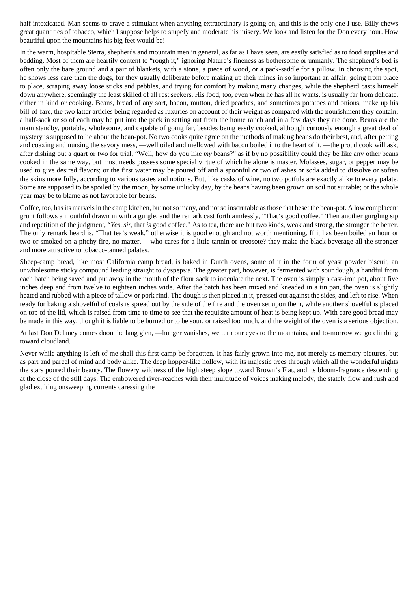half intoxicated. Man seems to crave a stimulant when anything extraordinary is going on, and this is the only one I use. Billy chews great quantities of tobacco, which I suppose helps to stupefy and moderate his misery. We look and listen for the Don every hour. How beautiful upon the mountains his big feet would be!

In the warm, hospitable Sierra, shepherds and mountain men in general, as far as I have seen, are easily satisfied as to food supplies and bedding. Most of them are heartily content to "rough it," ignoring Nature's fineness as bothersome or unmanly. The shepherd's bed is often only the bare ground and a pair of blankets, with a stone, a piece of wood, or a pack-saddle for a pillow. In choosing the spot, he shows less care than the dogs, for they usually deliberate before making up their minds in so important an affair, going from place to place, scraping away loose sticks and pebbles, and trying for comfort by making many changes, while the shepherd casts himself down anywhere, seemingly the least skilled of all rest seekers. His food, too, even when he has all he wants, is usually far from delicate, either in kind or cooking. Beans, bread of any sort, bacon, mutton, dried peaches, and sometimes potatoes and onions, make up his bill-of-fare, the two latter articles being regarded as luxuries on account of their weight as compared with the nourishment they contain; a half-sack or so of each may be put into the pack in setting out from the home ranch and in a few days they are done. Beans are the main standby, portable, wholesome, and capable of going far, besides being easily cooked, although curiously enough a great deal of mystery is supposed to lie about the bean-pot. No two cooks quite agree on the methods of making beans do their best, and, after petting and coaxing and nursing the savory mess, —well oiled and mellowed with bacon boiled into the heart of it, —the proud cook will ask, after dishing out a quart or two for trial, "Well, how do you like *my* beans?" as if by no possibility could they be like any other beans cooked in the same way, but must needs possess some special virtue of which he alone is master. Molasses, sugar, or pepper may be used to give desired flavors; or the first water may be poured off and a spoonful or two of ashes or soda added to dissolve or soften the skins more fully, according to various tastes and notions. But, like casks of wine, no two potfuls are exactly alike to every palate. Some are supposed to be spoiled by the moon, by some unlucky day, by the beans having been grown on soil not suitable; or the whole year may be to blame as not favorable for beans.

Coffee, too, has its marvels in the camp kitchen, but not so many, and not so inscrutable as those that beset the bean-pot. A low complacent grunt follows a mouthful drawn in with a gurgle, and the remark cast forth aimlessly, "That's good coffee." Then another gurgling sip and repetition of the judgment, "*Yes, sir*, that *is* good coffee." As to tea, there are but two kinds, weak and strong, the stronger the better. The only remark heard is, "That tea's weak," otherwise it is good enough and not worth mentioning. If it has been boiled an hour or two or smoked on a pitchy fire, no matter, —who cares for a little tannin or creosote? they make the black beverage all the stronger and more attractive to tobacco-tanned palates.

Sheep-camp bread, like most California camp bread, is baked in Dutch ovens, some of it in the form of yeast powder biscuit, an unwholesome sticky compound leading straight to dyspepsia. The greater part, however, is fermented with sour dough, a handful from each batch being saved and put away in the mouth of the flour sack to inoculate the next. The oven is simply a cast-iron pot, about five inches deep and from twelve to eighteen inches wide. After the batch has been mixed and kneaded in a tin pan, the oven is slightly heated and rubbed with a piece of tallow or pork rind. The dough is then placed in it, pressed out against the sides, and left to rise. When ready for baking a shovelful of coals is spread out by the side of the fire and the oven set upon them, while another shovelful is placed on top of the lid, which is raised from time to time to see that the requisite amount of heat is being kept up. With care good bread may be made in this way, though it is liable to be burned or to be sour, or raised too much, and the weight of the oven is a serious objection.

At last Don Delaney comes doon the lang glen, —hunger vanishes, we turn our eyes to the mountains, and to-morrow we go climbing toward cloudland.

Never while anything is left of me shall this first camp be forgotten. It has fairly grown into me, not merely as memory pictures, but as part and parcel of mind and body alike. The deep hopper-like hollow, with its majestic trees through which all the wonderful nights the stars poured their beauty. The flowery wildness of the high steep slope toward Brown's Flat, and its bloom-fragrance descending at the close of the still days. The embowered river-reaches with their multitude of voices making melody, the stately flow and rush and glad exulting onsweeping currents caressing the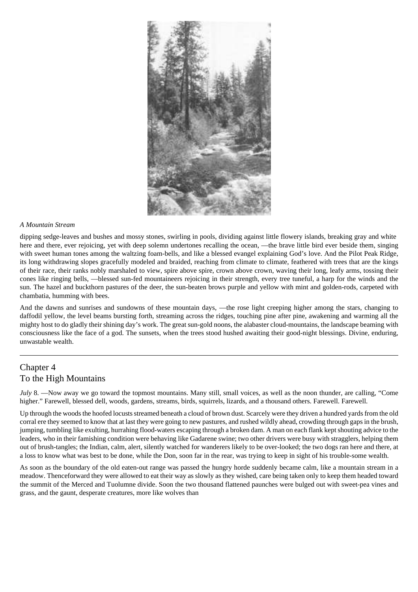

#### *A Mountain Stream*

dipping sedge-leaves and bushes and mossy stones, swirling in pools, dividing against little flowery islands, breaking gray and white here and there, ever rejoicing, yet with deep solemn undertones recalling the ocean, —the brave little bird ever beside them, singing with sweet human tones among the waltzing foam-bells, and like a blessed evangel explaining God's love. And the Pilot Peak Ridge, its long withdrawing slopes gracefully modeled and braided, reaching from climate to climate, feathered with trees that are the kings of their race, their ranks nobly marshaled to view, spire above spire, crown above crown, waving their long, leafy arms, tossing their cones like ringing bells, —blessed sun-fed mountaineers rejoicing in their strength, every tree tuneful, a harp for the winds and the sun. The hazel and buckthorn pastures of the deer, the sun-beaten brows purple and yellow with mint and golden-rods, carpeted with chambatia, humming with bees.

And the dawns and sunrises and sundowns of these mountain days, —the rose light creeping higher among the stars, changing to daffodil yellow, the level beams bursting forth, streaming across the ridges, touching pine after pine, awakening and warming all the mighty host to do gladly their shining day's work. The great sun-gold noons, the alabaster cloud-mountains, the landscape beaming with consciousness like the face of a god. The sunsets, when the trees stood hushed awaiting their good-night blessings. Divine, enduring, unwastable wealth.

# Chapter 4 To the High Mountains

*July* 8. —Now away we go toward the topmost mountains. Many still, small voices, as well as the noon thunder, are calling, "Come higher." Farewell, blessed dell, woods, gardens, streams, birds, squirrels, lizards, and a thousand others. Farewell. Farewell.

Up through the woods the hoofed locusts streamed beneath a cloud of brown dust. Scarcely were they driven a hundred yards from the old corral ere they seemed to know that at last they were going to new pastures, and rushed wildly ahead, crowding through gaps in the brush, jumping, tumbling like exulting, hurrahing flood-waters escaping through a broken dam. A man on each flank kept shouting advice to the leaders, who in their famishing condition were behaving like Gadarene swine; two other drivers were busy with stragglers, helping them out of brush-tangles; the Indian, calm, alert, silently watched for wanderers likely to be over-looked; the two dogs ran here and there, at a loss to know what was best to be done, while the Don, soon far in the rear, was trying to keep in sight of his trouble-some wealth.

As soon as the boundary of the old eaten-out range was passed the hungry horde suddenly became calm, like a mountain stream in a meadow. Thenceforward they were allowed to eat their way as slowly as they wished, care being taken only to keep them headed toward the summit of the Merced and Tuolumne divide. Soon the two thousand flattened paunches were bulged out with sweet-pea vines and grass, and the gaunt, desperate creatures, more like wolves than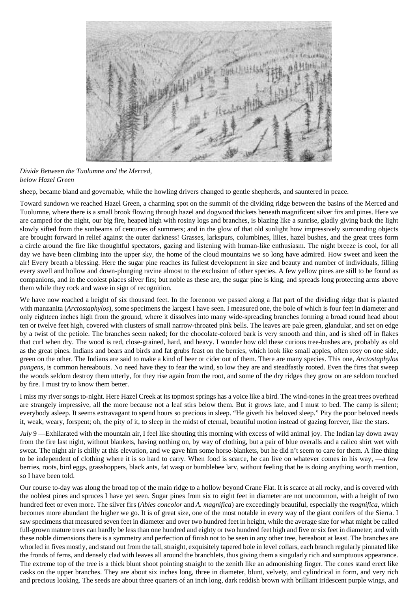

*Divide Between the Tuolumne and the Merced, below Hazel Green*

sheep, became bland and governable, while the howling drivers changed to gentle shepherds, and sauntered in peace.

Toward sundown we reached Hazel Green, a charming spot on the summit of the dividing ridge between the basins of the Merced and Tuolumne, where there is a small brook flowing through hazel and dogwood thickets beneath magnificent silver firs and pines. Here we are camped for the night, our big fire, heaped high with rosiny logs and branches, is blazing like a sunrise, gladly giving back the light slowly sifted from the sunbeams of centuries of summers; and in the glow of that old sunlight how impressively surrounding objects are brought forward in relief against the outer darkness! Grasses, larkspurs, columbines, lilies, hazel bushes, and the great trees form a circle around the fire like thoughtful spectators, gazing and listening with human-like enthusiasm. The night breeze is cool, for all day we have been climbing into the upper sky, the home of the cloud mountains we so long have admired. How sweet and keen the air! Every breath a blessing. Here the sugar pine reaches its fullest development in size and beauty and number of individuals, filling every swell and hollow and down-plunging ravine almost to the exclusion of other species. A few yellow pines are still to be found as companions, and in the coolest places silver firs; but noble as these are, the sugar pine is king, and spreads long protecting arms above them while they rock and wave in sign of recognition.

We have now reached a height of six thousand feet. In the forenoon we passed along a flat part of the dividing ridge that is planted with manzanita (*Arctostaphylos*), some specimens the largest I have seen. I measured one, the bole of which is four feet in diameter and only eighteen inches high from the ground, where it dissolves into many wide-spreading branches forming a broad round head about ten or twelve feet high, covered with clusters of small narrow-throated pink bells. The leaves are pale green, glandular, and set on edge by a twist of the petiole. The branches seem naked; for the chocolate-colored bark is very smooth and thin, and is shed off in flakes that curl when dry. The wood is red, close-grained, hard, and heavy. I wonder how old these curious tree-bushes are, probably as old as the great pines. Indians and bears and birds and fat grubs feast on the berries, which look like small apples, often rosy on one side, green on the other. The Indians are said to make a kind of beer or cider out of them. There are many species. This one, *Arctostaphylos pungens*, is common hereabouts. No need have they to fear the wind, so low they are and steadfastly rooted. Even the fires that sweep the woods seldom destroy them utterly, for they rise again from the root, and some of the dry ridges they grow on are seldom touched by fire. I must try to know them better.

I miss my river songs to-night. Here Hazel Creek at its topmost springs has a voice like a bird. The wind-tones in the great trees overhead are strangely impressive, all the more because not a leaf stirs below them. But it grows late, and I must to bed. The camp is silent; everybody asleep. It seems extravagant to spend hours so precious in sleep. "He giveth his beloved sleep." Pity the poor beloved needs it, weak, weary, forspent; oh, the pity of it, to sleep in the midst of eternal, beautiful motion instead of gazing forever, like the stars.

*July* 9 — Exhilarated with the mountain air, I feel like shouting this morning with excess of wild animal joy. The Indian lay down away from the fire last night, without blankets, having nothing on, by way of clothing, but a pair of blue overalls and a calico shirt wet with sweat. The night air is chilly at this elevation, and we gave him some horse-blankets, but he did n't seem to care for them. A fine thing to be independent of clothing where it is so hard to carry. When food is scarce, he can live on whatever comes in his way, —a few berries, roots, bird eggs, grasshoppers, black ants, fat wasp or bumblebee larv, without feeling that he is doing anything worth mention, so I have been told.

Our course to-day was along the broad top of the main ridge to a hollow beyond Crane Flat. It is scarce at all rocky, and is covered with the noblest pines and spruces I have yet seen. Sugar pines from six to eight feet in diameter are not uncommon, with a height of two hundred feet or even more. The silver firs (*Abies concolor* and *A. magnifica*) are exceedingly beautiful, especially the *magnifica*, which becomes more abundant the higher we go. It is of great size, one of the most notable in every way of the giant conifers of the Sierra. I saw specimens that measured seven feet in diameter and over two hundred feet in height, while the average size for what might be called full-grown mature trees can hardly be less than one hundred and eighty or two hundred feet high and five or six feet in diameter; and with these noble dimensions there is a symmetry and perfection of finish not to be seen in any other tree, hereabout at least. The branches are whorled in fives mostly, and stand out from the tall, straight, exquisitely tapered bole in level collars, each branch regularly pinnated like the fronds of ferns, and densely clad with leaves all around the branchlets, thus giving them a singularly rich and sumptuous appearance. The extreme top of the tree is a thick blunt shoot pointing straight to the zenith like an admonishing finger. The cones stand erect like casks on the upper branches. They are about six inches long, three in diameter, blunt, velvety, and cylindrical in form, and very rich and precious looking. The seeds are about three quarters of an inch long, dark reddish brown with brilliant iridescent purple wings, and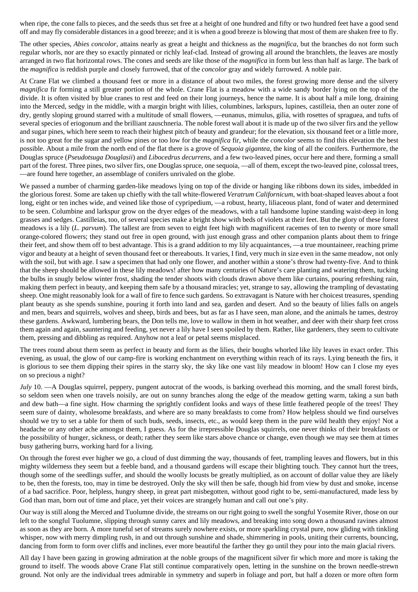when ripe, the cone falls to pieces, and the seeds thus set free at a height of one hundred and fifty or two hundred feet have a good send off and may fly considerable distances in a good breeze; and it is when a good breeze is blowing that most of them are shaken free to fly.

The other species, *Abies concolor*, attains nearly as great a height and thickness as the *magnifica*, but the branches do not form such regular whorls, nor are they so exactly pinnated or richly leaf-clad. Instead of growing all around the branchlets, the leaves are mostly arranged in two flat horizontal rows. The cones and seeds are like those of the *magnifica* in form but less than half as large. The bark of the *magnifica* is reddish purple and closely furrowed, that of the *concolor* gray and widely furrowed. A noble pair.

At Crane Flat we climbed a thousand feet or more in a distance of about two miles, the forest growing more dense and the silvery *magnifica* fir forming a still greater portion of the whole. Crane Flat is a meadow with a wide sandy border lying on the top of the divide. It is often visited by blue cranes to rest and feed on their long journeys, hence the name. It is about half a mile long, draining into the Merced, sedgy in the middle, with a margin bright with lilies, columbines, larkspurs, lupines, castilleia, then an outer zone of dry, gently sloping ground starred with a multitude of small flowers, —eunanus, mimulus, gilia, with rosettes of spraguea, and tufts of several species of eriogonum and the brilliant zauschneria. The noble forest wall about it is made up of the two silver firs and the yellow and sugar pines, which here seem to reach their highest pitch of beauty and grandeur; for the elevation, six thousand feet or a little more, is not too great for the sugar and yellow pines or too low for the *magnifica* fir, while the *concolor* seems to find this elevation the best possible. About a mile from the north end of the flat there is a grove of *Sequoia gigantea*, the king of all the conifers. Furthermore, the Douglas spruce (*Pseudotsuga Douglasii*) and *Libocedrus decurrens*, and a few two-leaved pines, occur here and there, forming a small part of the forest. Three pines, two silver firs, one Douglas spruce, one sequoia, —all of them, except the two-leaved pine, colossal trees, —are found here together, an assemblage of conifers unrivaled on the globe.

We passed a number of charming garden-like meadows lying on top of the divide or hanging like ribbons down its sides, imbedded in the glorious forest. Some are taken up chiefly with the tall white-flowered *Veratrum Californicum*, with boat-shaped leaves about a foot long, eight or ten inches wide, and veined like those of cypripedium, —a robust, hearty, liliaceous plant, fond of water and determined to be seen. Columbine and larkspur grow on the dryer edges of the meadows, with a tall handsome lupine standing waist-deep in long grasses and sedges. Castilleias, too, of several species make a bright show with beds of violets at their feet. But the glory of these forest meadows is a lily (*L. parvum*). The tallest are from seven to eight feet high with magnificent racemes of ten to twenty or more small orange-colored flowers; they stand out free in open ground, with just enough grass and other companion plants about them to fringe their feet, and show them off to best advantage. This is a grand addition to my lily acquaintances, —a true mountaineer, reaching prime vigor and beauty at a height of seven thousand feet or thereabouts. It varies, I find, very much in size even in the same meadow, not only with the soil, but with age. I saw a specimen that had only one flower, and another within a stone's throw had twenty-five. And to think that the sheep should be allowed in these lily meadows! after how many centuries of Nature's care planting and watering them, tucking the bulbs in snugly below winter frost, shading the tender shoots with clouds drawn above them like curtains, pouring refreshing rain, making them perfect in beauty, and keeping them safe by a thousand miracles; yet, strange to say, allowing the trampling of devastating sheep. One might reasonably look for a wall of fire to fence such gardens. So extravagant is Nature with her choicest treasures, spending plant beauty as she spends sunshine, pouring it forth into land and sea, garden and desert. And so the beauty of lilies falls on angels and men, bears and squirrels, wolves and sheep, birds and bees, but as far as I have seen, man alone, and the animals he tames, destroy these gardens. Awkward, lumbering bears, the Don tells me, love to wallow in them in hot weather, and deer with their sharp feet cross them again and again, sauntering and feeding, yet never a lily have I seen spoiled by them. Rather, like gardeners, they seem to cultivate them, pressing and dibbling as required. Anyhow not a leaf or petal seems misplaced.

The trees round about them seem as perfect in beauty and form as the lilies, their boughs whorled like lily leaves in exact order. This evening, as usual, the glow of our camp-fire is working enchantment on everything within reach of its rays. Lying beneath the firs, it is glorious to see them dipping their spires in the starry sky, the sky like one vast lily meadow in bloom! How can I close my eyes on so precious a night?

*July* 10. —A Douglas squirrel, peppery, pungent autocrat of the woods, is barking overhead this morning, and the small forest birds, so seldom seen when one travels noisily, are out on sunny branches along the edge of the meadow getting warm, taking a sun bath and dew bath—a fine sight. How charming the sprightly confident looks and ways of these little feathered people of the trees! They seem sure of dainty, wholesome breakfasts, and where are so many breakfasts to come from? How helpless should we find ourselves should we try to set a table for them of such buds, seeds, insects, etc., as would keep them in the pure wild health they enjoy! Not a headache or any other ache amongst them, I guess. As for the irrepressible Douglas squirrels, one never thinks of their breakfasts or the possibility of hunger, sickness, or death; rather they seem like stars above chance or change, even though we may see them at times busy gathering burrs, working hard for a living.

On through the forest ever higher we go, a cloud of dust dimming the way, thousands of feet, trampling leaves and flowers, but in this mighty wilderness they seem but a feeble band, and a thousand gardens will escape their blighting touch. They cannot hurt the trees, though some of the seedlings suffer, and should the woolly locusts be greatly multiplied, as on account of dollar value they are likely to be, then the forests, too, may in time be destroyed. Only the sky will then be safe, though hid from view by dust and smoke, incense of a bad sacrifice. Poor, helpless, hungry sheep, in great part misbegotten, without good right to be, semi-manufactured, made less by God than man, born out of time and place, yet their voices are strangely human and call out one's pity.

Our way is still along the Merced and Tuolumne divide, the streams on our right going to swell the songful Yosemite River, those on our left to the songful Tuolumne, slipping through sunny carex and lily meadows, and breaking into song down a thousand ravines almost as soon as they are born. A more tuneful set of streams surely nowhere exists, or more sparkling crystal pure, now gliding with tinkling whisper, now with merry dimpling rush, in and out through sunshine and shade, shimmering in pools, uniting their currents, bouncing, dancing from form to form over cliffs and inclines, ever more beautiful the farther they go until they pour into the main glacial rivers.

All day I have been gazing in growing admiration at the noble groups of the magnificent silver fir which more and more is taking the ground to itself. The woods above Crane Flat still continue comparatively open, letting in the sunshine on the brown needle-strewn ground. Not only are the individual trees admirable in symmetry and superb in foliage and port, but half a dozen or more often form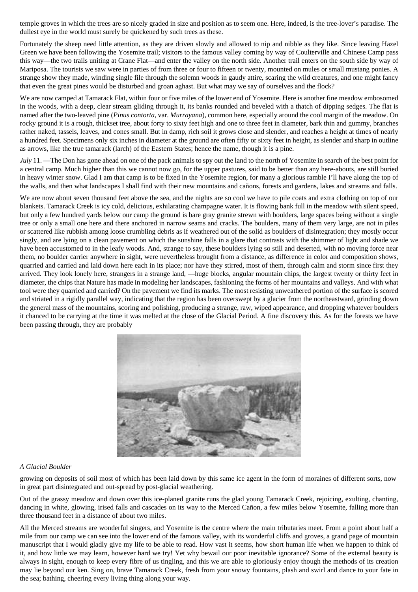temple groves in which the trees are so nicely graded in size and position as to seem one. Here, indeed, is the tree-lover's paradise. The dullest eye in the world must surely be quickened by such trees as these.

Fortunately the sheep need little attention, as they are driven slowly and allowed to nip and nibble as they like. Since leaving Hazel Green we have been following the Yosemite trail; visitors to the famous valley coming by way of Coulterville and Chinese Camp pass this way—the two trails uniting at Crane Flat—and enter the valley on the north side. Another trail enters on the south side by way of Mariposa. The tourists we saw were in parties of from three or four to fifteen or twenty, mounted on mules or small mustang ponies. A strange show they made, winding single file through the solemn woods in gaudy attire, scaring the wild creatures, and one might fancy that even the great pines would be disturbed and groan aghast. But what may we say of ourselves and the flock?

We are now camped at Tamarack Flat, within four or five miles of the lower end of Yosemite. Here is another fine meadow embosomed in the woods, with a deep, clear stream gliding through it, its banks rounded and beveled with a thatch of dipping sedges. The flat is named after the two-leaved pine (*Pinus contorta*, var. *Murrayana*), common here, especially around the cool margin of the meadow. On rocky ground it is a rough, thickset tree, about forty to sixty feet high and one to three feet in diameter, bark thin and gummy, branches rather naked, tassels, leaves, and cones small. But in damp, rich soil it grows close and slender, and reaches a height at times of nearly a hundred feet. Specimens only six inches in diameter at the ground are often fifty or sixty feet in height, as slender and sharp in outline as arrows, like the true tamarack (larch) of the Eastern States; hence the name, though it is a pine.

*July* 11. —The Don has gone ahead on one of the pack animals to spy out the land to the north of Yosemite in search of the best point for a central camp. Much higher than this we cannot now go, for the upper pastures, said to be better than any here-abouts, are still buried in heavy winter snow. Glad I am that camp is to be fixed in the Yosemite region, for many a glorious ramble I'll have along the top of the walls, and then what landscapes I shall find with their new mountains and cañons, forests and gardens, lakes and streams and falls.

We are now about seven thousand feet above the sea, and the nights are so cool we have to pile coats and extra clothing on top of our blankets. Tamarack Creek is icy cold, delicious, exhilarating champagne water. It is flowing bank full in the meadow with silent speed, but only a few hundred yards below our camp the ground is bare gray granite strewn with boulders, large spaces being without a single tree or only a small one here and there anchored in narrow seams and cracks. The boulders, many of them very large, are not in piles or scattered like rubbish among loose crumbling debris as if weathered out of the solid as boulders of disintegration; they mostly occur singly, and are lying on a clean pavement on which the sunshine falls in a glare that contrasts with the shimmer of light and shade we have been accustomed to in the leafy woods. And, strange to say, these boulders lying so still and deserted, with no moving force near them, no boulder carrier anywhere in sight, were nevertheless brought from a distance, as difference in color and composition shows, quarried and carried and laid down here each in its place; nor have they stirred, most of them, through calm and storm since first they arrived. They look lonely here, strangers in a strange land, —huge blocks, angular mountain chips, the largest twenty or thirty feet in diameter, the chips that Nature has made in modeling her landscapes, fashioning the forms of her mountains and valleys. And with what tool were they quarried and carried? On the pavement we find its marks. The most resisting unweathered portion of the surface is scored and striated in a rigidly parallel way, indicating that the region has been overswept by a glacier from the northeastward, grinding down the general mass of the mountains, scoring and polishing, producing a strange, raw, wiped appearance, and dropping whatever boulders it chanced to be carrying at the time it was melted at the close of the Glacial Period. A fine discovery this. As for the forests we have been passing through, they are probably



## *A Glacial Boulder*

growing on deposits of soil most of which has been laid down by this same ice agent in the form of moraines of different sorts, now in great part disintegrated and out-spread by post-glacial weathering.

Out of the grassy meadow and down over this ice-planed granite runs the glad young Tamarack Creek, rejoicing, exulting, chanting, dancing in white, glowing, irised falls and cascades on its way to the Merced Cañon, a few miles below Yosemite, falling more than three thousand feet in a distance of about two miles.

All the Merced streams are wonderful singers, and Yosemite is the centre where the main tributaries meet. From a point about half a mile from our camp we can see into the lower end of the famous valley, with its wonderful cliffs and groves, a grand page of mountain manuscript that I would gladly give my life to be able to read. How vast it seems, how short human life when we happen to think of it, and how little we may learn, however hard we try! Yet why bewail our poor inevitable ignorance? Some of the external beauty is always in sight, enough to keep every fibre of us tingling, and this we are able to gloriously enjoy though the methods of its creation may lie beyond our ken. Sing on, brave Tamarack Creek, fresh from your snowy fountains, plash and swirl and dance to your fate in the sea; bathing, cheering every living thing along your way.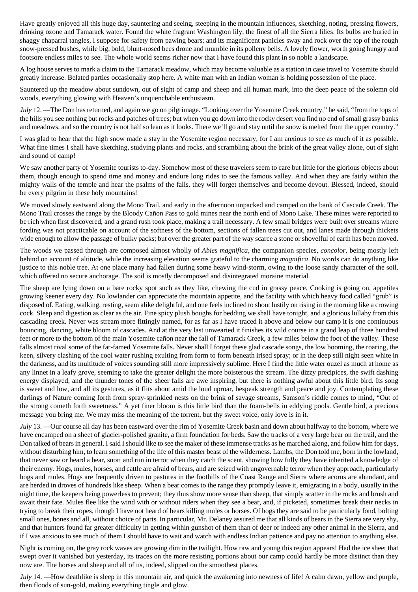Have greatly enjoyed all this huge day, sauntering and seeing, steeping in the mountain influences, sketching, noting, pressing flowers, drinking ozone and Tamarack water. Found the white fragrant Washington lily, the finest of all the Sierra lilies. Its bulbs are buried in shaggy chaparral tangles, I suppose for safety from pawing bears; and its magnificent panicles sway and rock over the top of the rough snow-pressed bushes, while big, bold, blunt-nosed bees drone and mumble in its polleny bells. A lovely flower, worth going hungry and footsore endless miles to see. The whole world seems richer now that I have found this plant in so noble a landscape.

A log house serves to mark a claim to the Tamarack meadow, which may become valuable as a station in case travel to Yosemite should greatly increase. Belated parties occasionally stop here. A white man with an Indian woman is holding possession of the place.

Sauntered up the meadow about sundown, out of sight of camp and sheep and all human mark, into the deep peace of the solemn old woods, everything glowing with Heaven's unquenchable enthusiasm.

*July* 12. —The Don has returned, and again we go on pilgrimage. "Looking over the Yosemite Creek country," he said, "from the tops of the hills you see nothing but rocks and patches of trees; but when you go down into the rocky desert you find no end of small grassy banks and meadows, and so the country is not half so lean as it looks. There we'll go and stay until the snow is melted from the upper country."

I was glad to hear that the high snow made a stay in the Yosemite region necessary, for I am anxious to see as much of it as possible. What fine times I shall have sketching, studying plants and rocks, and scrambling about the brink of the great valley alone, out of sight and sound of camp!

We saw another party of Yosemite tourists to-day. Somehow most of these travelers seem to care but little for the glorious objects about them, though enough to spend time and money and endure long rides to see the famous valley. And when they are fairly within the mighty walls of the temple and hear the psalms of the falls, they will forget themselves and become devout. Blessed, indeed, should be every pilgrim in these holy mountains!

We moved slowly eastward along the Mono Trail, and early in the afternoon unpacked and camped on the bank of Cascade Creek. The Mono Trail crosses the range by the Bloody Cañon Pass to gold mines near the north end of Mono Lake. These mines were reported to be rich when first discovered, and a grand rush took place, making a trail necessary. A few small bridges were built over streams where fording was not practicable on account of the softness of the bottom, sections of fallen trees cut out, and lanes made through thickets wide enough to allow the passage of bulky packs; but over the greater part of the way scarce a stone or shovelful of earth has been moved.

The woods we passed through are composed almost wholly of *Abies magnifica*, the companion species, *concolor*, being mostly left behind on account of altitude, while the increasing elevation seems grateful to the charming *magnifica*. No words can do anything like justice to this noble tree. At one place many had fallen during some heavy wind-storm, owing to the loose sandy character of the soil, which offered no secure anchorage. The soil is mostly decomposed and disintegrated moraine material.

The sheep are lying down on a bare rocky spot such as they like, chewing the cud in grassy peace. Cooking is going on, appetites growing keener every day. No lowlander can appreciate the mountain appetite, and the facility with which heavy food called "grub" is disposed of. Eating, walking, resting, seem alike delightful, and one feels inclined to shout lustily on rising in the morning like a crowing cock. Sleep and digestion as clear as the air. Fine spicy plush boughs for bedding we shall have tonight, and a glorious lullaby from this cascading creek. Never was stream more fittingly named, for as far as I have traced it above and below our camp it is one continuous bouncing, dancing, white bloom of cascades. And at the very last unwearied it finishes its wild course in a grand leap of three hundred feet or more to the bottom of the main Yosemite cañon near the fall of Tamarack Creek, a few miles below the foot of the valley. These falls almost rival some of the far-famed Yosemite falls. Never shall I forget these glad cascade songs, the low booming, the roaring, the keen, silvery clashing of the cool water rushing exulting from form to form beneath irised spray; or in the deep still night seen white in the darkness, and its multitude of voices sounding still more impressively sublime. Here I find the little water ouzel as much at home as any linnet in a leafy grove, seeming to take the greater delight the more boisterous the stream. The dizzy precipices, the swift dashing energy displayed, and the thunder tones of the sheer falls are awe inspiring, but there is nothing awful about this little bird. Its song is sweet and low, and all its gestures, as it flits about amid the loud uproar, bespeak strength and peace and joy. Contemplating these darlings of Nature coming forth from spray-sprinkled nests on the brink of savage streams, Samson's riddle comes to mind, "Out of the strong cometh forth sweetness." A yet finer bloom is this little bird than the foam-bells in eddying pools. Gentle bird, a precious message you bring me. We may miss the meaning of the torrent, but thy sweet voice, only love is in it.

*July* 13. —Our course all day has been eastward over the rim of Yosemite Creek basin and down about halfway to the bottom, where we have encamped on a sheet of glacier-polished granite, a firm foundation for beds. Saw the tracks of a very large bear on the trail, and the Don talked of bears in general. I said I should like to see the maker of these immense tracks as he marched along, and follow him for days, without disturbing him, to learn something of the life of this master beast of the wilderness. Lambs, the Don told me, born in the lowland, that never saw or heard a bear, snort and run in terror when they catch the scent, showing how fully they have inherited a knowledge of their enemy. Hogs, mules, horses, and cattle are afraid of bears, and are seized with ungovernable terror when they approach, particularly hogs and mules. Hogs are frequently driven to pastures in the foothills of the Coast Range and Sierra where acorns are abundant, and are herded in droves of hundreds like sheep. When a bear comes to the range they promptly leave it, emigrating in a body, usually in the night time, the keepers being powerless to prevent; they thus show more sense than sheep, that simply scatter in the rocks and brush and await their fate. Mules flee like the wind with or without riders when they see a bear, and, if picketed, sometimes break their necks in trying to break their ropes, though I have not heard of bears killing mules or horses. Of hogs they are said to be particularly fond, bolting small ones, bones and all, without choice of parts. In particular, Mr. Delaney assured me that all kinds of bears in the Sierra are very shy, and that hunters found far greater difficulty in getting within gunshot of them than of deer or indeed any other animal in the Sierra, and if I was anxious to see much of them I should have to wait and watch with endless Indian patience and pay no attention to anything else.

Night is coming on, the gray rock waves are growing dim in the twilight. How raw and young this region appears! Had the ice sheet that swept over it vanished but yesterday, its traces on the more resisting portions about our camp could hardly be more distinct than they now are. The horses and sheep and all of us, indeed, slipped on the smoothest places.

*July* 14. —How deathlike is sleep in this mountain air, and quick the awakening into newness of life! A calm dawn, yellow and purple, then floods of sun-gold, making everything tingle and glow.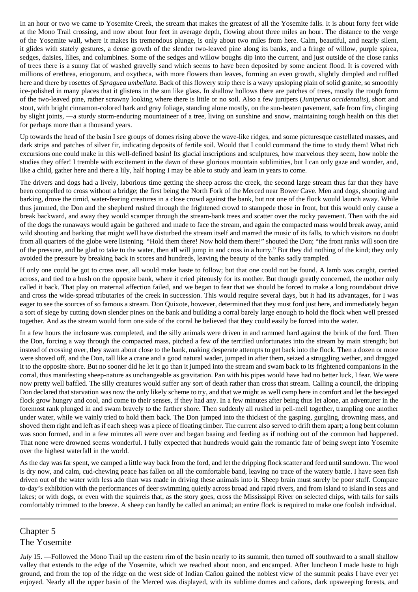In an hour or two we came to Yosemite Creek, the stream that makes the greatest of all the Yosemite falls. It is about forty feet wide at the Mono Trail crossing, and now about four feet in average depth, flowing about three miles an hour. The distance to the verge of the Yosemite wall, where it makes its tremendous plunge, is only about two miles from here. Calm, beautiful, and nearly silent, it glides with stately gestures, a dense growth of the slender two-leaved pine along its banks, and a fringe of willow, purple spirea, sedges, daisies, lilies, and columbines. Some of the sedges and willow boughs dip into the current, and just outside of the close ranks of trees there is a sunny flat of washed gravelly sand which seems to have been deposited by some ancient flood. It is covered with millions of erethrea, eriogonum, and oxytheca, with more flowers than leaves, forming an even growth, slightly dimpled and ruffled here and there by rosettes of *Spraguea umbellata*. Back of this flowery strip there is a wavy upsloping plain of solid granite, so smoothly ice-polished in many places that it glistens in the sun like glass. In shallow hollows there are patches of trees, mostly the rough form of the two-leaved pine, rather scrawny looking where there is little or no soil. Also a few junipers (*Juniperus occidentalis*), short and stout, with bright cinnamon-colored bark and gray foliage, standing alone mostly, on the sun-beaten pavement, safe from fire, clinging by slight joints, —a sturdy storm-enduring mountaineer of a tree, living on sunshine and snow, maintaining tough health on this diet for perhaps more than a thousand years.

Up towards the head of the basin I see groups of domes rising above the wave-like ridges, and some picturesque castellated masses, and dark strips and patches of silver fir, indicating deposits of fertile soil. Would that I could command the time to study them! What rich excursions one could make in this well-defined basin! Its glacial inscriptions and sculptures, how marvelous they seem, how noble the studies they offer! I tremble with excitement in the dawn of these glorious mountain sublimities, but I can only gaze and wonder, and, like a child, gather here and there a lily, half hoping I may be able to study and learn in years to come.

The drivers and dogs had a lively, laborious time getting the sheep across the creek, the second large stream thus far that they have been compelled to cross without a bridge; the first being the North Fork of the Merced near Bower Cave. Men and dogs, shouting and barking, drove the timid, water-fearing creatures in a close crowd against the bank, but not one of the flock would launch away. While thus jammed, the Don and the shepherd rushed through the frightened crowd to stampede those in front, but this would only cause a break backward, and away they would scamper through the stream-bank trees and scatter over the rocky pavement. Then with the aid of the dogs the runaways would again be gathered and made to face the stream, and again the compacted mass would break away, amid wild shouting and barking that might well have disturbed the stream itself and marred the music of its falls, to which visitors no doubt from all quarters of the globe were listening. "Hold them there! Now hold them there!" shouted the Don; "the front ranks will soon tire of the pressure, and be glad to take to the water, then all will jump in and cross in a hurry." But they did nothing of the kind; they only avoided the pressure by breaking back in scores and hundreds, leaving the beauty of the banks sadly trampled.

If only one could be got to cross over, all would make haste to follow; but that one could not be found. A lamb was caught, carried across, and tied to a bush on the opposite bank, where it cried piteously for its mother. But though greatly concerned, the mother only called it back. That play on maternal affection failed, and we began to fear that we should be forced to make a long roundabout drive and cross the wide-spread tributaries of the creek in succession. This would require several days, but it had its advantages, for I was eager to see the sources of so famous a stream. Don Quixote, however, determined that they must ford just here, and immediately began a sort of siege by cutting down slender pines on the bank and building a corral barely large enough to hold the flock when well pressed together. And as the stream would form one side of the corral he believed that they could easily be forced into the water.

In a few hours the inclosure was completed, and the silly animals were driven in and rammed hard against the brink of the ford. Then the Don, forcing a way through the compacted mass, pitched a few of the terrified unfortunates into the stream by main strength; but instead of crossing over, they swam about close to the bank, making desperate attempts to get back into the flock. Then a dozen or more were shoved off, and the Don, tall like a crane and a good natural wader, jumped in after them, seized a struggling wether, and dragged it to the opposite shore. But no sooner did he let it go than it jumped into the stream and swam back to its frightened companions in the corral, thus manifesting sheep-nature as unchangeable as gravitation. Pan with his pipes would have had no better luck, I fear. We were now pretty well baffled. The silly creatures would suffer any sort of death rather than cross that stream. Calling a council, the dripping Don declared that starvation was now the only likely scheme to try, and that we might as well camp here in comfort and let the besieged flock grow hungry and cool, and come to their senses, if they had any. In a few minutes after being thus let alone, an adventurer in the foremost rank plunged in and swam bravely to the farther shore. Then suddenly all rushed in pell-mell together, trampling one another under water, while we vainly tried to hold them back. The Don jumped into the thickest of the gasping, gurgling, drowning mass, and shoved them right and left as if each sheep was a piece of floating timber. The current also served to drift them apart; a long bent column was soon formed, and in a few minutes all were over and began baaing and feeding as if nothing out of the common had happened. That none were drowned seems wonderful. I fully expected that hundreds would gain the romantic fate of being swept into Yosemite over the highest waterfall in the world.

As the day was far spent, we camped a little way back from the ford, and let the dripping flock scatter and feed until sundown. The wool is dry now, and calm, cud-chewing peace has fallen on all the comfortable band, leaving no trace of the watery battle. I have seen fish driven out of the water with less ado than was made in driving these animals into it. Sheep brain must surely be poor stuff. Compare to-day's exhibition with the performances of deer swimming quietly across broad and rapid rivers, and from island to island in seas and lakes; or with dogs, or even with the squirrels that, as the story goes, cross the Mississippi River on selected chips, with tails for sails comfortably trimmed to the breeze. A sheep can hardly be called an animal; an entire flock is required to make one foolish individual.

# Chapter 5 The Yosemite

*July* 15. —Followed the Mono Trail up the eastern rim of the basin nearly to its summit, then turned off southward to a small shallow valley that extends to the edge of the Yosemite, which we reached about noon, and encamped. After luncheon I made haste to high ground, and from the top of the ridge on the west side of Indian Cañon gained the noblest view of the summit peaks I have ever yet enjoyed. Nearly all the upper basin of the Merced was displayed, with its sublime domes and cañons, dark upsweeping forests, and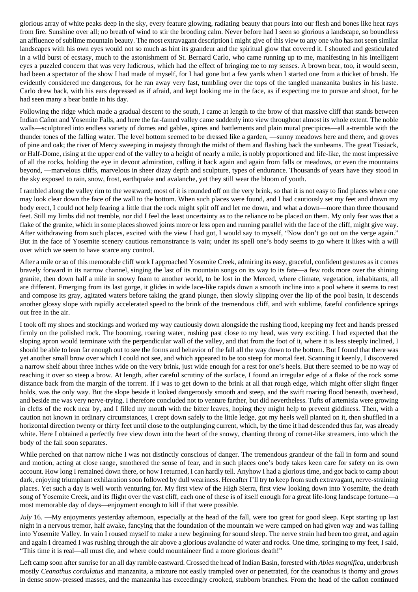glorious array of white peaks deep in the sky, every feature glowing, radiating beauty that pours into our flesh and bones like heat rays from fire. Sunshine over all; no breath of wind to stir the brooding calm. Never before had I seen so glorious a landscape, so boundless an affluence of sublime mountain beauty. The most extravagant description I might give of this view to any one who has not seen similar landscapes with his own eyes would not so much as hint its grandeur and the spiritual glow that covered it. I shouted and gesticulated in a wild burst of ecstasy, much to the astonishment of St. Bernard Carlo, who came running up to me, manifesting in his intelligent eyes a puzzled concern that was very ludicrous, which had the effect of bringing me to my senses. A brown bear, too, it would seem, had been a spectator of the show I had made of myself, for I had gone but a few yards when I started one from a thicket of brush. He evidently considered me dangerous, for he ran away very fast, tumbling over the tops of the tangled manzanita bushes in his haste. Carlo drew back, with his ears depressed as if afraid, and kept looking me in the face, as if expecting me to pursue and shoot, for he had seen many a bear battle in his day.

Following the ridge which made a gradual descent to the south, I came at length to the brow of that massive cliff that stands between Indian Cañon and Yosemite Falls, and here the far-famed valley came suddenly into view throughout almost its whole extent. The noble walls—sculptured into endless variety of domes and gables, spires and battlements and plain mural precipices—all a-tremble with the thunder tones of the falling water. The level bottom seemed to be dressed like a garden, —sunny meadows here and there, and groves of pine and oak; the river of Mercy sweeping in majesty through the midst of them and flashing back the sunbeams. The great Tissiack, or Half-Dome, rising at the upper end of the valley to a height of nearly a mile, is nobly proportioned and life-like, the most impressive of all the rocks, holding the eye in devout admiration, calling it back again and again from falls or meadows, or even the mountains beyond, —marvelous cliffs, marvelous in sheer dizzy depth and sculpture, types of endurance. Thousands of years have they stood in the sky exposed to rain, snow, frost, earthquake and avalanche, yet they still wear the bloom of youth.

I rambled along the valley rim to the westward; most of it is rounded off on the very brink, so that it is not easy to find places where one may look clear down the face of the wall to the bottom. When such places were found, and I had cautiously set my feet and drawn my body erect, I could not help fearing a little that the rock might split off and let me down, and what a down—more than three thousand feet. Still my limbs did not tremble, nor did I feel the least uncertainty as to the reliance to be placed on them. My only fear was that a flake of the granite, which in some places showed joints more or less open and running parallel with the face of the cliff, might give way. After withdrawing from such places, excited with the view I had got, I would say to myself, "Now don't go out on the verge again." But in the face of Yosemite scenery cautious remonstrance is vain; under its spell one's body seems to go where it likes with a will over which we seem to have scarce any control.

After a mile or so of this memorable cliff work I approached Yosemite Creek, admiring its easy, graceful, confident gestures as it comes bravely forward in its narrow channel, singing the last of its mountain songs on its way to its fate—a few rods more over the shining granite, then down half a mile in snowy foam to another world, to be lost in the Merced, where climate, vegetation, inhabitants, all are different. Emerging from its last gorge, it glides in wide lace-like rapids down a smooth incline into a pool where it seems to rest and compose its gray, agitated waters before taking the grand plunge, then slowly slipping over the lip of the pool basin, it descends another glossy slope with rapidly accelerated speed to the brink of the tremendous cliff, and with sublime, fateful confidence springs out free in the air.

I took off my shoes and stockings and worked my way cautiously down alongside the rushing flood, keeping my feet and hands pressed firmly on the polished rock. The booming, roaring water, rushing past close to my head, was very exciting. I had expected that the sloping apron would terminate with the perpendicular wall of the valley, and that from the foot of it, where it is less steeply inclined, I should be able to lean far enough out to see the forms and behavior of the fall all the way down to the bottom. But I found that there was yet another small brow over which I could not see, and which appeared to be too steep for mortal feet. Scanning it keenly, I discovered a narrow shelf about three inches wide on the very brink, just wide enough for a rest for one's heels. But there seemed to be no way of reaching it over so steep a brow. At length, after careful scrutiny of the surface, I found an irregular edge of a flake of the rock some distance back from the margin of the torrent. If I was to get down to the brink at all that rough edge, which might offer slight finger holds, was the only way. But the slope beside it looked dangerously smooth and steep, and the swift roaring flood beneath, overhead, and beside me was very nerve-trying. I therefore concluded not to venture farther, but did nevertheless. Tufts of artemisia were growing in clefts of the rock near by, and I filled my mouth with the bitter leaves, hoping they might help to prevent giddiness. Then, with a caution not known in ordinary circumstances, I crept down safely to the little ledge, got my heels well planted on it, then shuffled in a horizontal direction twenty or thirty feet until close to the outplunging current, which, by the time it had descended thus far, was already white. Here I obtained a perfectly free view down into the heart of the snowy, chanting throng of comet-like streamers, into which the body of the fall soon separates.

While perched on that narrow niche I was not distinctly conscious of danger. The tremendous grandeur of the fall in form and sound and motion, acting at close range, smothered the sense of fear, and in such places one's body takes keen care for safety on its own account. How long I remained down there, or how I returned, I can hardly tell. Anyhow I had a glorious time, and got back to camp about dark, enjoying triumphant exhilaration soon followed by dull weariness. Hereafter I'll try to keep from such extravagant, nerve-straining places. Yet such a day is well worth venturing for. My first view of the High Sierra, first view looking down into Yosemite, the death song of Yosemite Creek, and its flight over the vast cliff, each one of these is of itself enough for a great life-long landscape fortune—a most memorable day of days—enjoyment enough to kill if that were possible.

*July* 16. —My enjoyments yesterday afternoon, especially at the head of the fall, were too great for good sleep. Kept starting up last night in a nervous tremor, half awake, fancying that the foundation of the mountain we were camped on had given way and was falling into Yosemite Valley. In vain I roused myself to make a new beginning for sound sleep. The nerve strain had been too great, and again and again I dreamed I was rushing through the air above a glorious avalanche of water and rocks. One time, springing to my feet, I said, "This time it is real—all must die, and where could mountaineer find a more glorious death!"

Left camp soon after sunrise for an all day ramble eastward. Crossed the head of Indian Basin, forested with *Abies magnifica*, underbrush mostly *Ceanothus cordulatus* and manzanita, a mixture not easily trampled over or penetrated, for the ceanothus is thorny and grows in dense snow-pressed masses, and the manzanita has exceedingly crooked, stubborn branches. From the head of the cañon continued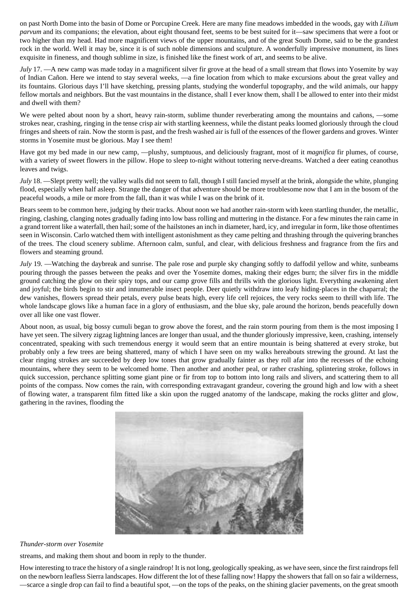on past North Dome into the basin of Dome or Porcupine Creek. Here are many fine meadows imbedded in the woods, gay with *Lilium parvum* and its companions; the elevation, about eight thousand feet, seems to be best suited for it—saw specimens that were a foot or two higher than my head. Had more magnificent views of the upper mountains, and of the great South Dome, said to be the grandest rock in the world. Well it may be, since it is of such noble dimensions and sculpture. A wonderfully impressive monument, its lines exquisite in fineness, and though sublime in size, is finished like the finest work of art, and seems to be alive.

*July* 17. —A new camp was made today in a magnificent silver fir grove at the head of a small stream that flows into Yosemite by way of Indian Cañon. Here we intend to stay several weeks, —a fine location from which to make excursions about the great valley and its fountains. Glorious days I'll have sketching, pressing plants, studying the wonderful topography, and the wild animals, our happy fellow mortals and neighbors. But the vast mountains in the distance, shall I ever know them, shall I be allowed to enter into their midst and dwell with them?

We were pelted about noon by a short, heavy rain-storm, sublime thunder reverberating among the mountains and cañons, —some strokes near, crashing, ringing in the tense crisp air with startling keenness, while the distant peaks loomed gloriously through the cloud fringes and sheets of rain. Now the storm is past, and the fresh washed air is full of the essences of the flower gardens and groves. Winter storms in Yosemite must be glorious. May I see them!

Have got my bed made in our new camp, —plushy, sumptuous, and deliciously fragrant, most of it *magnifica* fir plumes, of course, with a variety of sweet flowers in the pillow. Hope to sleep to-night without tottering nerve-dreams. Watched a deer eating ceanothus leaves and twigs.

*July* 18. —Slept pretty well; the valley walls did not seem to fall, though I still fancied myself at the brink, alongside the white, plunging flood, especially when half asleep. Strange the danger of that adventure should be more troublesome now that I am in the bosom of the peaceful woods, a mile or more from the fall, than it was while I was on the brink of it.

Bears seem to be common here, judging by their tracks. About noon we had another rain-storm with keen startling thunder, the metallic, ringing, clashing, clanging notes gradually fading into low bass rolling and muttering in the distance. For a few minutes the rain came in a grand torrent like a waterfall, then hail; some of the hailstones an inch in diameter, hard, icy, and irregular in form, like those oftentimes seen in Wisconsin. Carlo watched them with intelligent astonishment as they came pelting and thrashing through the quivering branches of the trees. The cloud scenery sublime. Afternoon calm, sunful, and clear, with delicious freshness and fragrance from the firs and flowers and steaming ground.

*July* 19. —Watching the daybreak and sunrise. The pale rose and purple sky changing softly to daffodil yellow and white, sunbeams pouring through the passes between the peaks and over the Yosemite domes, making their edges burn; the silver firs in the middle ground catching the glow on their spiry tops, and our camp grove fills and thrills with the glorious light. Everything awakening alert and joyful; the birds begin to stir and innumerable insect people. Deer quietly withdraw into leafy hiding-places in the chaparral; the dew vanishes, flowers spread their petals, every pulse beats high, every life cell rejoices, the very rocks seem to thrill with life. The whole landscape glows like a human face in a glory of enthusiasm, and the blue sky, pale around the horizon, bends peacefully down over all like one vast flower.

About noon, as usual, big bossy cumuli began to grow above the forest, and the rain storm pouring from them is the most imposing I have yet seen. The silvery zigzag lightning lances are longer than usual, and the thunder gloriously impressive, keen, crashing, intensely concentrated, speaking with such tremendous energy it would seem that an entire mountain is being shattered at every stroke, but probably only a few trees are being shattered, many of which I have seen on my walks hereabouts strewing the ground. At last the clear ringing strokes are succeeded by deep low tones that grow gradually fainter as they roll afar into the recesses of the echoing mountains, where they seem to be welcomed home. Then another and another peal, or rather crashing, splintering stroke, follows in quick succession, perchance splitting some giant pine or fir from top to bottom into long rails and slivers, and scattering them to all points of the compass. Now comes the rain, with corresponding extravagant grandeur, covering the ground high and low with a sheet of flowing water, a transparent film fitted like a skin upon the rugged anatomy of the landscape, making the rocks glitter and glow, gathering in the ravines, flooding the



## *Thunder-storm over Yosemite*

streams, and making them shout and boom in reply to the thunder.

How interesting to trace the history of a single raindrop! It is not long, geologically speaking, as we have seen, since the first raindrops fell on the newborn leafless Sierra landscapes. How different the lot of these falling now! Happy the showers that fall on so fair a wilderness, —scarce a single drop can fail to find a beautiful spot, —on the tops of the peaks, on the shining glacier pavements, on the great smooth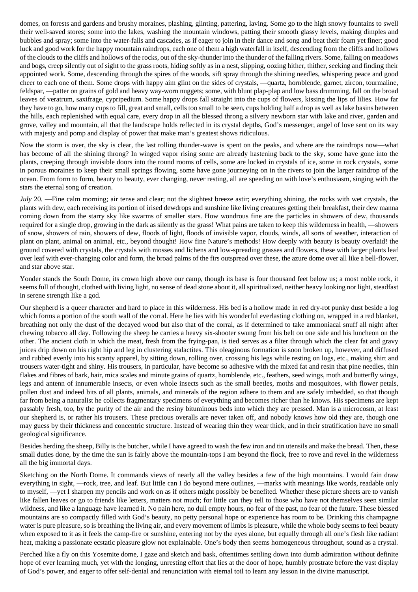domes, on forests and gardens and brushy moraines, plashing, glinting, pattering, laving. Some go to the high snowy fountains to swell their well-saved stores; some into the lakes, washing the mountain windows, patting their smooth glassy levels, making dimples and bubbles and spray; some into the water-falls and cascades, as if eager to join in their dance and song and beat their foam yet finer; good luck and good work for the happy mountain raindrops, each one of them a high waterfall in itself, descending from the cliffs and hollows of the clouds to the cliffs and hollows of the rocks, out of the sky-thunder into the thunder of the falling rivers. Some, falling on meadows and bogs, creep silently out of sight to the grass roots, hiding softly as in a nest, slipping, oozing hither, thither, seeking and finding their appointed work. Some, descending through the spires of the woods, sift spray through the shining needles, whispering peace and good cheer to each one of them. Some drops with happy aim glint on the sides of crystals, —quartz, hornblende, garnet, zircon, tourmaline, feldspar, —patter on grains of gold and heavy way-worn nuggets; some, with blunt plap-plap and low bass drumming, fall on the broad leaves of veratrum, saxifrage, cypripedium. Some happy drops fall straight into the cups of flowers, kissing the lips of lilies. How far they have to go, how many cups to fill, great and small, cells too small to be seen, cups holding half a drop as well as lake basins between the hills, each replenished with equal care, every drop in all the blessed throng a silvery newborn star with lake and river, garden and grove, valley and mountain, all that the landscape holds reflected in its crystal depths, God's messenger, angel of love sent on its way with majesty and pomp and display of power that make man's greatest shows ridiculous.

Now the storm is over, the sky is clear, the last rolling thunder-wave is spent on the peaks, and where are the raindrops now—what has become of all the shining throng? In winged vapor rising some are already hastening back to the sky, some have gone into the plants, creeping through invisible doors into the round rooms of cells, some are locked in crystals of ice, some in rock crystals, some in porous moraines to keep their small springs flowing, some have gone journeying on in the rivers to join the larger raindrop of the ocean. From form to form, beauty to beauty, ever changing, never resting, all are speeding on with love's enthusiasm, singing with the stars the eternal song of creation.

*July* 20. —Fine calm morning; air tense and clear; not the slightest breeze astir; everything shining, the rocks with wet crystals, the plants with dew, each receiving its portion of irised dewdrops and sunshine like living creatures getting their breakfast, their dew manna coming down from the starry sky like swarms of smaller stars. How wondrous fine are the particles in showers of dew, thousands required for a single drop, growing in the dark as silently as the grass! What pains are taken to keep this wilderness in health, —showers of snow, showers of rain, showers of dew, floods of light, floods of invisible vapor, clouds, winds, all sorts of weather, interaction of plant on plant, animal on animal, etc., beyond thought! How fine Nature's methods! How deeply with beauty is beauty overlaid! the ground covered with crystals, the crystals with mosses and lichens and low-spreading grasses and flowers, these with larger plants leaf over leaf with ever-changing color and form, the broad palms of the firs outspread over these, the azure dome over all like a bell-flower, and star above star.

Yonder stands the South Dome, its crown high above our camp, though its base is four thousand feet below us; a most noble rock, it seems full of thought, clothed with living light, no sense of dead stone about it, all spiritualized, neither heavy looking nor light, steadfast in serene strength like a god.

Our shepherd is a queer character and hard to place in this wilderness. His bed is a hollow made in red dry-rot punky dust beside a log which forms a portion of the south wall of the corral. Here he lies with his wonderful everlasting clothing on, wrapped in a red blanket, breathing not only the dust of the decayed wood but also that of the corral, as if determined to take ammoniacal snuff all night after chewing tobacco all day. Following the sheep he carries a heavy six-shooter swung from his belt on one side and his luncheon on the other. The ancient cloth in which the meat, fresh from the frying-pan, is tied serves as a filter through which the clear fat and gravy juices drip down on his right hip and leg in clustering stalactites. This oleaginous formation is soon broken up, however, and diffused and rubbed evenly into his scanty apparel, by sitting down, rolling over, crossing his legs while resting on logs, etc., making shirt and trousers water-tight and shiny. His trousers, in particular, have become so adhesive with the mixed fat and resin that pine needles, thin flakes and fibres of bark, hair, mica scales and minute grains of quartz, hornblende, etc., feathers, seed wings, moth and butterfly wings, legs and antenn of innumerable insects, or even whole insects such as the small beetles, moths and mosquitoes, with flower petals, pollen dust and indeed bits of all plants, animals, and minerals of the region adhere to them and are safely imbedded, so that though far from being a naturalist he collects fragmentary specimens of everything and becomes richer than he knows. His specimens are kept passably fresh, too, by the purity of the air and the resiny bituminous beds into which they are pressed. Man is a microcosm, at least our shepherd is, or rather his trousers. These precious overalls are never taken off, and nobody knows how old they are, though one may guess by their thickness and concentric structure. Instead of wearing thin they wear thick, and in their stratification have no small geological significance.

Besides herding the sheep, Billy is the butcher, while I have agreed to wash the few iron and tin utensils and make the bread. Then, these small duties done, by the time the sun is fairly above the mountain-tops I am beyond the flock, free to rove and revel in the wilderness all the big immortal days.

Sketching on the North Dome. It commands views of nearly all the valley besides a few of the high mountains. I would fain draw everything in sight, —rock, tree, and leaf. But little can I do beyond mere outlines, —marks with meanings like words, readable only to myself, —yet I sharpen my pencils and work on as if others might possibly be benefited. Whether these picture sheets are to vanish like fallen leaves or go to friends like letters, matters not much; for little can they tell to those who have not themselves seen similar wildness, and like a language have learned it. No pain here, no dull empty hours, no fear of the past, no fear of the future. These blessed mountains are so compactly filled with God's beauty, no petty personal hope or experience has room to be. Drinking this champagne water is pure pleasure, so is breathing the living air, and every movement of limbs is pleasure, while the whole body seems to feel beauty when exposed to it as it feels the camp-fire or sunshine, entering not by the eyes alone, but equally through all one's flesh like radiant heat, making a passionate ecstatic pleasure glow not explainable. One's body then seems homogeneous throughout, sound as a crystal.

Perched like a fly on this Yosemite dome, I gaze and sketch and bask, oftentimes settling down into dumb admiration without definite hope of ever learning much, yet with the longing, unresting effort that lies at the door of hope, humbly prostrate before the vast display of God's power, and eager to offer self-denial and renunciation with eternal toil to learn any lesson in the divine manuscript.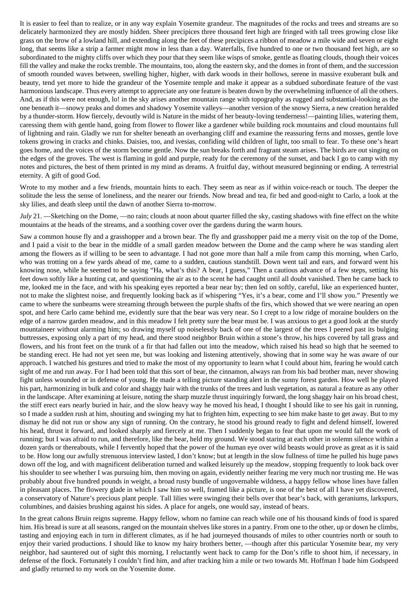It is easier to feel than to realize, or in any way explain Yosemite grandeur. The magnitudes of the rocks and trees and streams are so delicately harmonized they are mostly hidden. Sheer precipices three thousand feet high are fringed with tall trees growing close like grass on the brow of a lowland hill, and extending along the feet of these precipices a ribbon of meadow a mile wide and seven or eight long, that seems like a strip a farmer might mow in less than a day. Waterfalls, five hundred to one or two thousand feet high, are so subordinated to the mighty cliffs over which they pour that they seem like wisps of smoke, gentle as floating clouds, though their voices fill the valley and make the rocks tremble. The mountains, too, along the eastern sky, and the domes in front of them, and the succession of smooth rounded waves between, swelling higher, higher, with dark woods in their hollows, serene in massive exuberant bulk and beauty, tend yet more to hide the grandeur of the Yosemite temple and make it appear as a subdued subordinate feature of the vast harmonious landscape. Thus every attempt to appreciate any one feature is beaten down by the overwhelming influence of all the others. And, as if this were not enough, lo! in the sky arises another mountain range with topography as rugged and substantial-looking as the one beneath it—snowy peaks and domes and shadowy Yosemite valleys—another version of the snowy Sierra, a new creation heralded by a thunder-storm. How fiercely, devoutly wild is Nature in the midst of her beauty-loving tenderness!—painting lilies, watering them, caressing them with gentle hand, going from flower to flower like a gardener while building rock mountains and cloud mountains full of lightning and rain. Gladly we run for shelter beneath an overhanging cliff and examine the reassuring ferns and mosses, gentle love tokens growing in cracks and chinks. Daisies, too, and ivesias, confiding wild children of light, too small to fear. To these one's heart goes home, and the voices of the storm become gentle. Now the sun breaks forth and fragrant steam arises. The birds are out singing on the edges of the groves. The west is flaming in gold and purple, ready for the ceremony of the sunset, and back I go to camp with my notes and pictures, the best of them printed in my mind as dreams. A fruitful day, without measured beginning or ending. A terrestrial eternity. A gift of good God.

Wrote to my mother and a few friends, mountain hints to each. They seem as near as if within voice-reach or touch. The deeper the solitude the less the sense of loneliness, and the nearer our friends. Now bread and tea, fir bed and good-night to Carlo, a look at the sky lilies, and death sleep until the dawn of another Sierra to-morrow.

*July* 21. —Sketching on the Dome, —no rain; clouds at noon about quarter filled the sky, casting shadows with fine effect on the white mountains at the heads of the streams, and a soothing cover over the gardens during the warm hours.

Saw a common house fly and a grasshopper and a brown bear. The fly and grasshopper paid me a merry visit on the top of the Dome, and I paid a visit to the bear in the middle of a small garden meadow between the Dome and the camp where he was standing alert among the flowers as if willing to be seen to advantage. I had not gone more than half a mile from camp this morning, when Carlo, who was trotting on a few yards ahead of me, came to a sudden, cautious standstill. Down went tail and ears, and forward went his knowing nose, while he seemed to be saying "Ha, what's this? A bear, I guess," Then a cautious advance of a few steps, setting his feet down softly like a hunting cat, and questioning the air as to the scent he had caught until all doubt vanished. Then he came back to me, looked me in the face, and with his speaking eyes reported a bear near by; then led on softly, careful, like an experienced hunter, not to make the slightest noise, and frequently looking back as if whispering "Yes, it's a bear, come and I'll show you." Presently we came to where the sunbeams were streaming through between the purple shafts of the firs, which showed that we were nearing an open spot, and here Carlo came behind me, evidently sure that the bear was very near. So I crept to a low ridge of moraine boulders on the edge of a narrow garden meadow, and in this meadow I felt pretty sure the bear must be. I was anxious to get a good look at the sturdy mountaineer without alarming him; so drawing myself up noiselessly back of one of the largest of the trees I peered past its bulging buttresses, exposing only a part of my head, and there stood neighbor Bruin within a stone's throw, his hips covered by tall grass and flowers, and his front feet on the trunk of a fir that had fallen out into the meadow, which raised his head so high that he seemed to be standing erect. He had not yet seen me, but was looking and listening attentively, showing that in some way he was aware of our approach. I watched his gestures and tried to make the most of my opportunity to learn what I could about him, fearing he would catch sight of me and run away. For I had been told that this sort of bear, the cinnamon, always ran from his bad brother man, never showing fight unless wounded or in defense of young. He made a telling picture standing alert in the sunny forest garden. How well he played his part, harmonizing in bulk and color and shaggy hair with the trunks of the trees and lush vegetation, as natural a feature as any other in the landscape. After examining at leisure, noting the sharp muzzle thrust inquiringly forward, the long shaggy hair on his broad chest, the stiff erect ears nearly buried in hair, and the slow heavy way he moved his head, I thought I should like to see his gait in running, so I made a sudden rush at him, shouting and swinging my hat to frighten him, expecting to see him make haste to get away. But to my dismay he did not run or show any sign of running. On the contrary, he stood his ground ready to fight and defend himself, lowered his head, thrust it forward, and looked sharply and fiercely at me. Then I suddenly began to fear that upon me would fall the work of running; but I was afraid to run, and therefore, like the bear, held my ground. We stood staring at each other in solemn silence within a dozen yards or thereabouts, while I fervently hoped that the power of the human eye over wild beasts would prove as great as it is said to be. How long our awfully strenuous interview lasted, I don't know; but at length in the slow fullness of time he pulled his huge paws down off the log, and with magnificent deliberation turned and walked leisurely up the meadow, stopping frequently to look back over his shoulder to see whether I was pursuing him, then moving on again, evidently neither fearing me very much nor trusting me. He was probably about five hundred pounds in weight, a broad rusty bundle of ungovernable wildness, a happy fellow whose lines have fallen in pleasant places. The flowery glade in which I saw him so well, framed like a picture, is one of the best of all I have yet discovered, a conservatory of Nature's precious plant people. Tall lilies were swinging their bells over that bear's back, with geraniums, larkspurs, columbines, and daisies brushing against his sides. A place for angels, one would say, instead of bears.

In the great cañons Bruin reigns supreme. Happy fellow, whom no famine can reach while one of his thousand kinds of food is spared him. His bread is sure at all seasons, ranged on the mountain shelves like stores in a pantry. From one to the other, up or down he climbs, tasting and enjoying each in turn in different climates, as if he had journeyed thousands of miles to other countries north or south to enjoy their varied productions. I should like to know my hairy brothers better, —though after this particular Yosemite bear, my very neighbor, had sauntered out of sight this morning, I reluctantly went back to camp for the Don's rifle to shoot him, if necessary, in defense of the flock. Fortunately I couldn't find him, and after tracking him a mile or two towards Mt. Hoffman I bade him Godspeed and gladly returned to my work on the Yosemite dome.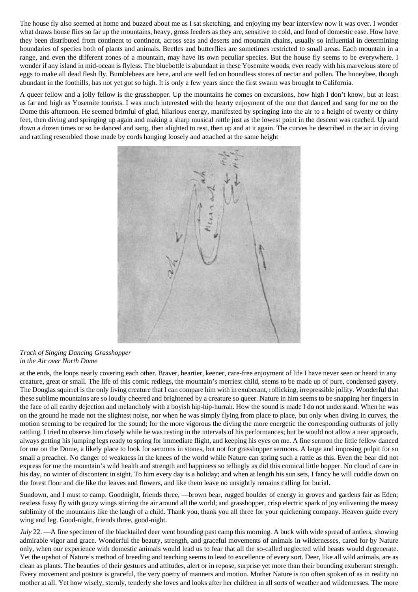The house fly also seemed at home and buzzed about me as I sat sketching, and enjoying my bear interview now it was over. I wonder what draws house flies so far up the mountains, heavy, gross feeders as they are, sensitive to cold, and fond of domestic ease. How have they been distributed from continent to continent, across seas and deserts and mountain chains, usually so influential in determining boundaries of species both of plants and animals. Beetles and butterflies are sometimes restricted to small areas. Each mountain in a range, and even the different zones of a mountain, may have its own peculiar species. But the house fly seems to be everywhere. I wonder if any island in mid-ocean is flyless. The bluebottle is abundant in these Yosemite woods, ever ready with his marvelous store of eggs to make all dead flesh fly. Bumblebees are here, and are well fed on boundless stores of nectar and pollen. The honeybee, though abundant in the foothills, has not yet got so high. It is only a few years since the first swarm was brought to California.

A queer fellow and a jolly fellow is the grasshopper. Up the mountains he comes on excursions, how high I don't know, but at least as far and high as Yosemite tourists. I was much interested with the hearty enjoyment of the one that danced and sang for me on the Dome this afternoon. He seemed brimful of glad, hilarious energy, manifested by springing into the air to a height of twenty or thirty feet, then diving and springing up again and making a sharp musical rattle just as the lowest point in the descent was reached. Up and down a dozen times or so he danced and sang, then alighted to rest, then up and at it again. The curves he described in the air in diving and rattling resembled those made by cords hanging loosely and attached at the same height



#### *Track of Singing Dancing Grasshopper in the Air over North Dome*

at the ends, the loops nearly covering each other. Braver, heartier, keener, care-free enjoyment of life I have never seen or heard in any creature, great or small. The life of this comic redlegs, the mountain's merriest child, seems to be made up of pure, condensed gayety. The Douglas squirrel is the only living creature that I can compare him with in exuberant, rollicking, irrepressible jollity. Wonderful that these sublime mountains are so loudly cheered and brightened by a creature so queer. Nature in him seems to be snapping her fingers in the face of all earthy dejection and melancholy with a boyish hip-hip-hurrah. How the sound is made I do not understand. When he was on the ground he made not the slightest noise, nor when he was simply flying from place to place, but only when diving in curves, the motion seeming to be required for the sound; for the more vigorous the diving the more energetic the corresponding outbursts of jolly rattling. I tried to observe him closely while he was resting in the intervals of his performances; but he would not allow a near approach, always getting his jumping legs ready to spring for immediate flight, and keeping his eyes on me. A fine sermon the little fellow danced for me on the Dome, a likely place to look for sermons in stones, but not for grasshopper sermons. A large and imposing pulpit for so small a preacher. No danger of weakness in the knees of the world while Nature can spring such a rattle as this. Even the bear did not express for me the mountain's wild health and strength and happiness so tellingly as did this comical little hopper. No cloud of care in his day, no winter of discontent in sight. To him every day is a holiday; and when at length his sun sets, I fancy he will cuddle down on the forest floor and die like the leaves and flowers, and like them leave no unsightly remains calling for burial.

Sundown, and I must to camp. Goodnight, friends three, —brown bear, rugged boulder of energy in groves and gardens fair as Eden; restless fussy fly with gauzy wings stirring the air around all the world; and grasshopper, crisp electric spark of joy enlivening the massy sublimity of the mountains like the laugh of a child. Thank you, thank you all three for your quickening company. Heaven guide every wing and leg. Good-night, friends three, good-night.

*July* 22. —A fine specimen of the blacktailed deer went bounding past camp this morning. A buck with wide spread of antlers, showing admirable vigor and grace. Wonderful the beauty, strength, and graceful movements of animals in wildernesses, cared for by Nature only, when our experience with domestic animals would lead us to fear that all the so-called neglected wild beasts would degenerate. Yet the upshot of Nature's method of breeding and teaching seems to lead to excellence of every sort. Deer, like all wild animals, are as clean as plants. The beauties of their gestures and attitudes, alert or in repose, surprise yet more than their bounding exuberant strength. Every movement and posture is graceful, the very poetry of manners and motion. Mother Nature is too often spoken of as in reality no mother at all. Yet how wisely, sternly, tenderly she loves and looks after her children in all sorts of weather and wildernesses. The more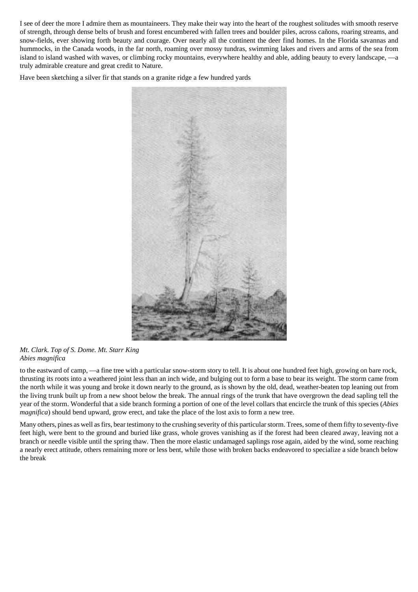I see of deer the more I admire them as mountaineers. They make their way into the heart of the roughest solitudes with smooth reserve of strength, through dense belts of brush and forest encumbered with fallen trees and boulder piles, across cañons, roaring streams, and snow-fields, ever showing forth beauty and courage. Over nearly all the continent the deer find homes. In the Florida savannas and hummocks, in the Canada woods, in the far north, roaming over mossy tundras, swimming lakes and rivers and arms of the sea from island to island washed with waves, or climbing rocky mountains, everywhere healthy and able, adding beauty to every landscape, —a truly admirable creature and great credit to Nature.

Have been sketching a silver fir that stands on a granite ridge a few hundred yards



# *Mt. Clark. Top of S. Dome. Mt. Starr King Abies magnifica*

to the eastward of camp, —a fine tree with a particular snow-storm story to tell. It is about one hundred feet high, growing on bare rock, thrusting its roots into a weathered joint less than an inch wide, and bulging out to form a base to bear its weight. The storm came from the north while it was young and broke it down nearly to the ground, as is shown by the old, dead, weather-beaten top leaning out from the living trunk built up from a new shoot below the break. The annual rings of the trunk that have overgrown the dead sapling tell the year of the storm. Wonderful that a side branch forming a portion of one of the level collars that encircle the trunk of this species (*Abies magnifica*) should bend upward, grow erect, and take the place of the lost axis to form a new tree.

Many others, pines as well as firs, bear testimony to the crushing severity of this particular storm. Trees, some of them fifty to seventy-five feet high, were bent to the ground and buried like grass, whole groves vanishing as if the forest had been cleared away, leaving not a branch or needle visible until the spring thaw. Then the more elastic undamaged saplings rose again, aided by the wind, some reaching a nearly erect attitude, others remaining more or less bent, while those with broken backs endeavored to specialize a side branch below the break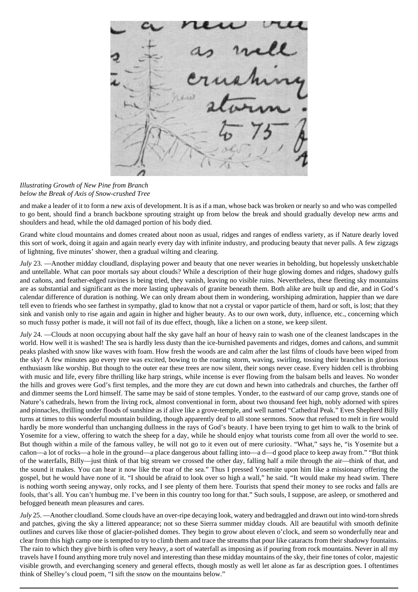*Illustrating Growth of New Pine from Branch below the Break of Axis of Snow-crushed Tree*

and make a leader of it to form a new axis of development. It is as if a man, whose back was broken or nearly so and who was compelled to go bent, should find a branch backbone sprouting straight up from below the break and should gradually develop new arms and shoulders and head, while the old damaged portion of his body died.

Grand white cloud mountains and domes created about noon as usual, ridges and ranges of endless variety, as if Nature dearly loved this sort of work, doing it again and again nearly every day with infinite industry, and producing beauty that never palls. A few zigzags of lightning, five minutes' shower, then a gradual wilting and clearing.

*July* 23. —Another midday cloudland, displaying power and beauty that one never wearies in beholding, but hopelessly unsketchable and untellable. What can poor mortals say about clouds? While a description of their huge glowing domes and ridges, shadowy gulfs and cañons, and feather-edged ravines is being tried, they vanish, leaving no visible ruins. Nevertheless, these fleeting sky mountains are as substantial and significant as the more lasting upheavals of granite beneath them. Both alike are built up and die, and in God's calendar difference of duration is nothing. We can only dream about them in wondering, worshiping admiration, happier than we dare tell even to friends who see farthest in sympathy, glad to know that not a crystal or vapor particle of them, hard or soft, is lost; that they sink and vanish only to rise again and again in higher and higher beauty. As to our own work, duty, influence, etc., concerning which so much fussy pother is made, it will not fail of its due effect, though, like a lichen on a stone, we keep silent.

*July* 24. —Clouds at noon occupying about half the sky gave half an hour of heavy rain to wash one of the cleanest landscapes in the world. How well it is washed! The sea is hardly less dusty than the ice-burnished pavements and ridges, domes and cañons, and summit peaks plashed with snow like waves with foam. How fresh the woods are and calm after the last films of clouds have been wiped from the sky! A few minutes ago every tree was excited, bowing to the roaring storm, waving, swirling, tossing their branches in glorious enthusiasm like worship. But though to the outer ear these trees are now silent, their songs never cease. Every hidden cell is throbbing with music and life, every fibre thrilling like harp strings, while incense is ever flowing from the balsam bells and leaves. No wonder the hills and groves were God's first temples, and the more they are cut down and hewn into cathedrals and churches, the farther off and dimmer seems the Lord himself. The same may be said of stone temples. Yonder, to the eastward of our camp grove, stands one of Nature's cathedrals, hewn from the living rock, almost conventional in form, about two thousand feet high, nobly adorned with spires and pinnacles, thrilling under floods of sunshine as if alive like a grove-temple, and well named "Cathedral Peak." Even Shepherd Billy turns at times to this wonderful mountain building, though apparently deaf to all stone sermons. Snow that refused to melt in fire would hardly be more wonderful than unchanging dullness in the rays of God's beauty. I have been trying to get him to walk to the brink of Yosemite for a view, offering to watch the sheep for a day, while he should enjoy what tourists come from all over the world to see. But though within a mile of the famous valley, he will not go to it even out of mere curiosity. "What," says he, "is Yosemite but a cañon—a lot of rocks—a hole in the ground—a place dangerous about falling into—a d—d good place to keep away from." "But think of the waterfalls, Billy—just think of that big stream we crossed the other day, falling half a mile through the air—think of that, and the sound it makes. You can hear it now like the roar of the sea." Thus I pressed Yosemite upon him like a missionary offering the gospel, but he would have none of it. "I should be afraid to look over so high a wall," he said. "It would make my head swim. There is nothing worth seeing anyway, only rocks, and I see plenty of them here. Tourists that spend their money to see rocks and falls are fools, that's all. You can't humbug me. I've been in this country too long for that." Such souls, I suppose, are asleep, or smothered and befogged beneath mean pleasures and cares.

*July* 25. —Another cloudland. Some clouds have an over-ripe decaying look, watery and bedraggled and drawn out into wind-torn shreds and patches, giving the sky a littered appearance; not so these Sierra summer midday clouds. All are beautiful with smooth definite outlines and curves like those of glacier-polished domes. They begin to grow about eleven o'clock, and seem so wonderfully near and clear from this high camp one is tempted to try to climb them and trace the streams that pour like cataracts from their shadowy fountains. The rain to which they give birth is often very heavy, a sort of waterfall as imposing as if pouring from rock mountains. Never in all my travels have I found anything more truly novel and interesting than these midday mountains of the sky, their fine tones of color, majestic visible growth, and everchanging scenery and general effects, though mostly as well let alone as far as description goes. I oftentimes think of Shelley's cloud poem, "I sift the snow on the mountains below."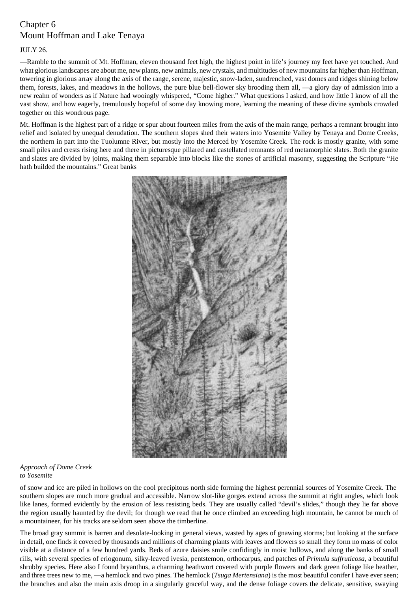# Chapter 6 Mount Hoffman and Lake Tenaya

# JULY 26.

—Ramble to the summit of Mt. Hoffman, eleven thousand feet high, the highest point in life's journey my feet have yet touched. And what glorious landscapes are about me, new plants, new animals, new crystals, and multitudes of new mountains far higher than Hoffman, towering in glorious array along the axis of the range, serene, majestic, snow-laden, sundrenched, vast domes and ridges shining below them, forests, lakes, and meadows in the hollows, the pure blue bell-flower sky brooding them all, —a glory day of admission into a new realm of wonders as if Nature had wooingly whispered, "Come higher." What questions I asked, and how little I know of all the vast show, and how eagerly, tremulously hopeful of some day knowing more, learning the meaning of these divine symbols crowded together on this wondrous page.

Mt. Hoffman is the highest part of a ridge or spur about fourteen miles from the axis of the main range, perhaps a remnant brought into relief and isolated by unequal denudation. The southern slopes shed their waters into Yosemite Valley by Tenaya and Dome Creeks, the northern in part into the Tuolumne River, but mostly into the Merced by Yosemite Creek. The rock is mostly granite, with some small piles and crests rising here and there in picturesque pillared and castellated remnants of red metamorphic slates. Both the granite and slates are divided by joints, making them separable into blocks like the stones of artificial masonry, suggesting the Scripture "He hath builded the mountains." Great banks



## *Approach of Dome Creek to Yosemite*

of snow and ice are piled in hollows on the cool precipitous north side forming the highest perennial sources of Yosemite Creek. The southern slopes are much more gradual and accessible. Narrow slot-like gorges extend across the summit at right angles, which look like lanes, formed evidently by the erosion of less resisting beds. They are usually called "devil's slides," though they lie far above the region usually haunted by the devil; for though we read that he once climbed an exceeding high mountain, he cannot be much of a mountaineer, for his tracks are seldom seen above the timberline.

The broad gray summit is barren and desolate-looking in general views, wasted by ages of gnawing storms; but looking at the surface in detail, one finds it covered by thousands and millions of charming plants with leaves and flowers so small they form no mass of color visible at a distance of a few hundred yards. Beds of azure daisies smile confidingly in moist hollows, and along the banks of small rills, with several species of eriogonum, silky-leaved ivesia, pentstemon, orthocarpus, and patches of *Primula suffruticosa*, a beautiful shrubby species. Here also I found bryanthus, a charming heathwort covered with purple flowers and dark green foliage like heather, and three trees new to me, —a hemlock and two pines. The hemlock (*Tsuga Mertensiana*) is the most beautiful conifer I have ever seen; the branches and also the main axis droop in a singularly graceful way, and the dense foliage covers the delicate, sensitive, swaying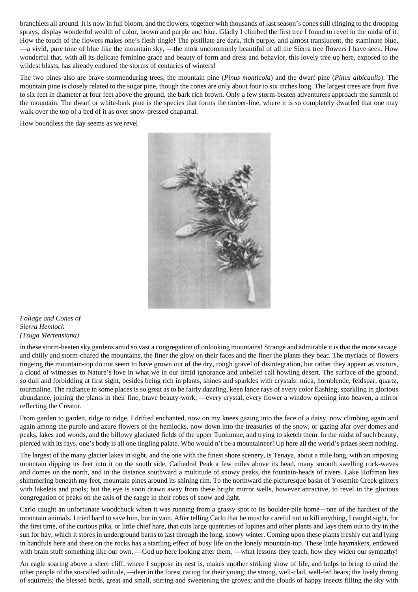branchlets all around. It is now in full bloom, and the flowers, together with thousands of last season's cones still clinging to the drooping sprays, display wonderful wealth of color, brown and purple and blue. Gladly I climbed the first tree I found to revel in the midst of it. How the touch of the flowers makes one's flesh tingle! The pistillate are dark, rich purple, and almost translucent, the staminate blue, —a vivid, pure tone of blue like the mountain sky, —the most uncommonly beautiful of all the Sierra tree flowers I have seen. How wonderful that, with all its delicate feminine grace and beauty of form and dress and behavior, this lovely tree up here, exposed to the wildest blasts, has already endured the storms of centuries of winters!

The two pines also are brave stormenduring trees, the mountain pine (*Pinus monticola*) and the dwarf pine (*Pinus albicaulis*). The mountain pine is closely related to the sugar pine, though the cones are only about four to six inches long. The largest trees are from five to six feet in diameter at four feet above the ground, the bark rich brown. Only a few storm-beaten adventurers approach the summit of the mountain. The dwarf or white-bark pine is the species that forms the timber-line, where it is so completely dwarfed that one may walk over the top of a bed of it as over snow-pressed chaparral.

How boundless the day seems as we revel



*Foliage and Cones of Sierra Hemlock (Tsuga Mertensiana)*

in these storm-beaten sky gardens amid so vast a congregation of onlooking mountains! Strange and admirable it is that the more savage and chilly and storm-chafed the mountains, the finer the glow on their faces and the finer the plants they bear. The myriads of flowers tingeing the mountain-top do not seem to have grown out of the dry, rough gravel of disintegration, but rather they appear as visitors, a cloud of witnesses to Nature's love in what we in our timid ignorance and unbelief call howling desert. The surface of the ground, so dull and forbidding at first sight, besides being rich in plants, shines and sparkles with crystals: mica, hornblende, feldspar, quartz, tourmaline. The radiance in some places is so great as to be fairly dazzling, keen lance rays of every color flashing, sparkling in glorious abundance, joining the plants in their fine, brave beauty-work, —every crystal, every flower a window opening into heaven, a mirror reflecting the Creator.

From garden to garden, ridge to ridge, I drifted enchanted, now on my knees gazing into the face of a daisy, now climbing again and again among the purple and azure flowers of the hemlocks, now down into the treasuries of the snow, or gazing afar over domes and peaks, lakes and woods, and the billowy glaciated fields of the upper Tuolumne, and trying to sketch them. In the midst of such beauty, pierced with its rays, one's body is all one tingling palate. Who would n't be a mountaineer! Up here all the world's prizes seem nothing.

The largest of the many glacier lakes in sight, and the one with the finest shore scenery, is Tenaya, about a mile long, with an imposing mountain dipping its feet into it on the south side, Cathedral Peak a few miles above its head, many smooth swelling rock-waves and domes on the north, and in the distance southward a multitude of snowy peaks, the fountain-heads of rivers. Lake Hoffman lies shimmering beneath my feet, mountain pines around its shining rim. To the northward the picturesque basin of Yosemite Creek glitters with lakelets and pools; but the eye is soon drawn away from these bright mirror wells, however attractive, to revel in the glorious congregation of peaks on the axis of the range in their robes of snow and light.

Carlo caught an unfortunate woodchuck when it was running from a grassy spot to its boulder-pile home—one of the hardiest of the mountain animals. I tried hard to save him, but in vain. After telling Carlo that he must be careful not to kill anything, I caught sight, for the first time, of the curious pika, or little chief hare, that cuts large quantities of lupines and other plants and lays them out to dry in the sun for hay, which it stores in underground barns to last through the long, snowy winter. Coming upon these plants freshly cut and lying in handfuls here and there on the rocks has a startling effect of busy life on the lonely mountain-top. These little haymakers, endowed with brain stuff something like our own, —God up here looking after them, —what lessons they teach, how they widen our sympathy!

An eagle soaring above a sheer cliff, where I suppose its nest is, makes another striking show of life, and helps to bring to mind the other people of the so-called solitude, —deer in the forest caring for their young; the strong, well-clad, well-fed bears; the lively throng of squirrels; the blessed birds, great and small, stirring and sweetening the groves; and the clouds of happy insects filling the sky with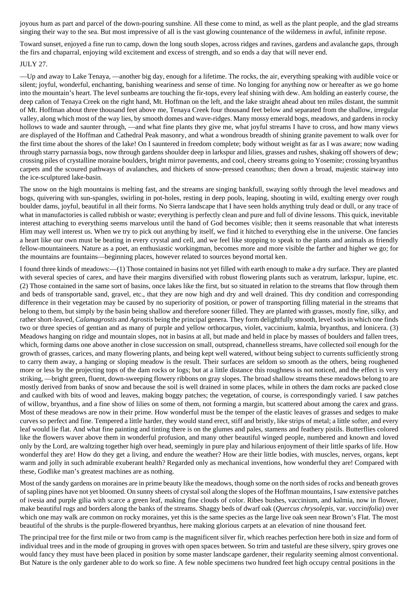joyous hum as part and parcel of the down-pouring sunshine. All these come to mind, as well as the plant people, and the glad streams singing their way to the sea. But most impressive of all is the vast glowing countenance of the wilderness in awful, infinite repose.

Toward sunset, enjoyed a fine run to camp, down the long south slopes, across ridges and ravines, gardens and avalanche gaps, through the firs and chaparral, enjoying wild excitement and excess of strength, and so ends a day that will never end.

#### JULY 27.

—Up and away to Lake Tenaya, —another big day, enough for a lifetime. The rocks, the air, everything speaking with audible voice or silent; joyful, wonderful, enchanting, banishing weariness and sense of time. No longing for anything now or hereafter as we go home into the mountain's heart. The level sunbeams are touching the fir-tops, every leaf shining with dew. Am holding an easterly course, the deep cañon of Tenaya Creek on the right hand, Mt. Hoffman on the left, and the lake straight ahead about ten miles distant, the summit of Mt. Hoffman about three thousand feet above me, Tenaya Creek four thousand feet below and separated from the shallow, irregular valley, along which most of the way lies, by smooth domes and wave-ridges. Many mossy emerald bogs, meadows, and gardens in rocky hollows to wade and saunter through, —and what fine plants they give me, what joyful streams I have to cross, and how many views are displayed of the Hoffman and Cathedral Peak masonry, and what a wondrous breadth of shining granite pavement to walk over for the first time about the shores of the lake! On I sauntered in freedom complete; body without weight as far as I was aware; now wading through starry parnassia bogs, now through gardens shoulder deep in larkspur and lilies, grasses and rushes, shaking off showers of dew; crossing piles of crystalline moraine boulders, bright mirror pavements, and cool, cheery streams going to Yosemite; crossing bryanthus carpets and the scoured pathways of avalanches, and thickets of snow-pressed ceanothus; then down a broad, majestic stairway into the ice-sculptured lake-basin.

The snow on the high mountains is melting fast, and the streams are singing bankfull, swaying softly through the level meadows and bogs, quivering with sun-spangles, swirling in pot-holes, resting in deep pools, leaping, shouting in wild, exulting energy over rough boulder dams, joyful, beautiful in all their forms. No Sierra landscape that I have seen holds anything truly dead or dull, or any trace of what in manufactories is called rubbish or waste; everything is perfectly clean and pure and full of divine lessons. This quick, inevitable interest attaching to everything seems marvelous until the hand of God becomes visible; then it seems reasonable that what interests Him may well interest us. When we try to pick out anything by itself, we find it hitched to everything else in the universe. One fancies a heart like our own must be beating in every crystal and cell, and we feel like stopping to speak to the plants and animals as friendly fellow-mountaineers. Nature as a poet, an enthusiastic workingman, becomes more and more visible the farther and higher we go; for the mountains are fountains—beginning places, however related to sources beyond mortal ken.

I found three kinds of meadows:—(1) Those contained in basins not yet filled with earth enough to make a dry surface. They are planted with several species of carex, and have their margins diversified with robust flowering plants such as veratrum, larkspur, lupine, etc. (2) Those contained in the same sort of basins, once lakes like the first, but so situated in relation to the streams that flow through them and beds of transportable sand, gravel, etc., that they are now high and dry and well drained. This dry condition and corresponding difference in their vegetation may be caused by no superiority of position, or power of transporting filling material in the streams that belong to them, but simply by the basin being shallow and therefore sooner filled. They are planted with grasses, mostly fine, silky, and rather short-leaved, *Calamagrostis* and *Agrostis* being the principal genera. They form delightfully smooth, level sods in which one finds two or three species of gentian and as many of purple and yellow orthocarpus, violet, vaccinium, kalmia, bryanthus, and lonicera. (3) Meadows hanging on ridge and mountain slopes, not in basins at all, but made and held in place by masses of boulders and fallen trees, which, forming dams one above another in close succession on small, outspread, channelless streams, have collected soil enough for the growth of grasses, carices, and many flowering plants, and being kept well watered, without being subject to currents sufficiently strong to carry them away, a hanging or sloping meadow is the result. Their surfaces are seldom so smooth as the others, being roughened more or less by the projecting tops of the dam rocks or logs; but at a little distance this roughness is not noticed, and the effect is very striking, —bright green, fluent, down-sweeping flowery ribbons on gray slopes. The broad shallow streams these meadows belong to are mostly derived from banks of snow and because the soil is well drained in some places, while in others the dam rocks are packed close and caulked with bits of wood and leaves, making boggy patches; the vegetation, of course, is correspondingly varied. I saw patches of willow, bryanthus, and a fine show of lilies on some of them, not forming a margin, but scattered about among the carex and grass. Most of these meadows are now in their prime. How wonderful must be the temper of the elastic leaves of grasses and sedges to make curves so perfect and fine. Tempered a little harder, they would stand erect, stiff and bristly, like strips of metal; a little softer, and every leaf would lie flat. And what fine painting and tinting there is on the glumes and pales, stamens and feathery pistils. Butterflies colored like the flowers waver above them in wonderful profusion, and many other beautiful winged people, numbered and known and loved only by the Lord, are waltzing together high over head, seemingly in pure play and hilarious enjoyment of their little sparks of life. How wonderful they are! How do they get a living, and endure the weather? How are their little bodies, with muscles, nerves, organs, kept warm and jolly in such admirable exuberant health? Regarded only as mechanical inventions, how wonderful they are! Compared with these, Godlike man's greatest machines are as nothing.

Most of the sandy gardens on moraines are in prime beauty like the meadows, though some on the north sides of rocks and beneath groves of sapling pines have not yet bloomed. On sunny sheets of crystal soil along the slopes of the Hoffman mountains, I saw extensive patches of ivesia and purple gilia with scarce a green leaf, making fine clouds of color. Ribes bushes, vaccinium, and kalmia, now in flower, make beautiful rugs and borders along the banks of the streams. Shaggy beds of dwarf oak (*Quercus chrysolepis*, var. *vaccinifolia*) over which one may walk are common on rocky moraines, yet this is the same species as the large live oak seen near Brown's Flat. The most beautiful of the shrubs is the purple-flowered bryanthus, here making glorious carpets at an elevation of nine thousand feet.

The principal tree for the first mile or two from camp is the magnificent silver fir, which reaches perfection here both in size and form of individual trees and in the mode of grouping in groves with open spaces between. So trim and tasteful are these silvery, spiry groves one would fancy they must have been placed in position by some master landscape gardener, their regularity seeming almost conventional. But Nature is the only gardener able to do work so fine. A few noble specimens two hundred feet high occupy central positions in the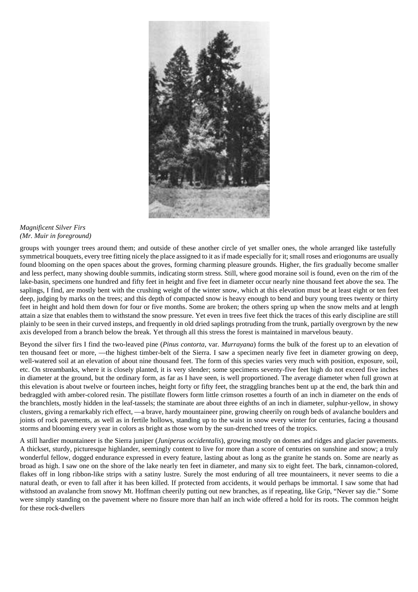

## *Magnificent Silver Firs (Mr. Muir in foreground)*

groups with younger trees around them; and outside of these another circle of yet smaller ones, the whole arranged like tastefully symmetrical bouquets, every tree fitting nicely the place assigned to it as if made especially for it; small roses and eriogonums are usually found blooming on the open spaces about the groves, forming charming pleasure grounds. Higher, the firs gradually become smaller and less perfect, many showing double summits, indicating storm stress. Still, where good moraine soil is found, even on the rim of the lake-basin, specimens one hundred and fifty feet in height and five feet in diameter occur nearly nine thousand feet above the sea. The saplings, I find, are mostly bent with the crushing weight of the winter snow, which at this elevation must be at least eight or ten feet deep, judging by marks on the trees; and this depth of compacted snow is heavy enough to bend and bury young trees twenty or thirty feet in height and hold them down for four or five months. Some are broken; the others spring up when the snow melts and at length attain a size that enables them to withstand the snow pressure. Yet even in trees five feet thick the traces of this early discipline are still plainly to be seen in their curved insteps, and frequently in old dried saplings protruding from the trunk, partially overgrown by the new axis developed from a branch below the break. Yet through all this stress the forest is maintained in marvelous beauty.

Beyond the silver firs I find the two-leaved pine (*Pinus contorta*, var. *Murrayana*) forms the bulk of the forest up to an elevation of ten thousand feet or more, —the highest timber-belt of the Sierra. I saw a specimen nearly five feet in diameter growing on deep, well-watered soil at an elevation of about nine thousand feet. The form of this species varies very much with position, exposure, soil, etc. On streambanks, where it is closely planted, it is very slender; some specimens seventy-five feet high do not exceed five inches in diameter at the ground, but the ordinary form, as far as I have seen, is well proportioned. The average diameter when full grown at this elevation is about twelve or fourteen inches, height forty or fifty feet, the straggling branches bent up at the end, the bark thin and bedraggled with amber-colored resin. The pistillate flowers form little crimson rosettes a fourth of an inch in diameter on the ends of the branchlets, mostly hidden in the leaf-tassels; the staminate are about three eighths of an inch in diameter, sulphur-yellow, in showy clusters, giving a remarkably rich effect, —a brave, hardy mountaineer pine, growing cheerily on rough beds of avalanche boulders and joints of rock pavements, as well as in fertile hollows, standing up to the waist in snow every winter for centuries, facing a thousand storms and blooming every year in colors as bright as those worn by the sun-drenched trees of the tropics.

A still hardier mountaineer is the Sierra juniper (*Juniperus occidentalis*), growing mostly on domes and ridges and glacier pavements. A thickset, sturdy, picturesque highlander, seemingly content to live for more than a score of centuries on sunshine and snow; a truly wonderful fellow, dogged endurance expressed in every feature, lasting about as long as the granite he stands on. Some are nearly as broad as high. I saw one on the shore of the lake nearly ten feet in diameter, and many six to eight feet. The bark, cinnamon-colored, flakes off in long ribbon-like strips with a satiny lustre. Surely the most enduring of all tree mountaineers, it never seems to die a natural death, or even to fall after it has been killed. If protected from accidents, it would perhaps be immortal. I saw some that had withstood an avalanche from snowy Mt. Hoffman cheerily putting out new branches, as if repeating, like Grip, "Never say die." Some were simply standing on the pavement where no fissure more than half an inch wide offered a hold for its roots. The common height for these rock-dwellers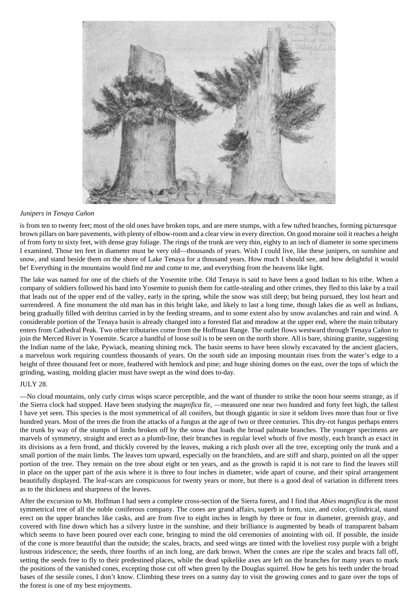

## *Junipers in Tenaya Cañon*

is from ten to twenty feet; most of the old ones have broken tops, and are mere stumps, with a few tufted branches, forming picturesque brown pillars on bare pavements, with plenty of elbow-room and a clear view in every direction. On good moraine soil it reaches a height of from forty to sixty feet, with dense gray foliage. The rings of the trunk are very thin, eighty to an inch of diameter in some specimens I examined. Those ten feet in diameter must be very old—thousands of years. Wish I could live, like these junipers, on sunshine and snow, and stand beside them on the shore of Lake Tenaya for a thousand years. How much I should see, and how delightful it would be! Everything in the mountains would find me and come to me, and everything from the heavens like light.

The lake was named for one of the chiefs of the Yosemite tribe. Old Tenaya is said to have been a good Indian to his tribe. When a company of soldiers followed his band into Yosemite to punish them for cattle-stealing and other crimes, they fled to this lake by a trail that leads out of the upper end of the valley, early in the spring, while the snow was still deep; but being pursued, they lost heart and surrendered. A fine monument the old man has in this bright lake, and likely to last a long time, though lakes die as well as Indians, being gradually filled with detritus carried in by the feeding streams, and to some extent also by snow avalanches and rain and wind. A considerable portion of the Tenaya basin is already changed into a forested flat and meadow at the upper end, where the main tributary enters from Cathedral Peak. Two other tributaries come from the Hoffman Range. The outlet flows westward through Tenaya Cañon to join the Merced River in Yosemite. Scarce a handful of loose soil is to be seen on the north shore. All is bare, shining granite, suggesting the Indian name of the lake, Pywiack, meaning shining rock. The basin seems to have been slowly excavated by the ancient glaciers, a marvelous work requiring countless thousands of years. On the south side an imposing mountain rises from the water's edge to a height of three thousand feet or more, feathered with hemlock and pine; and huge shining domes on the east, over the tops of which the grinding, wasting, molding glacier must have swept as the wind does to-day.

# JULY 28.

—No cloud mountains, only curly cirrus wisps scarce perceptible, and the want of thunder to strike the noon hour seems strange, as if the Sierra clock had stopped. Have been studying the *magnifica* fir, —measured one near two hundred and forty feet high, the tallest I have yet seen. This species is the most symmetrical of all conifers, but though gigantic in size it seldom lives more than four or five hundred years. Most of the trees die from the attacks of a fungus at the age of two or three centuries. This dry-rot fungus perhaps enters the trunk by way of the stumps of limbs broken off by the snow that loads the broad palmate branches. The younger specimens are marvels of symmetry, straight and erect as a plumb-line, their branches in regular level whorls of five mostly, each branch as exact in its divisions as a fern frond, and thickly covered by the leaves, making a rich plush over all the tree, excepting only the trunk and a small portion of the main limbs. The leaves turn upward, especially on the branchlets, and are stiff and sharp, pointed on all the upper portion of the tree. They remain on the tree about eight or ten years, and as the growth is rapid it is not rare to find the leaves still in place on the upper part of the axis where it is three to four inches in diameter, wide apart of course, and their spiral arrangement beautifully displayed. The leaf-scars are conspicuous for twenty years or more, but there is a good deal of variation in different trees as to the thickness and sharpness of the leaves.

After the excursion to Mt. Hoffman I had seen a complete cross-section of the Sierra forest, and I find that *Abies magnifica* is the most symmetrical tree of all the noble coniferous company. The cones are grand affairs, superb in form, size, and color, cylindrical, stand erect on the upper branches like casks, and are from five to eight inches in length by three or four in diameter, greenish gray, and covered with fine down which has a silvery lustre in the sunshine, and their brilliance is augmented by beads of transparent balsam which seems to have been poured over each cone, bringing to mind the old ceremonies of anointing with oil. If possible, the inside of the cone is more beautiful than the outside; the scales, bracts, and seed wings are tinted with the loveliest rosy purple with a bright lustrous iridescence; the seeds, three fourths of an inch long, are dark brown. When the cones are ripe the scales and bracts fall off, setting the seeds free to fly to their predestined places, while the dead spikelike axes are left on the branches for many years to mark the positions of the vanished cones, excepting those cut off when green by the Douglas squirrel. How he gets his teeth under the broad bases of the sessile cones, I don't know. Climbing these trees on a sunny day to visit the growing cones and to gaze over the tops of the forest is one of my best enjoyments.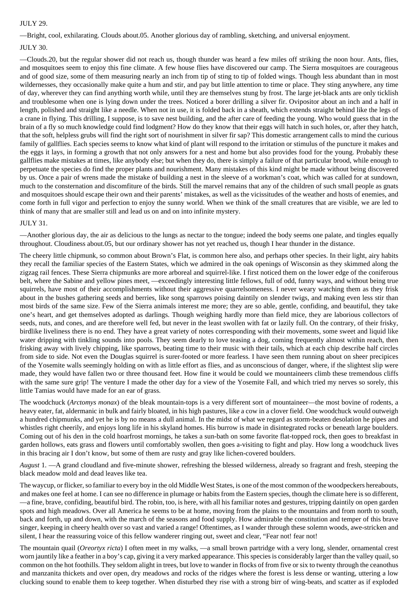## JULY 29.

—Bright, cool, exhilarating. Clouds about.05. Another glorious day of rambling, sketching, and universal enjoyment.

#### JULY 30.

—Clouds.20, but the regular shower did not reach us, though thunder was heard a few miles off striking the noon hour. Ants, flies, and mosquitoes seem to enjoy this fine climate. A few house flies have discovered our camp. The Sierra mosquitoes are courageous and of good size, some of them measuring nearly an inch from tip of sting to tip of folded wings. Though less abundant than in most wildernesses, they occasionally make quite a hum and stir, and pay but little attention to time or place. They sting anywhere, any time of day, wherever they can find anything worth while, until they are themselves stung by frost. The large jet-black ants are only ticklish and troublesome when one is lying down under the trees. Noticed a borer drilling a silver fir. Ovipositor about an inch and a half in length, polished and straight like a needle. When not in use, it is folded back in a sheath, which extends straight behind like the legs of a crane in flying. This drilling, I suppose, is to save nest building, and the after care of feeding the young. Who would guess that in the brain of a fly so much knowledge could find lodgment? How do they know that their eggs will hatch in such holes, or, after they hatch, that the soft, helpless grubs will find the right sort of nourishment in silver fir sap? This domestic arrangement calls to mind the curious family of gallflies. Each species seems to know what kind of plant will respond to the irritation or stimulus of the puncture it makes and the eggs it lays, in forming a growth that not only answers for a nest and home but also provides food for the young. Probably these gallflies make mistakes at times, like anybody else; but when they do, there is simply a failure of that particular brood, while enough to perpetuate the species do find the proper plants and nourishment. Many mistakes of this kind might be made without being discovered by us. Once a pair of wrens made the mistake of building a nest in the sleeve of a workman's coat, which was called for at sundown, much to the consternation and discomfiture of the birds. Still the marvel remains that any of the children of such small people as gnats and mosquitoes should escape their own and their parents' mistakes, as well as the vicissitudes of the weather and hosts of enemies, and come forth in full vigor and perfection to enjoy the sunny world. When we think of the small creatures that are visible, we are led to think of many that are smaller still and lead us on and on into infinite mystery.

#### JULY 31.

—Another glorious day, the air as delicious to the lungs as nectar to the tongue; indeed the body seems one palate, and tingles equally throughout. Cloudiness about.05, but our ordinary shower has not yet reached us, though I hear thunder in the distance.

The cheery little chipmunk, so common about Brown's Flat, is common here also, and perhaps other species. In their light, airy habits they recall the familiar species of the Eastern States, which we admired in the oak openings of Wisconsin as they skimmed along the zigzag rail fences. These Sierra chipmunks are more arboreal and squirrel-like. I first noticed them on the lower edge of the coniferous belt, where the Sabine and yellow pines meet, —exceedingly interesting little fellows, full of odd, funny ways, and without being true squirrels, have most of their accomplishments without their aggressive quarrelsomeness. I never weary watching them as they frisk about in the bushes gathering seeds and berries, like song sparrows poising daintily on slender twigs, and making even less stir than most birds of the same size. Few of the Sierra animals interest me more; they are so able, gentle, confiding, and beautiful, they take one's heart, and get themselves adopted as darlings. Though weighing hardly more than field mice, they are laborious collectors of seeds, nuts, and cones, and are therefore well fed, but never in the least swollen with fat or lazily full. On the contrary, of their frisky, birdlike liveliness there is no end. They have a great variety of notes corresponding with their movements, some sweet and liquid like water dripping with tinkling sounds into pools. They seem dearly to love teasing a dog, coming frequently almost within reach, then frisking away with lively chipping, like sparrows, beating time to their music with their tails, which at each chip describe half circles from side to side. Not even the Douglas squirrel is surer-footed or more fearless. I have seen them running about on sheer precipices of the Yosemite walls seemingly holding on with as little effort as flies, and as unconscious of danger, where, if the slightest slip were made, they would have fallen two or three thousand feet. How fine it would be could we mountaineers climb these tremendous cliffs with the same sure grip! The venture I made the other day for a view of the Yosemite Fall, and which tried my nerves so sorely, this little Tamias would have made for an ear of grass.

The woodchuck (*Arctomys monax*) of the bleak mountain-tops is a very different sort of mountaineer—the most bovine of rodents, a heavy eater, fat, aldermanic in bulk and fairly bloated, in his high pastures, like a cow in a clover field. One woodchuck would outweigh a hundred chipmunks, and yet he is by no means a dull animal. In the midst of what we regard as storm-beaten desolation he pipes and whistles right cheerily, and enjoys long life in his skyland homes. His burrow is made in disintegrated rocks or beneath large boulders. Coming out of his den in the cold hoarfrost mornings, he takes a sun-bath on some favorite flat-topped rock, then goes to breakfast in garden hollows, eats grass and flowers until comfortably swollen, then goes a-visiting to fight and play. How long a woodchuck lives in this bracing air I don't know, but some of them are rusty and gray like lichen-covered boulders.

*August* 1. —A grand cloudland and five-minute shower, refreshing the blessed wilderness, already so fragrant and fresh, steeping the black meadow mold and dead leaves like tea.

The waycup, or flicker, so familiar to every boy in the old Middle West States, is one of the most common of the woodpeckers hereabouts, and makes one feel at home. I can see no difference in plumage or habits from the Eastern species, though the climate here is so different, —a fine, brave, confiding, beautiful bird. The robin, too, is here, with all his familiar notes and gestures, tripping daintily on open garden spots and high meadows. Over all America he seems to be at home, moving from the plains to the mountains and from north to south, back and forth, up and down, with the march of the seasons and food supply. How admirable the constitution and temper of this brave singer, keeping in cheery health over so vast and varied a range! Oftentimes, as I wander through these solemn woods, awe-stricken and silent, I hear the reassuring voice of this fellow wanderer ringing out, sweet and clear, "Fear not! fear not!

The mountain quail (*Oreortyx ricta*) I often meet in my walks, —a small brown partridge with a very long, slender, ornamental crest worn jauntily like a feather in a boy's cap, giving it a very marked appearance. This species is considerably larger than the valley quail, so common on the hot foothills. They seldom alight in trees, but love to wander in flocks of from five or six to twenty through the ceanothus and manzanita thickets and over open, dry meadows and rocks of the ridges where the forest is less dense or wanting, uttering a low clucking sound to enable them to keep together. When disturbed they rise with a strong birr of wing-beats, and scatter as if exploded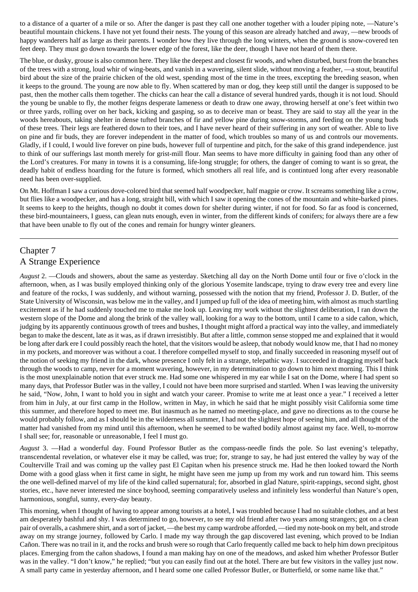to a distance of a quarter of a mile or so. After the danger is past they call one another together with a louder piping note, —Nature's beautiful mountain chickens. I have not yet found their nests. The young of this season are already hatched and away, —new broods of happy wanderers half as large as their parents. I wonder how they live through the long winters, when the ground is snow-covered ten feet deep. They must go down towards the lower edge of the forest, like the deer, though I have not heard of them there.

The blue, or dusky, grouse is also common here. They like the deepest and closest fir woods, and when disturbed, burst from the branches of the trees with a strong, loud whir of wing-beats, and vanish in a wavering, silent slide, without moving a feather, —a stout, beautiful bird about the size of the prairie chicken of the old west, spending most of the time in the trees, excepting the breeding season, when it keeps to the ground. The young are now able to fly. When scattered by man or dog, they keep still until the danger is supposed to be past, then the mother calls them together. The chicks can hear the call a distance of several hundred yards, though it is not loud. Should the young be unable to fly, the mother feigns desperate lameness or death to draw one away, throwing herself at one's feet within two or three yards, rolling over on her back, kicking and gasping, so as to deceive man or beast. They are said to stay all the year in the woods hereabouts, taking shelter in dense tufted branches of fir and yellow pine during snow-storms, and feeding on the young buds of these trees. Their legs are feathered down to their toes, and I have never heard of their suffering in any sort of weather. Able to live on pine and fir buds, they are forever independent in the matter of food, which troubles so many of us and controls our movements. Gladly, if I could, I would live forever on pine buds, however full of turpentine and pitch, for the sake of this grand independence. just to think of our sufferings last month merely for grist-mill flour. Man seems to have more difficulty in gaining food than any other of the Lord's creatures. For many in towns it is a consuming, life-long struggle; for others, the danger of coming to want is so great, the deadly habit of endless hoarding for the future is formed, which smothers all real life, and is contintued long after every reasonable need has been over-supplied.

On Mt. Hoffman I saw a curious dove-colored bird that seemed half woodpecker, half magpie or crow. It screams something like a crow, but flies like a woodpecker, and has a long, straight bill, with which I saw it opening the cones of the mountain and white-barked pines. It seems to keep to the heights, though no doubt it comes down for shelter during winter, if not for food. So far as food is concerned, these bird-mountaineers, I guess, can glean nuts enough, even in winter, from the different kinds of conifers; for always there are a few that have been unable to fly out of the cones and remain for hungry winter gleaners.

# Chapter 7 A Strange Experience

*August* 2. —Clouds and showers, about the same as yesterday. Sketching all day on the North Dome until four or five o'clock in the afternoon, when, as I was busily employed thinking only of the glorious Yosemite landscape, trying to draw every tree and every line and feature of the rocks, I was suddenly, and without warning, possessed with the notion that my friend, Professor J. D. Butler, of the State University of Wisconsin, was below me in the valley, and I jumped up full of the idea of meeting him, with almost as much startling excitement as if he had suddenly touched me to make me look up. Leaving my work without the slightest deliberation, I ran down the western slope of the Dome and along the brink of the valley wall, looking for a way to the bottom, until I came to a side cañon, which, judging by its apparently continuous growth of trees and bushes, I thought might afford a practical way into the valley, and immediately began to make the descent, late as it was, as if drawn irresistibly. But after a little, common sense stopped me and explained that it would be long after dark ere I could possibly reach the hotel, that the visitors would be asleep, that nobody would know me, that I had no money in my pockets, and moreover was without a coat. I therefore compelled myself to stop, and finally succeeded in reasoning myself out of the notion of seeking my friend in the dark, whose presence I only felt in a strange, telepathic way. I succeeded in dragging myself back through the woods to camp, never for a moment wavering, however, in my determination to go down to him next morning. This I think is the most unexplainable notion that ever struck me. Had some one whispered in my ear while I sat on the Dome, where I had spent so many days, that Professor Butler was in the valley, I could not have been more surprised and startled. When I was leaving the university he said, "Now, John, I want to hold you in sight and watch your career. Promise to write me at least once a year." I received a letter from him in July, at our first camp in the Hollow, written in May, in which he said that he might possibly visit California some time this summer, and therefore hoped to meet me. But inasmuch as he named no meeting-place, and gave no directions as to the course he would probably follow, and as I should be in the wilderness all summer, I had not the slightest hope of seeing him, and all thought of the matter had vanished from my mind until this afternoon, when he seemed to be wafted bodily almost against my face. Well, to-morrow I shall see; for, reasonable or unreasonable, I feel I must go.

*August* 3. —Had a wonderful day. Found Professor Butler as the compass-needle finds the pole. So last evening's telepathy, transcendental revelation, or whatever else it may be called, was true; for, strange to say, he had just entered the valley by way of the Coulterville Trail and was coming up the valley past El Capitan when his presence struck me. Had he then looked toward the North Dome with a good glass when it first came in sight, he might have seen me jump up from my work and run toward him. This seems the one well-defined marvel of my life of the kind called supernatural; for, absorbed in glad Nature, spirit-rappings, second sight, ghost stories, etc., have never interested me since boyhood, seeming comparatively useless and infinitely less wonderful than Nature's open, harmonious, songful, sunny, every-day beauty.

This morning, when I thought of having to appear among tourists at a hotel, I was troubled because I had no suitable clothes, and at best am desperately bashful and shy. I was determined to go, however, to see my old friend after two years among strangers; got on a clean pair of overalls, a cashmere shirt, and a sort of jacket, —the best my camp wardrobe afforded, —tied my note-book on my belt, and strode away on my strange journey, followed by Carlo. I made my way through the gap discovered last evening, which proved to be Indian Cañon. There was no trail in it, and the rocks and brush were so rough that Carlo frequently called me back to help him down precipitous places. Emerging from the cañon shadows, I found a man making hay on one of the meadows, and asked him whether Professor Butler was in the valley. "I don't know," he replied; "but you can easily find out at the hotel. There are but few visitors in the valley just now. A small party came in yesterday afternoon, and I heard some one called Professor Butler, or Butterfield, or some name like that."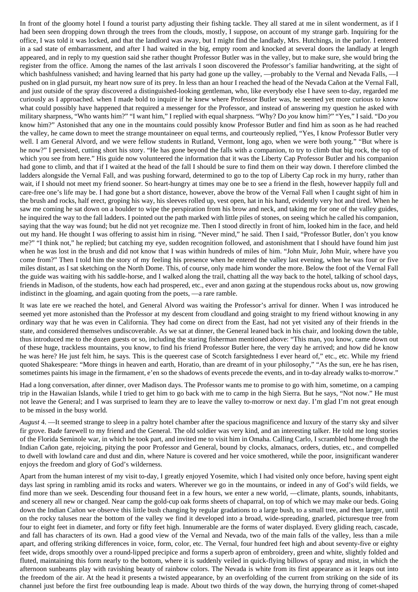In front of the gloomy hotel I found a tourist party adjusting their fishing tackle. They all stared at me in silent wonderment, as if I had been seen dropping down through the trees from the clouds, mostly, I suppose, on account of my strange garb. Inquiring for the office, I was told it was locked, and that the landlord was away, but I might find the landlady, Mrs. Hutchings, in the parlor. I entered in a sad state of embarrassment, and after I had waited in the big, empty room and knocked at several doors the landlady at length appeared, and in reply to my question said she rather thought Professor Butler was in the valley, but to make sure, she would bring the register from the office. Among the names of the last arrivals I soon discovered the Professor's familiar handwriting, at the sight of which bashfulness vanished; and having learned that his party had gone up the valley, —probably to the Vernal and Nevada Falls, —I pushed on in glad pursuit, my heart now sure of its prey. In less than an hour I reached the head of the Nevada Cañon at the Vernal Fall, and just outside of the spray discovered a distinguished-looking gentleman, who, like everybody else I have seen to-day, regarded me curiously as I approached. when I made bold to inquire if he knew where Professor Butler was, he seemed yet more curious to know what could possibly have happened that required a messenger for the Professor, and instead of answering my question he asked with military sharpness, "Who wants him?" "I want him," I replied with equal sharpness. "Why? Do *you* know him?" "Yes," I said. "Do *you* know him?" Astonished that any one in the mountains could possibly know Professor Butler and find him as soon as he had reached the valley, he came down to meet the strange mountaineer on equal terms, and courteously replied, "Yes, I know Professor Butler very well. I am General Alvord, and we were fellow students in Rutland, Vermont, long ago, when we were both young." "But where is he now?" I persisted, cutting short his story. "He has gone beyond the falls with a companion, to try to climb that big rock, the top of which you see from here." His guide now volunteered the information that it was the Liberty Cap Professor Butler and his companion had gone to climb, and that if I waited at the head of the fall I should be sure to find them on their way down. I therefore climbed the ladders alongside the Vernal Fall, and was pushing forward, determined to go to the top of Liberty Cap rock in my hurry, rather than wait, if I should not meet my friend sooner. So heart-hungry at times may one be to see a friend in the flesh, however happily full and care-free one's life may be. I had gone but a short distance, however, above the brow of the Vernal Fall when I caught sight of him in the brush and rocks, half erect, groping his way, his sleeves rolled up, vest open, hat in his hand, evidently very hot and tired. When he saw me coming he sat down on a boulder to wipe the perspiration from his brow and neck, and taking me for one of the valley guides, he inquired the way to the fall ladders. I pointed out the path marked with little piles of stones, on seeing which he called his companion, saying that the way was found; but he did not yet recognize me. Then I stood directly in front of him, looked him in the face, and held out my hand. He thought I was offering to assist him in rising. "Never mind," he said. Then I said, "Professor Butler, don't you know me?" "I think not," he replied; but catching my eye, sudden recognition followed, and astonishment that I should have found him just when he was lost in the brush and did not know that I was within hundreds of miles of him. "John Muir, John Muir, where have you come from?" Then I told him the story of my feeling his presence when he entered the valley last evening, when he was four or five miles distant, as I sat sketching on the North Dome. This, of course, only made him wonder the more. Below the foot of the Vernal Fall the guide was waiting with his saddle-horse, and I walked along the trail, chatting all the way back to the hotel, talking of school days, friends in Madison, of the students, how each had prospered, etc., ever and anon gazing at the stupendous rocks about us, now growing indistinct in the gloaming, and again quoting from the poets, —a rare ramble.

It was late ere we reached the hotel, and General Alvord was waiting the Professor's arrival for dinner. When I was introduced he seemed yet more astonished than the Professor at my descent from cloudland and going straight to my friend without knowing in any ordinary way that he was even in California. They had come on direct from the East, had not yet visited any of their friends in the state, and considered themselves undiscoverable. As we sat at dinner, the General leaned back in his chair, and looking down the table, thus introduced me to the dozen guests or so, including the staring fisherman mentioned above: "This man, you know, came down out of these huge, trackless mountains, you know, to find his friend Professor Butler here, the very day he arrived; and how did he know he was here? He just felt him, he says. This is the queerest case of Scotch farsightedness I ever heard of," etc., etc. While my friend quoted Shakespeare: "More things in heaven and earth, Horatio, than are dreamt of in your philosophy," "As the sun, ere he has risen, sometimes paints his image in the firmament, e'en so the shadows of events precede the events, and in to-day already walks to-morrow."

Had a long conversation, after dinner, over Madison days. The Professor wants me to promise to go with him, sometime, on a camping trip in the Hawaiian Islands, while I tried to get him to go back with me to camp in the high Sierra. But he says, "Not now." He must not leave the General; and I was surprised to learn they are to leave the valley to-morrow or next day. I'm glad I'm not great enough to be missed in the busy world.

*August* 4. —It seemed strange to sleep in a paltry hotel chamber after the spacious magnificence and luxury of the starry sky and silver fir grove. Bade farewell to my friend and the General. The old soldier was very kind, and an interesting talker. He told me long stories of the Florida Seminole war, in which he took part, and invited me to visit him in Omaha. Calling Carlo, I scrambled home through the Indian Cañon gate, rejoicing, pitying the poor Professor and General, bound by clocks, almanacs, orders, duties, etc., and compelled to dwell with lowland care and dust and din, where Nature is covered and her voice smothered, while the poor, insignificant wanderer enjoys the freedom and glory of God's wilderness.

Apart from the human interest of my visit to-day, I greatly enjoyed Yosemite, which I had visited only once before, having spent eight days last spring in rambling amid its rocks and waters. Wherever we go in the mountains, or indeed in any of God's wild fields, we find more than we seek. Descending four thousand feet in a few hours, we enter a new world, —climate, plants, sounds, inhabitants, and scenery all new or changed. Near camp the gold-cup oak forms sheets of chaparral, on top of which we may make our beds. Going down the Indian Cañon we observe this little bush changing by regular gradations to a large bush, to a small tree, and then larger, until on the rocky taluses near the bottom of the valley we find it developed into a broad, wide-spreading, gnarled, picturesque tree from four to eight feet in diameter, and forty or fifty feet high. Innumerable are the forms of water displayed. Every gliding reach, cascade, and fall has characters of its own. Had a good view of the Vernal and Nevada, two of the main falls of the valley, less than a mile apart, and offering striking differences in voice, form, color, etc. The Vernal, four hundred feet high and about seventy-five or eighty feet wide, drops smoothly over a round-lipped precipice and forms a superb apron of embroidery, green and white, slightly folded and fluted, maintaining this form nearly to the bottom, where it is suddenly veiled in quick-flying billows of spray and mist, in which the afternoon sunbeams play with ravishing beauty of rainbow colors. The Nevada is white from its first appearance as it leaps out into the freedom of the air. At the head it presents a twisted appearance, by an overfolding of the current from striking on the side of its channel just before the first free outbounding leap is made. About two thirds of the way down, the hurrying throng of comet-shaped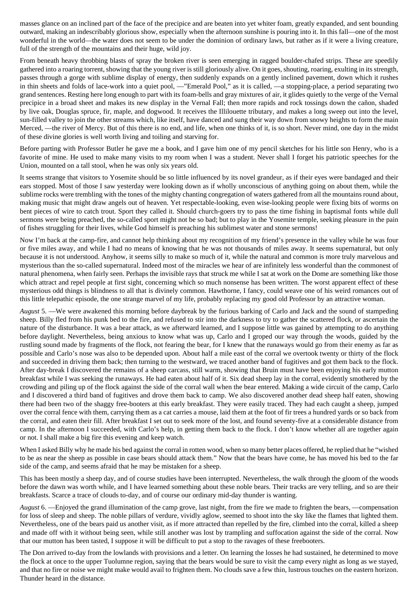masses glance on an inclined part of the face of the precipice and are beaten into yet whiter foam, greatly expanded, and sent bounding outward, making an indescribably glorious show, especially when the afternoon sunshine is pouring into it. In this fall—one of the most wonderful in the world—the water does not seem to be under the dominion of ordinary laws, but rather as if it were a living creature, full of the strength of the mountains and their huge, wild joy.

From beneath heavy throbbing blasts of spray the broken river is seen emerging in ragged boulder-chafed strips. These are speedily gathered into a roaring torrent, showing that the young river is still gloriously alive. On it goes, shouting, roaring, exulting in its strength, passes through a gorge with sublime display of energy, then suddenly expands on a gently inclined pavement, down which it rushes in thin sheets and folds of lace-work into a quiet pool, —"Emerald Pool," as it is called, —a stopping-place, a period separating two grand sentences. Resting here long enough to part with its foam-bells and gray mixtures of air, it glides quietly to the verge of the Vernal precipice in a broad sheet and makes its new display in the Vernal Fall; then more rapids and rock tossings down the cañon, shaded by live oak, Douglas spruce, fir, maple, and dogwood. It receives the Illilouette tributary, and makes a long sweep out into the level, sun-filled valley to join the other streams which, like itself, have danced and sung their way down from snowy heights to form the main Merced, —the river of Mercy. But of this there is no end, and life, when one thinks of it, is so short. Never mind, one day in the midst of these divine glories is well worth living and toiling and starving for.

Before parting with Professor Butler he gave me a book, and I gave him one of my pencil sketches for his little son Henry, who is a favorite of mine. He used to make many visits to my room when I was a student. Never shall I forget his patriotic speeches for the Union, mounted on a tall stool, when he was only six years old.

It seems strange that visitors to Yosemite should be so little influenced by its novel grandeur, as if their eyes were bandaged and their ears stopped. Most of those I saw yesterday were looking down as if wholly unconscious of anything going on about them, while the sublime rocks were trembling with the tones of the mighty chanting congregation of waters gathered from all the mountains round about, making music that might draw angels out of heaven. Yet respectable-looking, even wise-looking people were fixing bits of worms on bent pieces of wire to catch trout. Sport they called it. Should church-goers try to pass the time fishing in baptismal fonts while dull sermons were being preached, the so-called sport might not be so bad; but to play in the Yosemite temple, seeking pleasure in the pain of fishes struggling for their lives, while God himself is preaching his sublimest water and stone sermons!

Now I'm back at the camp-fire, and cannot help thinking about my recognition of my friend's presence in the valley while he was four or five miles away, and while I had no means of knowing that he was not thousands of miles away. It seems supernatural, but only because it is not understood. Anyhow, it seems silly to make so much of it, while the natural and common is more truly marvelous and mysterious than the so-called supernatural. Indeed most of the miracles we hear of are infinitely less wonderful than the commonest of natural phenomena, when fairly seen. Perhaps the invisible rays that struck me while I sat at work on the Dome are something like those which attract and repel people at first sight, concerning which so much nonsense has been written. The worst apparent effect of these mysterious odd things is blindness to all that is divinely common. Hawthorne, I fancy, could weave one of his weird romances out of this little telepathic episode, the one strange marvel of my life, probably replacing my good old Professor by an attractive woman.

*August* 5. —We were awakened this morning before daybreak by the furious barking of Carlo and Jack and the sound of stampeding sheep. Billy fled from his punk bed to the fire, and refused to stir into the darkness to try to gather the scattered flock, or ascertain the nature of the disturbance. It was a bear attack, as we afterward learned, and I suppose little was gained by attempting to do anything before daylight. Nevertheless, being anxious to know what was up, Carlo and I groped our way through the woods, guided by the rustling sound made by fragments of the flock, not fearing the bear, for I knew that the runaways would go from their enemy as far as possible and Carlo's nose was also to be depended upon. About half a mile east of the corral we overtook twenty or thirty of the flock and succeeded in driving them back; then turning to the westward, we traced another band of fugitives and got them back to the flock. After day-break I discovered the remains of a sheep carcass, still warm, showing that Bruin must have been enjoying his early mutton breakfast while I was seeking the runaways. He had eaten about half of it. Six dead sheep lay in the corral, evidently smothered by the crowding and piling up of the flock against the side of the corral wall when the bear entered. Making a wide circuit of the camp, Carlo and I discovered a third band of fugitives and drove them back to camp. We also discovered another dead sheep half eaten, showing there had been two of the shaggy free-booters at this early breakfast. They were easily traced. They had each caught a sheep, jumped over the corral fence with them, carrying them as a cat carries a mouse, laid them at the foot of fir trees a hundred yards or so back from the corral, and eaten their fill. After breakfast I set out to seek more of the lost, and found seventy-five at a considerable distance from camp. In the afternoon I succeeded, with Carlo's help, in getting them back to the flock. I don't know whether all are together again or not. I shall make a big fire this evening and keep watch.

When I asked Billy why he made his bed against the corral in rotten wood, when so many better places offered, he replied that he "wished to be as near the sheep as possible in case bears should attack them." Now that the bears have come, he has moved his bed to the far side of the camp, and seems afraid that he may be mistaken for a sheep.

This has been mostly a sheep day, and of course studies have been interrupted. Nevertheless, the walk through the gloom of the woods before the dawn was worth while, and I have learned something about these noble bears. Their tracks are very telling, and so are their breakfasts. Scarce a trace of clouds to-day, and of course our ordinary mid-day thunder is wanting.

*August* 6. —Enjoyed the grand illumination of the camp grove, last night, from the fire we made to frighten the bears, —compensation for loss of sleep and sheep. The noble pillars of verdure, vividly aglow, seemed to shoot into the sky like the flames that lighted them. Nevertheless, one of the bears paid us another visit, as if more attracted than repelled by the fire, climbed into the corral, killed a sheep and made off with it without being seen, while still another was lost by trampling and suffocation against the side of the corral. Now that our mutton has been tasted, I suppose it will be difficult to put a stop to the ravages of these freebooters.

The Don arrived to-day from the lowlands with provisions and a letter. On learning the losses he had sustained, he determined to move the flock at once to the upper Tuolumne region, saying that the bears would be sure to visit the camp every night as long as we stayed, and that no fire or noise we might make would avail to frighten them. No clouds save a few thin, lustrous touches on the eastern horizon. Thunder heard in the distance.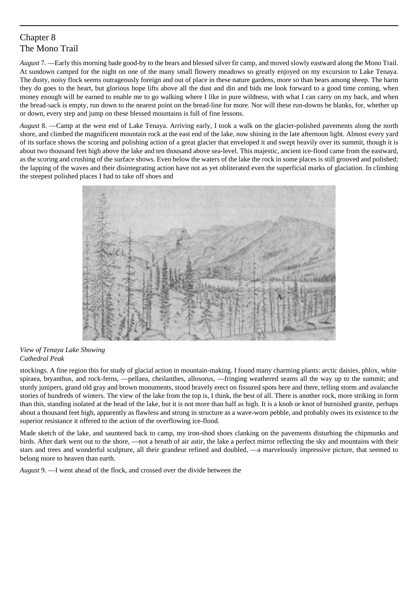# Chapter 8 The Mono Trail

*August* 7. —Early this morning bade good-by to the bears and blessed silver fir camp, and moved slowly eastward along the Mono Trail. At sundown camped for the night on one of the many small flowery meadows so greatly enjoyed on my excursion to Lake Tenaya. The dusty, noisy flock seems outrageously foreign and out of place in these nature gardens, more so than bears among sheep. The harm they do goes to the heart, but glorious hope lifts above all the dust and din and bids me look forward to a good time coming, when money enough will be earned to enable me to go walking where I like in pure wildness, with what I can carry on my back, and when the bread-sack is empty, run down to the nearest point on the bread-line for more. Nor will these run-downs be blanks, for, whether up or down, every step and jump on these blessed mountains is full of fine lessons.

*August* 8. —Camp at the west end of Lake Tenaya. Arriving early, I took a walk on the glacier-polished pavements along the north shore, and climbed the magnificent mountain rock at the east end of the lake, now shining in the late afternoon light. Almost every yard of its surface shows the scoring and polishing action of a great glacier that enveloped it and swept heavily over its summit, though it is about two thousand feet high above the lake and ten thousand above sea-level. This majestic, ancient ice-flood came from the eastward, as the scoring and crushing of the surface shows. Even below the waters of the lake the rock in some places is still grooved and polished; the lapping of the waves and their disintegrating action have not as yet obliterated even the superficial marks of glaciation. In climbing the steepest polished places I had to take off shoes and



# *View of Tenaya Lake Showing Cathedral Peak*

stockings. A fine region this for study of glacial action in mountain-making. I found many charming plants: arctic daisies, phlox, white spiraea, bryanthus, and rock-ferns, —pellaea, cheilanthes, allosorus, —fringing weathered seams all the way up to the summit; and sturdy junipers, grand old gray and brown monuments, stood bravely erect on fissured spots here and there, telling storm and avalanche stories of hundreds of winters. The view of the lake from the top is, I think, the best of all. There is another rock, more striking in form than this, standing isolated at the head of the lake, but it is not more than half as high. It is a knob or knot of burnished granite, perhaps about a thousand feet high, apparently as flawless and strong in structure as a wave-worn pebble, and probably owes its existence to the superior resistance it offered to the action of the overflowing ice-flood.

Made sketch of the lake, and sauntered back to camp, my iron-shod shoes clanking on the pavements disturbing the chipmunks and birds. After dark went out to the shore, —not a breath of air astir, the lake a perfect mirror reflecting the sky and mountains with their stars and trees and wonderful sculpture, all their grandeur refined and doubled, —a marvelously impressive picture, that seemed to belong more to heaven than earth.

*August* 9. —I went ahead of the flock, and crossed over the divide between the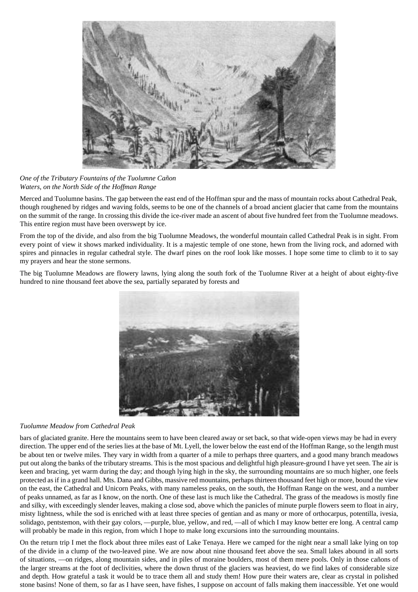

# *One of the Tributary Fountains of the Tuolumne Cañon Waters, on the North Side of the Hoffman Range*

Merced and Tuolumne basins. The gap between the east end of the Hoffman spur and the mass of mountain rocks about Cathedral Peak, though roughened by ridges and waving folds, seems to be one of the channels of a broad ancient glacier that came from the mountains on the summit of the range. In crossing this divide the ice-river made an ascent of about five hundred feet from the Tuolumne meadows. This entire region must have been overswept by ice.

From the top of the divide, and also from the big Tuolumne Meadows, the wonderful mountain called Cathedral Peak is in sight. From every point of view it shows marked individuality. It is a majestic temple of one stone, hewn from the living rock, and adorned with spires and pinnacles in regular cathedral style. The dwarf pines on the roof look like mosses. I hope some time to climb to it to say my prayers and hear the stone sermons.

The big Tuolumne Meadows are flowery lawns, lying along the south fork of the Tuolumne River at a height of about eighty-five hundred to nine thousand feet above the sea, partially separated by forests and



# *Tuolumne Meadow from Cathedral Peak*

bars of glaciated granite. Here the mountains seem to have been cleared away or set back, so that wide-open views may be had in every direction. The upper end of the series lies at the base of Mt. Lyell, the lower below the east end of the Hoffman Range, so the length must be about ten or twelve miles. They vary in width from a quarter of a mile to perhaps three quarters, and a good many branch meadows put out along the banks of the tributary streams. This is the most spacious and delightful high pleasure-ground I have yet seen. The air is keen and bracing, yet warm during the day; and though lying high in the sky, the surrounding mountains are so much higher, one feels protected as if in a grand hall. Mts. Dana and Gibbs, massive red mountains, perhaps thirteen thousand feet high or more, bound the view on the east, the Cathedral and Unicorn Peaks, with many nameless peaks, on the south, the Hoffman Range on the west, and a number of peaks unnamed, as far as I know, on the north. One of these last is much like the Cathedral. The grass of the meadows is mostly fine and silky, with exceedingly slender leaves, making a close sod, above which the panicles of minute purple flowers seem to float in airy, misty lightness, while the sod is enriched with at least three species of gentian and as many or more of orthocarpus, potentilla, ivesia, solidago, pentstemon, with their gay colors, —purple, blue, yellow, and red, —all of which I may know better ere long. A central camp will probably be made in this region, from which I hope to make long excursions into the surrounding mountains.

On the return trip I met the flock about three miles east of Lake Tenaya. Here we camped for the night near a small lake lying on top of the divide in a clump of the two-leaved pine. We are now about nine thousand feet above the sea. Small lakes abound in all sorts of situations, —on ridges, along mountain sides, and in piles of moraine boulders, most of them mere pools. Only in those cañons of the larger streams at the foot of declivities, where the down thrust of the glaciers was heaviest, do we find lakes of considerable size and depth. How grateful a task it would be to trace them all and study them! How pure their waters are, clear as crystal in polished stone basins! None of them, so far as I have seen, have fishes, I suppose on account of falls making them inaccessible. Yet one would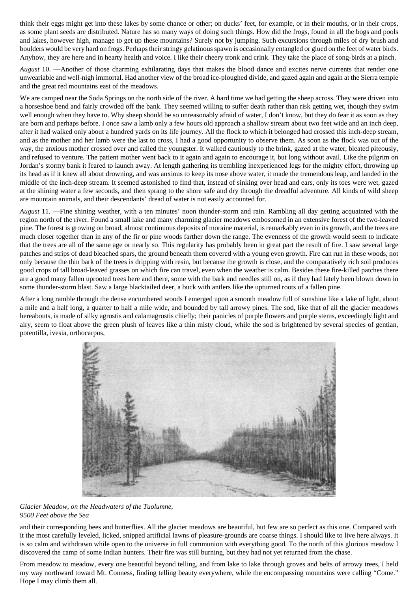think their eggs might get into these lakes by some chance or other; on ducks' feet, for example, or in their mouths, or in their crops, as some plant seeds are distributed. Nature has so many ways of doing such things. How did the frogs, found in all the bogs and pools and lakes, however high, manage to get up these mountains? Surely not by jumping. Such excursions through miles of dry brush and boulders would be very hard on frogs. Perhaps their stringy gelatinous spawn is occasionally entangled or glued on the feet of water birds. Anyhow, they are here and in hearty health and voice. I like their cheery tronk and crink. They take the place of song-birds at a pinch.

*August* 10. —Another of those charming exhilarating days that makes the blood dance and excites nerve currents that render one unweariable and well-nigh immortal. Had another view of the broad ice-ploughed divide, and gazed again and again at the Sierra temple and the great red mountains east of the meadows.

We are camped near the Soda Springs on the north side of the river. A hard time we had getting the sheep across. They were driven into a horseshoe bend and fairly crowded off the bank. They seemed willing to suffer death rather than risk getting wet, though they swim well enough when they have to. Why sheep should be so unreasonably afraid of water, I don't know, but they do fear it as soon as they are born and perhaps before. I once saw a lamb only a few hours old approach a shallow stream about two feet wide and an inch deep, after it had walked only about a hundred yards on its life journey. All the flock to which it belonged had crossed this inch-deep stream, and as the mother and her lamb were the last to cross, I had a good opportunity to observe them. As soon as the flock was out of the way, the anxious mother crossed over and called the youngster. It walked cautiously to the brink, gazed at the water, bleated piteously, and refused to venture. The patient mother went back to it again and again to encourage it, but long without avail. Like the pilgrim on Jordan's stormy bank it feared to launch away. At length gathering its trembling inexperienced legs for the mighty effort, throwing up its head as if it knew all about drowning, and was anxious to keep its nose above water, it made the tremendous leap, and landed in the middle of the inch-deep stream. It seemed astonished to find that, instead of sinking over head and ears, only its toes were wet, gazed at the shining water a few seconds, and then sprang to the shore safe and dry through the dreadful adventure. All kinds of wild sheep are mountain animals, and their descendants' dread of water is not easily accounted for.

*August* 11. —Fine shining weather, with a ten minutes' noon thunder-storm and rain. Rambling all day getting acquainted with the region north of the river. Found a small lake and many charming glacier meadows embosomed in an extensive forest of the two-leaved pine. The forest is growing on broad, almost continuous deposits of moraine material, is remarkably even in its growth, and the trees are much closer together than in any of the fir or pine woods farther down the range. The evenness of the growth would seem to indicate that the trees are all of the same age or nearly so. This regularity has probably been in great part the result of fire. I saw several large patches and strips of dead bleached spars, the ground beneath them covered with a young even growth. Fire can run in these woods, not only because the thin bark of the trees is dripping with resin, but because the growth is close, and the comparatively rich soil produces good crops of tall broad-leaved grasses on which fire can travel, even when the weather is calm. Besides these fire-killed patches there are a good many fallen uprooted trees here and there, some with the bark and needles still on, as if they had lately been blown down in some thunder-storm blast. Saw a large blacktailed deer, a buck with antlers like the upturned roots of a fallen pine.

After a long ramble through the dense encumbered woods I emerged upon a smooth meadow full of sunshine like a lake of light, about a mile and a half long, a quarter to half a mile wide, and bounded by tall arrowy pines. The sod, like that of all the glacier meadows hereabouts, is made of silky agrostis and calamagrostis chiefly; their panicles of purple flowers and purple stems, exceedingly light and airy, seem to float above the green plush of leaves like a thin misty cloud, while the sod is brightened by several species of gentian, potentilla, ivesia, orthocarpus,



## *Glacier Meadow, on the Headwaters of the Tuolumne, 9500 Feet above the Sea*

and their corresponding bees and butterflies. All the glacier meadows are beautiful, but few are so perfect as this one. Compared with it the most carefully leveled, licked, snipped artificial lawns of pleasure-grounds are coarse things. I should like to live here always. It is so calm and withdrawn while open to the universe in full communion with everything good. To the north of this glorious meadow I discovered the camp of some Indian hunters. Their fire was still burning, but they had not yet returned from the chase.

From meadow to meadow, every one beautiful beyond telling, and from lake to lake through groves and belts of arrowy trees, I held my way northward toward Mt. Conness, finding telling beauty everywhere, while the encompassing mountains were calling "Come." Hope I may climb them all.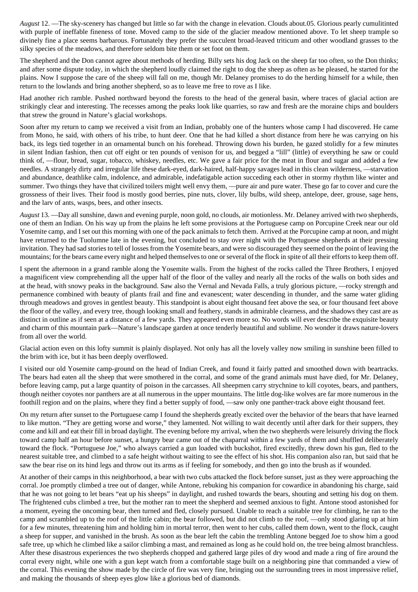*August* 12. —The sky-scenery has changed but little so far with the change in elevation. Clouds about.05. Glorious pearly cumulitinted with purple of ineffable fineness of tone. Moved camp to the side of the glacier meadow mentioned above. To let sheep trample so divinely fine a place seems barbarous. Fortunately they prefer the succulent broad-leaved triticum and other woodland grasses to the silky species of the meadows, and therefore seldom bite them or set foot on them.

The shepherd and the Don cannot agree about methods of herding. Billy sets his dog Jack on the sheep far too often, so the Don thinks; and after some dispute today, in which the shepherd loudly claimed the right to dog the sheep as often as he pleased, he started for the plains. Now I suppose the care of the sheep will fall on me, though Mr. Delaney promises to do the herding himself for a while, then return to the lowlands and bring another shepherd, so as to leave me free to rove as I like.

Had another rich ramble. Pushed northward beyond the forests to the head of the general basin, where traces of glacial action are strikingly clear and interesting. The recesses among the peaks look like quarries, so raw and fresh are the moraine chips and boulders that strew the ground in Nature's glacial workshops.

Soon after my return to camp we received a visit from an Indian, probably one of the hunters whose camp I had discovered. He came from Mono, he said, with others of his tribe, to hunt deer. One that he had killed a short distance from here he was carrying on his back, its legs tied together in an ornamental bunch on his forehead. Throwing down his burden, he gazed stolidly for a few minutes in silent Indian fashion, then cut off eight or ten pounds of venison for us, and begged a "lill" (little) of everything he saw or could think of, —flour, bread, sugar, tobacco, whiskey, needles, etc. We gave a fair price for the meat in flour and sugar and added a few needles. A strangely dirty and irregular life these dark-eyed, dark-haired, half-happy savages lead in this clean wilderness, —starvation and abundance, deathlike calm, indolence, and admirable, indefatigable action succeding each other in stormy rhythm like winter and summer. Two things they have that civilized toilers might well envy them, —pure air and pure water. These go far to cover and cure the grossness of their lives. Their food is mostly good berries, pine nuts, clover, lily bulbs, wild sheep, antelope, deer, grouse, sage hens, and the larv of ants, wasps, bees, and other insects.

*August* 13. —Day all sunshine, dawn and evening purple, noon gold, no clouds, air motionless. Mr. Delaney arrived with two shepherds, one of them an Indian. On his way up from the plains he left some provisions at the Portuguese camp on Porcupine Creek near our old Yosemite camp, and I set out this morning with one of the pack animals to fetch them. Arrived at the Porcupine camp at noon, and might have returned to the Tuolumne late in the evening, but concluded to stay over night with the Portuguese shepherds at their pressing invitation. They had sad stories to tell of losses from the Yosemite bears, and were so discouraged they seemed on the point of leaving the mountains; for the bears came every night and helped themselves to one or several of the flock in spite of all their efforts to keep them off.

I spent the afternoon in a grand ramble along the Yosemite walls. From the highest of the rocks called the Three Brothers, I enjoyed a magnificent view comprehending all the upper half of the floor of the valley and nearly all the rocks of the walls on both sides and at the head, with snowy peaks in the background. Saw also the Vernal and Nevada Falls, a truly glorious picture, —rocky strength and permanence combined with beauty of plants frail and fine and evanescent; water descending in thunder, and the same water gliding through meadows and groves in gentlest beauty. This standpoint is about eight thousand feet above the sea, or four thousand feet above the floor of the valley, and every tree, though looking small and feathery, stands in admirable clearness, and the shadows they cast are as distinct in outline as if seen at a distance of a few yards. They appeared even more so. No words will ever describe the exquisite beauty and charm of this mountain park—Nature's landscape garden at once tenderly beautiful and sublime. No wonder it draws nature-lovers from all over the world.

Glacial action even on this lofty summit is plainly displayed. Not only has all the lovely valley now smiling in sunshine been filled to the brim with ice, but it has been deeply overflowed.

I visited our old Yosemite camp-ground on the head of Indian Creek, and found it fairly patted and smoothed down with beartracks. The bears had eaten all the sheep that were smothered in the corral, and some of the grand animals must have died, for Mr. Delaney, before leaving camp, put a large quantity of poison in the carcasses. All sheepmen carry strychnine to kill coyotes, bears, and panthers, though neither coyotes nor panthers are at all numerous in the upper mountains. The little dog-like wolves are far more numerous in the foothill region and on the plains, where they find a better supply of food, —saw only one panther-track above eight thousand feet.

On my return after sunset to the Portuguese camp I found the shepherds greatly excited over the behavior of the bears that have learned to like mutton. "They are getting worse and worse," they lamented. Not willing to wait decently until after dark for their suppers, they come and kill and eat their fill in broad daylight. The evening before my arrival, when the two shepherds were leisurely driving the flock toward camp half an hour before sunset, a hungry bear came out of the chaparral within a few yards of them and shuffled deliberately toward the flock. "Portuguese Joe," who always carried a gun loaded with buckshot, fired excitedly, threw down his gun, fled to the nearest suitable tree, and climbed to a safe height without waiting to see the effect of his shot. His companion also ran, but said that he saw the bear rise on its hind legs and throw out its arms as if feeling for somebody, and then go into the brush as if wounded.

At another of their camps in this neighborhood, a bear with two cubs attacked the flock before sunset, just as they were approaching the corral. Joe promptly climbed a tree out of danger, while Antone, rebuking his companion for cowardice in abandoning his charge, said that he was not going to let bears "eat up his sheeps" in daylight, and rushed towards the bears, shouting and setting his dog on them. The frightened cubs climbed a tree, but the mother ran to meet the shepherd and seemed anxious to fight. Antone stood astonished for a moment, eyeing the oncoming bear, then turned and fled, closely pursued. Unable to reach a suitable tree for climbing, he ran to the camp and scrambled up to the roof of the little cabin; the bear followed, but did not climb to the roof, —only stood glaring up at him for a few minutes, threatening him and holding him in mortal terror, then went to her cubs, called them down, went to the flock, caught a sheep for supper, and vanished in the brush. As soon as the bear left the cabin the trembling Antone begged Joe to show him a good safe tree, up which he climbed like a sailor climbing a mast, and remained as long as he could hold on, the tree being almost branchless. After these disastrous experiences the two shepherds chopped and gathered large piles of dry wood and made a ring of fire around the corral every night, while one with a gun kept watch from a comfortable stage built on a neighboring pine that commanded a view of the corral. This evening the show made by the circle of fire was very fine, bringing out the surrounding trees in most impressive relief, and making the thousands of sheep eyes glow like a glorious bed of diamonds.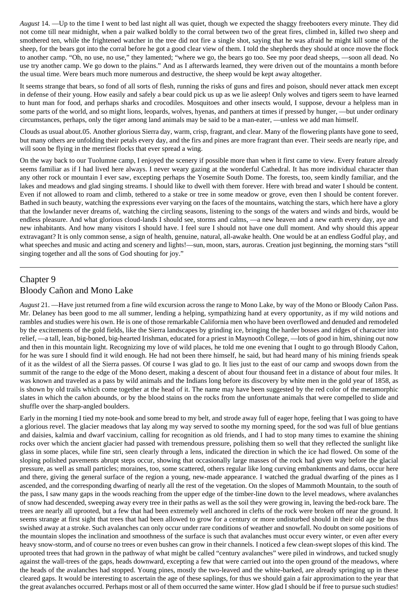*August* 14. —Up to the time I went to bed last night all was quiet, though we expected the shaggy freebooters every minute. They did not come till near midnight, when a pair walked boldly to the corral between two of the great fires, climbed in, killed two sheep and smothered ten, while the frightened watcher in the tree did not fire a single shot, saying that he was afraid he might kill some of the sheep, for the bears got into the corral before he got a good clear view of them. I told the shepherds they should at once move the flock to another camp. "Oh, no use, no use," they lamented; "where we go, the bears go too. See my poor dead sheeps, —soon all dead. No use try another camp. We go down to the plains." And as I afterwards learned, they were driven out of the mountains a month before the usual time. Were bears much more numerous and destructive, the sheep would be kept away altogether.

It seems strange that bears, so fond of all sorts of flesh, running the risks of guns and fires and poison, should never attack men except in defense of their young. How easily and safely a bear could pick us up as we lie asleep! Only wolves and tigers seem to have learned to hunt man for food, and perhaps sharks and crocodiles. Mosquitoes and other insects would, I suppose, devour a helpless man in some parts of the world, and so might lions, leopards, wolves, hyenas, and panthers at times if pressed by hunger, —but under ordinary circumstances, perhaps, only the tiger among land animals may be said to be a man-eater, —unless we add man himself.

Clouds as usual about.05. Another glorious Sierra day, warm, crisp, fragrant, and clear. Many of the flowering plants have gone to seed, but many others are unfolding their petals every day, and the firs and pines are more fragrant than ever. Their seeds are nearly ripe, and will soon be flying in the merriest flocks that ever spread a wing.

On the way back to our Tuolumne camp, I enjoyed the scenery if possible more than when it first came to view. Every feature already seems familiar as if I had lived here always. I never weary gazing at the wonderful Cathedral. It has more individual character than any other rock or mountain I ever saw, excepting perhaps the Yosemite South Dome. The forests, too, seem kindly familiar, and the lakes and meadows and glad singing streams. I should like to dwell with them forever. Here with bread and water I should be content. Even if not allowed to roam and climb, tethered to a stake or tree in some meadow or grove, even then I should be content forever. Bathed in such beauty, watching the expressions ever varying on the faces of the mountains, watching the stars, which here have a glory that the lowlander never dreams of, watching the circling seasons, listening to the songs of the waters and winds and birds, would be endless pleasure. And what glorious cloud-lands I should see, storms and calms, —a new heaven and a new earth every day, aye and new inhabitants. And how many visitors I should have. I feel sure I should not have one dull moment. And why should this appear extravagant? It is only common sense, a sign of health, genuine, natural, all-awake health. One would be at an endless Godful play, and what speeches and music and acting and scenery and lights!—sun, moon, stars, auroras. Creation just beginning, the morning stars "still singing together and all the sons of God shouting for joy."

# Chapter 9 Bloody Cañon and Mono Lake

*August* 21. —Have just returned from a fine wild excursion across the range to Mono Lake, by way of the Mono or Bloody Cañon Pass. Mr. Delaney has been good to me all summer, lending a helping, sympathizing hand at every opportunity, as if my wild notions and rambles and studies were his own. He is one of those remarkable California men who have been overflowed and denuded and remodeled by the excitements of the gold fields, like the Sierra landscapes by grinding ice, bringing the harder bosses and ridges of character into relief, —a tall, lean, big-boned, big-hearted Irishman, educated for a priest in Maynooth College, —lots of good in him, shining out now and then in this mountain light. Recognizing my love of wild places, he told me one evening that I ought to go through Bloody Cañon, for he was sure I should find it wild enough. He had not been there himself, he said, but had heard many of his mining friends speak of it as the wildest of all the Sierra passes. Of course I was glad to go. It lies just to the east of our camp and swoops down from the summit of the range to the edge of the Mono desert, making a descent of about four thousand feet in a distance of about four miles. It was known and traveled as a pass by wild animals and the Indians long before its discovery by white men in the gold year of 1858, as is shown by old trails which come together at the head of it. The name may have been suggested by the red color of the metamorphic slates in which the cañon abounds, or by the blood stains on the rocks from the unfortunate animals that were compelled to slide and shuffle over the sharp-angled boulders.

Early in the morning I tied my note-book and some bread to my belt, and strode away full of eager hope, feeling that I was going to have a glorious revel. The glacier meadows that lay along my way served to soothe my morning speed, for the sod was full of blue gentians and daisies, kalmia and dwarf vaccinium, calling for recognition as old friends, and I had to stop many times to examine the shining rocks over which the ancient glacier had passed with tremendous pressure, polishing them so well that they reflected the sunlight like glass in some places, while fine stri, seen clearly through a lens, indicated the direction in which the ice had flowed. On some of the sloping polished pavements abrupt steps occur, showing that occasionally large masses of the rock had given way before the glacial pressure, as well as small particles; moraines, too, some scattered, others regular like long curving embankments and dams, occur here and there, giving the general surface of the region a young, new-made appearance. I watched the gradual dwarfing of the pines as I ascended, and the corresponding dwarfing of nearly all the rest of the vegetation. On the slopes of Mammoth Mountain, to the south of the pass, I saw many gaps in the woods reaching from the upper edge of the timber-line down to the level meadows, where avalanches of snow had descended, sweeping away every tree in their paths as well as the soil they were growing in, leaving the bed-rock bare. The trees are nearly all uprooted, but a few that had been extremely well anchored in clefts of the rock were broken off near the ground. It seems strange at first sight that trees that had been allowed to grow for a century or more undisturbed should in their old age be thus swished away at a stroke. Such avalanches can only occur under rare conditions of weather and snowfall. No doubt on some positions of the mountain slopes the inclination and smoothness of the surface is such that avalanches must occur every winter, or even after every heavy snow-storm, and of course no trees or even bushes can grow in their channels. I noticed a few clean-swept slopes of this kind. The uprooted trees that had grown in the pathway of what might be called "century avalanches" were piled in windrows, and tucked snugly against the wall-trees of the gaps, heads downward, excepting a few that were carried out into the open ground of the meadows, where the heads of the avalanches had stopped. Young pines, mostly the two-leaved and the white-barked, are already springing up in these cleared gaps. It would be interesting to ascertain the age of these saplings, for thus we should gain a fair approximation to the year that the great avalanches occurred. Perhaps most or all of them occurred the same winter. How glad I should be if free to pursue such studies!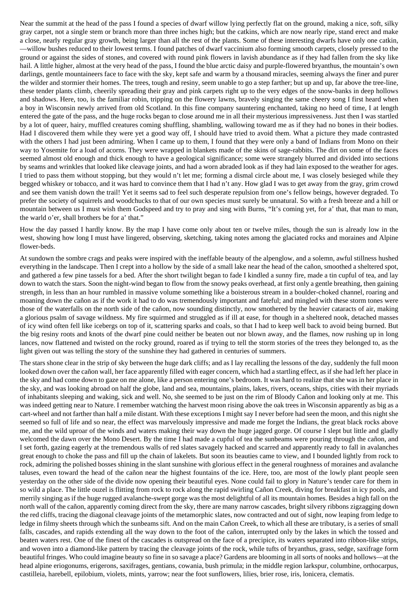Near the summit at the head of the pass I found a species of dwarf willow lying perfectly flat on the ground, making a nice, soft, silky gray carpet, not a single stem or branch more than three inches high; but the catkins, which are now nearly ripe, stand erect and make a close, nearly regular gray growth, being larger than all the rest of the plants. Some of these interesting dwarfs have only one catkin, —willow bushes reduced to their lowest terms. I found patches of dwarf vaccinium also forming smooth carpets, closely pressed to the ground or against the sides of stones, and covered with round pink flowers in lavish abundance as if they had fallen from the sky like hail. A little higher, almost at the very head of the pass, I found the blue arctic daisy and purple-flowered bryanthus, the mountain's own darlings, gentle mountaineers face to face with the sky, kept safe and warm by a thousand miracles, seeming always the finer and purer the wilder and stormier their homes. The trees, tough and resiny, seem unable to go a step farther; but up and up, far above the tree-line, these tender plants climb, cheerily spreading their gray and pink carpets right up to the very edges of the snow-banks in deep hollows and shadows. Here, too, is the familiar robin, tripping on the flowery lawns, bravely singing the same cheery song I first heard when a boy in Wisconsin newly arrived from old Scotland. In this fine company sauntering enchanted, taking no heed of time, I at length entered the gate of the pass, and the huge rocks began to close around me in all their mysterious impressiveness. Just then I was startled by a lot of queer, hairy, muffled creatures coming shuffling, shambling, wallowing toward me as if they had no bones in their bodies. Had I discovered them while they were yet a good way off, I should have tried to avoid them. What a picture they made contrasted with the others I had just been admiring. When I came up to them, I found that they were only a band of Indians from Mono on their way to Yosemite for a load of acorns. They were wrapped in blankets made of the skins of sage-rabbits. The dirt on some of the faces seemed almost old enough and thick enough to have a geological significance; some were strangely blurred and divided into sections by seams and wrinkles that looked like cleavage joints, and had a worn abraded look as if they had lain exposed to the weather for ages. I tried to pass them without stopping, but they would n't let me; forming a dismal circle about me, I was closely besieged while they begged whiskey or tobacco, and it was hard to convince them that I had n't any. How glad I was to get away from the gray, grim crowd and see them vanish down the trail! Yet it seems sad to feel such desperate repulsion from one's fellow beings, however degraded. To prefer the society of squirrels and woodchucks to that of our own species must surely be unnatural. So with a fresh breeze and a hill or mountain between us I must wish them Godspeed and try to pray and sing with Burns, "It's coming yet, for a' that, that man to man, the warld o'er, shall brothers be for a' that."

How the day passed I hardly know. By the map I have come only about ten or twelve miles, though the sun is already low in the west, showing how long I must have lingered, observing, sketching, taking notes among the glaciated rocks and moraines and Alpine flower-beds.

At sundown the sombre crags and peaks were inspired with the ineffable beauty of the alpenglow, and a solemn, awful stillness hushed everything in the landscape. Then I crept into a hollow by the side of a small lake near the head of the cañon, smoothed a sheltered spot, and gathered a few pine tassels for a bed. After the short twilight began to fade I kindled a sunny fire, made a tin cupful of tea, and lay down to watch the stars. Soon the night-wind began to flow from the snowy peaks overhead, at first only a gentle breathing, then gaining strength, in less than an hour rumbled in massive volume something like a boisterous stream in a boulder-choked channel, roaring and moaning down the cañon as if the work it had to do was tremendously important and fateful; and mingled with these storm tones were those of the waterfalls on the north side of the cañon, now sounding distinctly, now smothered by the heavier cataracts of air, making a glorious psalm of savage wildness. My fire squirmed and struggled as if ill at ease, for though in a sheltered nook, detached masses of icy wind often fell like icebergs on top of it, scattering sparks and coals, so that I had to keep well back to avoid being burned. But the big resiny roots and knots of the dwarf pine could neither be beaten out nor blown away, and the flames, now rushing up in long lances, now flattened and twisted on the rocky ground, roared as if trying to tell the storm stories of the trees they belonged to, as the light given out was telling the story of the sunshine they had gathered in centuries of summers.

The stars shone clear in the strip of sky between the huge dark cliffs; and as I lay recalling the lessons of the day, suddenly the full moon looked down over the cañon wall, her face apparently filled with eager concern, which had a startling effect, as if she had left her place in the sky and had come down to gaze on me alone, like a person entering one's bedroom. It was hard to realize that she was in her place in the sky, and was looking abroad on half the globe, land and sea, mountains, plains, lakes, rivers, oceans, ships, cities with their myriads of inhabitants sleeping and waking, sick and well. No, she seemed to be just on the rim of Bloody Cañon and looking only at me. This was indeed getting near to Nature. I remember watching the harvest moon rising above the oak trees in Wisconsin apparently as big as a cart-wheel and not farther than half a mile distant. With these exceptions I might say I never before had seen the moon, and this night she seemed so full of life and so near, the effect was marvelously impressive and made me forget the Indians, the great black rocks above me, and the wild uproar of the winds and waters making their way down the huge jagged gorge. Of course I slept but little and gladly welcomed the dawn over the Mono Desert. By the time I had made a cupful of tea the sunbeams were pouring through the cañon, and I set forth, gazing eagerly at the tremendous walls of red slates savagely hacked and scarred and apparently ready to fall in avalanches great enough to choke the pass and fill up the chain of lakelets. But soon its beauties came to view, and I bounded lightly from rock to rock, admiring the polished bosses shining in the slant sunshine with glorious effect in the general roughness of moraines and avalanche taluses, even toward the head of the cañon near the highest fountains of the ice. Here, too, are most of the lowly plant people seen yesterday on the other side of the divide now opening their beautiful eyes. None could fail to glory in Nature's tender care for them in so wild a place. The little ouzel is flitting from rock to rock along the rapid swirling Cañon Creek, diving for breakfast in icy pools, and merrily singing as if the huge rugged avalanche-swept gorge was the most delightful of all its mountain homes. Besides a high fall on the north wall of the cañon, apparently coming direct from the sky, there are many narrow cascades, bright silvery ribbons zigzagging down the red cliffs, tracing the diagonal cleavage joints of the metamorphic slates, now contracted and out of sight, now leaping from ledge to ledge in filmy sheets through which the sunbeams sift. And on the main Cañon Creek, to which all these are tributary, is a series of small falls, cascades, and rapids extending all the way down to the foot of the cañon, interrupted only by the lakes in which the tossed and beaten waters rest. One of the finest of the cascades is outspread on the face of a precipice, its waters separated into ribbon-like strips, and woven into a diamond-like pattern by tracing the cleavage joints of the rock, while tufts of bryanthus, grass, sedge, saxifrage form beautiful fringes. Who could imagine beauty so fine in so savage a place? Gardens are blooming in all sorts of nooks and hollows—at the head alpine eriogonums, erigerons, saxifrages, gentians, cowania, bush primula; in the middle region larkspur, columbine, orthocarpus, castilleia, harebell, epilobium, violets, mints, yarrow; near the foot sunflowers, lilies, brier rose, iris, lonicera, clematis.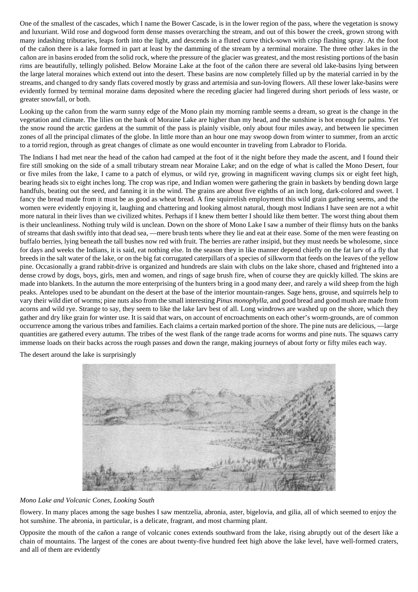One of the smallest of the cascades, which I name the Bower Cascade, is in the lower region of the pass, where the vegetation is snowy and luxuriant. Wild rose and dogwood form dense masses overarching the stream, and out of this bower the creek, grown strong with many indashing tributaries, leaps forth into the light, and descends in a fluted curve thick-sown with crisp flashing spray. At the foot of the cañon there is a lake formed in part at least by the damming of the stream by a terminal moraine. The three other lakes in the cañon are in basins eroded from the solid rock, where the pressure of the glacier was greatest, and the most resisting portions of the basin rims are beautifully, tellingly polished. Below Moraine Lake at the foot of the cañon there are several old lake-basins lying between the large lateral moraines which extend out into the desert. These basins are now completely filled up by the material carried in by the streams, and changed to dry sandy flats covered mostly by grass and artemisia and sun-loving flowers. All these lower lake-basins were evidently formed by terminal moraine dams deposited where the receding glacier had lingered during short periods of less waste, or greater snowfall, or both.

Looking up the cañon from the warm sunny edge of the Mono plain my morning ramble seems a dream, so great is the change in the vegetation and climate. The lilies on the bank of Moraine Lake are higher than my head, and the sunshine is hot enough for palms. Yet the snow round the arctic gardens at the summit of the pass is plainly visible, only about four miles away, and between lie specimen zones of all the principal climates of the globe. In little more than an hour one may swoop down from winter to summer, from an arctic to a torrid region, through as great changes of climate as one would encounter in traveling from Labrador to Florida.

The Indians I had met near the head of the cañon had camped at the foot of it the night before they made the ascent, and I found their fire still smoking on the side of a small tributary stream near Moraine Lake; and on the edge of what is called the Mono Desert, four or five miles from the lake, I came to a patch of elymus, or wild rye, growing in magnificent waving clumps six or eight feet high, bearing heads six to eight inches long. The crop was ripe, and Indian women were gathering the grain in baskets by bending down large handfuls, beating out the seed, and fanning it in the wind. The grains are about five eighths of an inch long, dark-colored and sweet. I fancy the bread made from it must be as good as wheat bread. A fine squirrelish employment this wild grain gathering seems, and the women were evidently enjoying it, laughing and chattering and looking almost natural, though most Indians I have seen are not a whit more natural in their lives than we civilized whites. Perhaps if I knew them better I should like them better. The worst thing about them is their uncleanliness. Nothing truly wild is unclean. Down on the shore of Mono Lake I saw a number of their flimsy huts on the banks of streams that dash swiftly into that dead sea, —mere brush tents where they lie and eat at their ease. Some of the men were feasting on buffalo berries, lying beneath the tall bushes now red with fruit. The berries are rather insipid, but they must needs be wholesome, since for days and weeks the Indians, it is said, eat nothing else. In the season they in like manner depend chiefly on the fat larv of a fly that breeds in the salt water of the lake, or on the big fat corrugated caterpillars of a species of silkworm that feeds on the leaves of the yellow pine. Occasionally a grand rabbit-drive is organized and hundreds are slain with clubs on the lake shore, chased and frightened into a dense crowd by dogs, boys, girls, men and women, and rings of sage brush fire, when of course they are quickly killed. The skins are made into blankets. In the autumn the more enterprising of the hunters bring in a good many deer, and rarely a wild sheep from the high peaks. Antelopes used to be abundant on the desert at the base of the interior mountain-ranges. Sage hens, grouse, and squirrels help to vary their wild diet of worms; pine nuts also from the small interesting *Pinus monophylla*, and good bread and good mush are made from acorns and wild rye. Strange to say, they seem to like the lake larv best of all. Long windrows are washed up on the shore, which they gather and dry like grain for winter use. It is said that wars, on account of encroachments on each other's worm-grounds, are of common occurrence among the various tribes and families. Each claims a certain marked portion of the shore. The pine nuts are delicious, —large quantities are gathered every autumn. The tribes of the west flank of the range trade acorns for worms and pine nuts. The squaws carry immense loads on their backs across the rough passes and down the range, making journeys of about forty or fifty miles each way.

The desert around the lake is surprisingly



## *Mono Lake and Volcanic Cones, Looking South*

flowery. In many places among the sage bushes I saw mentzelia, abronia, aster, bigelovia, and gilia, all of which seemed to enjoy the hot sunshine. The abronia, in particular, is a delicate, fragrant, and most charming plant.

Opposite the mouth of the cañon a range of volcanic cones extends southward from the lake, rising abruptly out of the desert like a chain of mountains. The largest of the cones are about twenty-five hundred feet high above the lake level, have well-formed craters, and all of them are evidently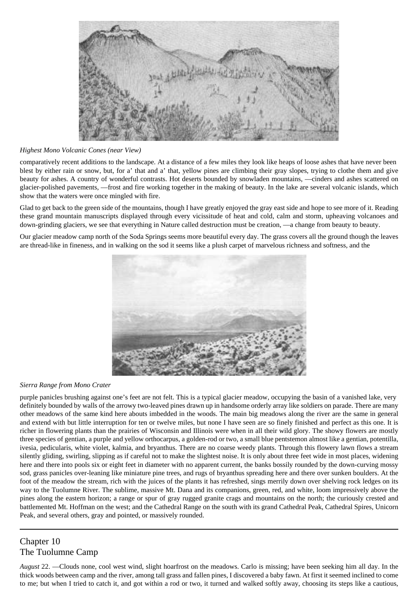

# *Highest Mono Volcanic Cones (near View)*

comparatively recent additions to the landscape. At a distance of a few miles they look like heaps of loose ashes that have never been blest by either rain or snow, but, for a' that and a' that, yellow pines are climbing their gray slopes, trying to clothe them and give beauty for ashes. A country of wonderful contrasts. Hot deserts bounded by snowladen mountains, —cinders and ashes scattered on glacier-polished pavements, —frost and fire working together in the making of beauty. In the lake are several volcanic islands, which show that the waters were once mingled with fire.

Glad to get back to the green side of the mountains, though I have greatly enjoyed the gray east side and hope to see more of it. Reading these grand mountain manuscripts displayed through every vicissitude of heat and cold, calm and storm, upheaving volcanoes and down-grinding glaciers, we see that everything in Nature called destruction must be creation, —a change from beauty to beauty.

Our glacier meadow camp north of the Soda Springs seems more beautiful every day. The grass covers all the ground though the leaves are thread-like in fineness, and in walking on the sod it seems like a plush carpet of marvelous richness and softness, and the



*Sierra Range from Mono Crater*

purple panicles brushing against one's feet are not felt. This is a typical glacier meadow, occupying the basin of a vanished lake, very definitely bounded by walls of the arrowy two-leaved pines drawn up in handsome orderly array like soldiers on parade. There are many other meadows of the same kind here abouts imbedded in the woods. The main big meadows along the river are the same in general and extend with but little interruption for ten or twelve miles, but none I have seen are so finely finished and perfect as this one. It is richer in flowering plants than the prairies of Wisconsin and Illinois were when in all their wild glory. The showy flowers are mostly three species of gentian, a purple and yellow orthocarpus, a golden-rod or two, a small blue pentstemon almost like a gentian, potentilla, ivesia, pedicularis, white violet, kalmia, and bryanthus. There are no coarse weedy plants. Through this flowery lawn flows a stream silently gliding, swirling, slipping as if careful not to make the slightest noise. It is only about three feet wide in most places, widening here and there into pools six or eight feet in diameter with no apparent current, the banks bossily rounded by the down-curving mossy sod, grass panicles over-leaning like miniature pine trees, and rugs of bryanthus spreading here and there over sunken boulders. At the foot of the meadow the stream, rich with the juices of the plants it has refreshed, sings merrily down over shelving rock ledges on its way to the Tuolumne River. The sublime, massive Mt. Dana and its companions, green, red, and white, loom impressively above the pines along the eastern horizon; a range or spur of gray rugged granite crags and mountains on the north; the curiously crested and battlemented Mt. Hoffman on the west; and the Cathedral Range on the south with its grand Cathedral Peak, Cathedral Spires, Unicorn Peak, and several others, gray and pointed, or massively rounded.

# Chapter 10 The Tuolumne Camp

*August* 22. —Clouds none, cool west wind, slight hoarfrost on the meadows. Carlo is missing; have been seeking him all day. In the thick woods between camp and the river, among tall grass and fallen pines, I discovered a baby fawn. At first it seemed inclined to come to me; but when I tried to catch it, and got within a rod or two, it turned and walked softly away, choosing its steps like a cautious,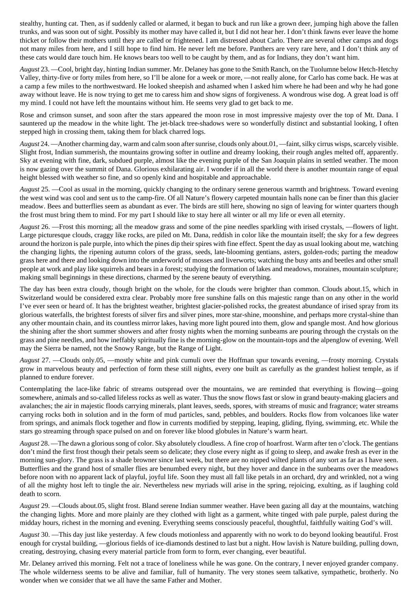stealthy, hunting cat. Then, as if suddenly called or alarmed, it began to buck and run like a grown deer, jumping high above the fallen trunks, and was soon out of sight. Possibly its mother may have called it, but I did not hear her. I don't think fawns ever leave the home thicket or follow their mothers until they are called or frightened. I am distressed about Carlo. There are several other camps and dogs not many miles from here, and I still hope to find him. He never left me before. Panthers are very rare here, and I don't think any of these cats would dare touch him. He knows bears too well to be caught by them, and as for Indians, they don't want him.

*August* 23. —Cool, bright day, hinting Indian summer. Mr. Delaney has gone to the Smith Ranch, on the Tuolumne below Hetch-Hetchy Valley, thirty-five or forty miles from here, so I'll be alone for a week or more, —not really alone, for Carlo has come back. He was at a camp a few miles to the northwestward. He looked sheepish and ashamed when I asked him where he had been and why he had gone away without leave. He is now trying to get me to caress him and show signs of forgiveness. A wondrous wise dog. A great load is off my mind. I could not have left the mountains without him. He seems very glad to get back to me.

Rose and crimson sunset, and soon after the stars appeared the moon rose in most impressive majesty over the top of Mt. Dana. I sauntered up the meadow in the white light. The jet-black tree-shadows were so wonderfully distinct and substantial looking, I often stepped high in crossing them, taking them for black charred logs.

*August* 24. —Another charming day, warm and calm soon after sunrise, clouds only about.01, —faint, silky cirrus wisps, scarcely visible. Slight frost, Indian summerish, the mountains growing softer in outline and dreamy looking, their rough angles melted off, apparently. Sky at evening with fine, dark, subdued purple, almost like the evening purple of the San Joaquin plains in settled weather. The moon is now gazing over the summit of Dana. Glorious exhilarating air. I wonder if in all the world there is another mountain range of equal height blessed with weather so fine, and so openly kind and hospitable and approachable.

*August* 25. —Cool as usual in the morning, quickly changing to the ordinary serene generous warmth and brightness. Toward evening the west wind was cool and sent us to the camp-fire. Of all Nature's flowery carpeted mountain halls none can be finer than this glacier meadow. Bees and butterflies seem as abundant as ever. The birds are still here, showing no sign of leaving for winter quarters though the frost must bring them to mind. For my part I should like to stay here all winter or all my life or even all eternity.

*August* 26. —Frost this morning; all the meadow grass and some of the pine needles sparkling with irised crystals, —flowers of light. Large picturesque clouds, craggy like rocks, are piled on Mt. Dana, reddish in color like the mountain itself; the sky for a few degrees around the horizon is pale purple, into which the pines dip their spires with fine effect. Spent the day as usual looking about me, watching the changing lights, the ripening autumn colors of the grass, seeds, late-blooming gentians, asters, golden-rods; parting the meadow grass here and there and looking down into the underworld of mosses and liverworts; watching the busy ants and beetles and other small people at work and play like squirrels and bears in a forest; studying the formation of lakes and meadows, moraines, mountain sculpture; making small beginnings in these directions, charmed by the serene beauty of everything.

The day has been extra cloudy, though bright on the whole, for the clouds were brighter than common. Clouds about.15, which in Switzerland would be considered extra clear. Probably more free sunshine falls on this majestic range than on any other in the world I've ever seen or heard of. It has the brightest weather, brightest glacier-polished rocks, the greatest abundance of irised spray from its glorious waterfalls, the brightest forests of silver firs and silver pines, more star-shine, moonshine, and perhaps more crystal-shine than any other mountain chain, and its countless mirror lakes, having more light poured into them, glow and spangle most. And how glorious the shining after the short summer showers and after frosty nights when the morning sunbeams are pouring through the crystals on the grass and pine needles, and how ineffably spiritually fine is the morning-glow on the mountain-tops and the alpenglow of evening. Well may the Sierra be named, not the Snowy Range, but the Range of Light.

*August* 27. —Clouds only.05, —mostly white and pink cumuli over the Hoffman spur towards evening, —frosty morning. Crystals grow in marvelous beauty and perfection of form these still nights, every one built as carefully as the grandest holiest temple, as if planned to endure forever.

Contemplating the lace-like fabric of streams outspread over the mountains, we are reminded that everything is flowing—going somewhere, animals and so-called lifeless rocks as well as water. Thus the snow flows fast or slow in grand beauty-making glaciers and avalanches; the air in majestic floods carrying minerals, plant leaves, seeds, spores, with streams of music and fragrance; water streams carrying rocks both in solution and in the form of mud particles, sand, pebbles, and boulders. Rocks flow from volcanoes like water from springs, and animals flock together and flow in currents modified by stepping, leaping, gliding, flying, swimming, etc. While the stars go streaming through space pulsed on and on forever like blood globules in Nature's warm heart.

*August* 28. —The dawn a glorious song of color. Sky absolutely cloudless. A fine crop of hoarfrost. Warm after ten o'clock. The gentians don't mind the first frost though their petals seem so delicate; they close every night as if going to sleep, and awake fresh as ever in the morning sun-glory. The grass is a shade browner since last week, but there are no nipped wilted plants of any sort as far as I have seen. Butterflies and the grand host of smaller flies are benumbed every night, but they hover and dance in the sunbeams over the meadows before noon with no apparent lack of playful, joyful life. Soon they must all fall like petals in an orchard, dry and wrinkled, not a wing of all the mighty host left to tingle the air. Nevertheless new myriads will arise in the spring, rejoicing, exulting, as if laughing cold death to scorn.

*August* 29. —Clouds about.05, slight frost. Bland serene Indian summer weather. Have been gazing all day at the mountains, watching the changing lights. More and more plainly are they clothed with light as a garment, white tinged with pale purple, palest during the midday hours, richest in the morning and evening. Everything seems consciously peaceful, thoughtful, faithfully waiting God's will.

*August* 30. —This day just like yesterday. A few clouds motionless and apparently with no work to do beyond looking beautiful. Frost enough for crystal building, —glorious fields of ice-diamonds destined to last but a night. How lavish is Nature building, pulling down, creating, destroying, chasing every material particle from form to form, ever changing, ever beautiful.

Mr. Delaney arrived this morning. Felt not a trace of loneliness while he was gone. On the contrary, I never enjoyed grander company. The whole wilderness seems to be alive and familiar, full of humanity. The very stones seem talkative, sympathetic, brotherly. No wonder when we consider that we all have the same Father and Mother.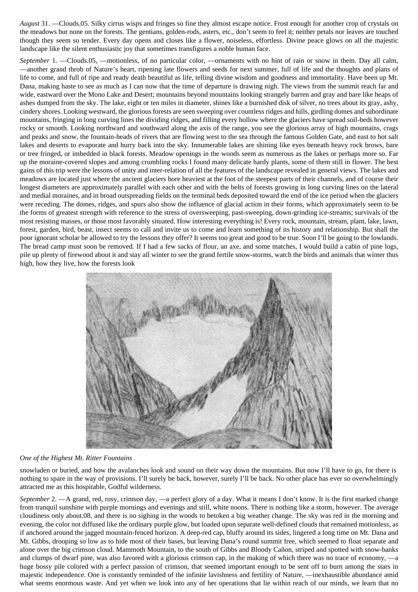*August* 31. —Clouds.05. Silky cirrus wisps and fringes so fine they almost escape notice. Frost enough for another crop of crystals on the meadows but none on the forests. The gentians, golden-rods, asters, etc., don't seem to feel it; neither petals nor leaves are touched though they seem so tender. Every day opens and closes like a flower, noiseless, effortless. Divine peace glows on all the majestic landscape like the silent enthusiastic joy that sometimes transfigures a noble human face.

*September* 1. —Clouds.05, —motionless, of no particular color, —ornaments with no hint of rain or snow in them. Day all calm, —another grand throb of Nature's heart, ripening late flowers and seeds for next summer, full of life and the thoughts and plans of life to come, and full of ripe and ready death beautiful as life, telling divine wisdom and goodness and immortality. Have been up Mt. Dana, making haste to see as much as I can now that the time of departure is drawing nigh. The views from the summit reach far and wide, eastward over the Mono Lake and Desert; mountains beyond mountains looking strangely barren and gray and bare like heaps of ashes dumped from the sky. The lake, eight or ten miles in diameter, shines like a burnished disk of silver, no trees about its gray, ashy, cindery shores. Looking westward, the glorious forests are seen sweeping over countless ridges and hills, girdling domes and subordinate mountains, fringing in long curving lines the dividing ridges, and filling every hollow where the glaciers have spread soil-beds however rocky or smooth. Looking northward and southward along the axis of the range, you see the glorious array of high mountains, crags and peaks and snow, the fountain-heads of rivers that are flowing west to the sea through the famous Golden Gate, and east to hot salt lakes and deserts to evaporate and hurry back into the sky. Innumerable lakes are shining like eyes beneath heavy rock brows, bare or tree fringed, or imbedded in black forests. Meadow openings in the woods seem as numerous as the lakes or perhaps more so. Far up the moraine-covered slopes and among crumbling rocks I found many delicate hardy plants, some of them still in flower. The best gains of this trip were the lessons of unity and inter-relation of all the features of the landscape revealed in general views. The lakes and meadows are located just where the ancient glaciers bore heaviest at the foot of the steepest parts of their channels, and of course their longest diameters are approximately parallel with each other and with the belts of forests growing in long curving lines on the lateral and medial moraines, and in broad outspreading fields on the terminal beds deposited toward the end of the ice period when the glaciers were receding. The domes, ridges, and spurs also show the influence of glacial action in their forms, which approximately seem to be the forms of greatest strength with reference to the stress of oversweeping, past-sweeping, down-grinding ice-streams; survivals of the most resisting masses, or those most favorably situated. How interesting everything is! Every rock, mountain, stream, plant, lake, lawn, forest, garden, bird, beast, insect seems to call and invite us to come and learn something of its history and relationship. But shall the poor ignorant scholar be allowed to try the lessons they offer? It seems too great and good to be true. Soon I'll be going to the lowlands. The bread camp must soon be removed. If I had a few sacks of flour, an axe, and some matches, I would build a cabin of pine logs, pile up plenty of firewood about it and stay all winter to see the grand fertile snow-storms, watch the birds and animals that winter thus high, how they live, how the forests look



# *One of the Highest Mt. Ritter Fountains*

snowladen or buried, and how the avalanches look and sound on their way down the mountains. But now I'll have to go, for there is nothing to spare in the way of provisions. I'll surely be back, however, surely I'll be back. No other place has ever so overwhelmingly attracted me as this hospitable, Godful wilderness.

*September* 2. —A grand, red, rosy, crimson day, —a perfect glory of a day. What it means I don't know. It is the first marked change from tranquil sunshine with purple mornings and evenings and still, white noons. There is nothing like a storm, however. The average cloudiness only about.08, and there is no sighing in the woods to betoken a big weather change. The sky was red in the morning and evening, the color not diffused like the ordinary purple glow, but loaded upon separate well-defined clouds that remained motionless, as if anchored around the jagged mountain-fenced horizon. A deep-red cap, bluffy around its sides, lingered a long time on Mt. Dana and Mt. Gibbs, drooping so low as to hide most of their bases, but leaving Dana's round summit free, which seemed to float separate and alone over the big crimson cloud. Mammoth Mountain, to the south of Gibbs and Bloody Cañon, striped and spotted with snow-banks and clumps of dwarf pine, was also favored with a glorious crimson cap, in the making of which there was no trace of economy, —a huge bossy pile colored with a perfect passion of crimson, that seemed important enough to be sent off to burn among the stars in majestic independence. One is constantly reminded of the infinite lavishness and fertility of Nature, —inexhaustible abundance amid what seems enormous waste. And yet when we look into any of her operations that lie within reach of our minds, we learn that no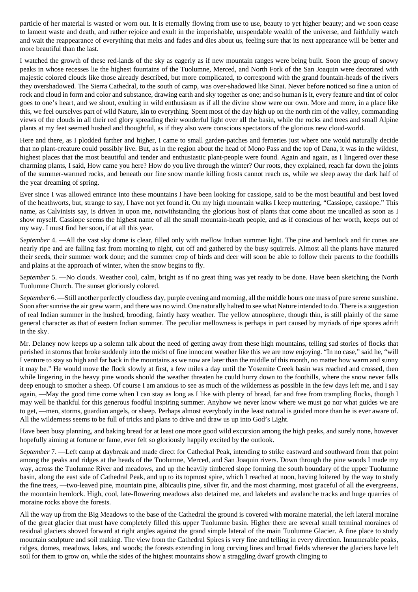particle of her material is wasted or worn out. It is eternally flowing from use to use, beauty to yet higher beauty; and we soon cease to lament waste and death, and rather rejoice and exult in the imperishable, unspendable wealth of the universe, and faithfully watch and wait the reappearance of everything that melts and fades and dies about us, feeling sure that its next appearance will be better and more beautiful than the last.

I watched the growth of these red-lands of the sky as eagerly as if new mountain ranges were being built. Soon the group of snowy peaks in whose recesses lie the highest fountains of the Tuolumne, Merced, and North Fork of the San Joaquin were decorated with majestic colored clouds like those already described, but more complicated, to correspond with the grand fountain-heads of the rivers they overshadowed. The Sierra Cathedral, to the south of camp, was over-shadowed like Sinai. Never before noticed so fine a union of rock and cloud in form and color and substance, drawing earth and sky together as one; and so human is it, every feature and tint of color goes to one's heart, and we shout, exulting in wild enthusiasm as if all the divine show were our own. More and more, in a place like this, we feel ourselves part of wild Nature, kin to everything. Spent most of the day high up on the north rim of the valley, commanding views of the clouds in all their red glory spreading their wonderful light over all the basin, while the rocks and trees and small Alpine plants at my feet seemed hushed and thoughtful, as if they also were conscious spectators of the glorious new cloud-world.

Here and there, as I plodded farther and higher, I came to small garden-patches and ferneries just where one would naturally decide that no plant-creature could possibly live. But, as in the region about the head of Mono Pass and the top of Dana, it was in the wildest, highest places that the most beautiful and tender and enthusiastic plant-people were found. Again and again, as I lingered over these charming plants, I said, How came you here? How do you live through the winter? Our roots, they explained, reach far down the joints of the summer-warmed rocks, and beneath our fine snow mantle killing frosts cannot reach us, while we sleep away the dark half of the year dreaming of spring.

Ever since I was allowed entrance into these mountains I have been looking for cassiope, said to be the most beautiful and best loved of the heathworts, but, strange to say, I have not yet found it. On my high mountain walks I keep muttering, "Cassiope, cassiope." This name, as Calvinists say, is driven in upon me, notwithstanding the glorious host of plants that come about me uncalled as soon as I show myself. Cassiope seems the highest name of all the small mountain-heath people, and as if conscious of her worth, keeps out of my way. I must find her soon, if at all this year.

*September* 4. —All the vast sky dome is clear, filled only with mellow Indian summer light. The pine and hemlock and fir cones are nearly ripe and are falling fast from morning to night, cut off and gathered by the busy squirrels. Almost all the plants have matured their seeds, their summer work done; and the summer crop of birds and deer will soon be able to follow their parents to the foothills and plains at the approach of winter, when the snow begins to fly.

*September* 5. —No clouds. Weather cool, calm, bright as if no great thing was yet ready to be done. Have been sketching the North Tuolumne Church. The sunset gloriously colored.

*September* 6. —Still another perfectly cloudless day, purple evening and morning, all the middle hours one mass of pure serene sunshine. Soon after sunrise the air grew warm, and there was no wind. One naturally halted to see what Nature intended to do. There is a suggestion of real Indian summer in the hushed, brooding, faintly hazy weather. The yellow atmosphere, though thin, is still plainly of the same general character as that of eastern Indian summer. The peculiar mellowness is perhaps in part caused by myriads of ripe spores adrift in the sky.

Mr. Delaney now keeps up a solemn talk about the need of getting away from these high mountains, telling sad stories of flocks that perished in storms that broke suddenly into the midst of fine innocent weather like this we are now enjoying. "In no case," said he, "will I venture to stay so high and far back in the mountains as we now are later than the middle of this month, no matter how warm and sunny it may be." He would move the flock slowly at first, a few miles a day until the Yosemite Creek basin was reached and crossed, then while lingering in the heavy pine woods should the weather threaten he could hurry down to the foothills, where the snow never falls deep enough to smother a sheep. Of course I am anxious to see as much of the wilderness as possible in the few days left me, and I say again, —May the good time come when I can stay as long as I like with plenty of bread, far and free from trampling flocks, though I may well be thankful for this generous foodful inspiring summer. Anyhow we never know where we must go nor what guides we are to get, —men, storms, guardian angels, or sheep. Perhaps almost everybody in the least natural is guided more than he is ever aware of. All the wilderness seems to be full of tricks and plans to drive and draw us up into God's Light.

Have been busy planning, and baking bread for at least one more good wild excursion among the high peaks, and surely none, however hopefully aiming at fortune or fame, ever felt so gloriously happily excited by the outlook.

*September* 7. —Left camp at daybreak and made direct for Cathedral Peak, intending to strike eastward and southward from that point among the peaks and ridges at the heads of the Tuolumne, Merced, and San Joaquin rivers. Down through the pine woods I made my way, across the Tuolumne River and meadows, and up the heavily timbered slope forming the south boundary of the upper Tuolumne basin, along the east side of Cathedral Peak, and up to its topmost spire, which I reached at noon, having loitered by the way to study the fine trees, —two-leaved pine, mountain pine, albicaulis pine, silver fir, and the most charming, most graceful of all the evergreens, the mountain hemlock. High, cool, late-flowering meadows also detained me, and lakelets and avalanche tracks and huge quarries of moraine rocks above the forests.

All the way up from the Big Meadows to the base of the Cathedral the ground is covered with moraine material, the left lateral moraine of the great glacier that must have completely filled this upper Tuolumne basin. Higher there are several small terminal moraines of residual glaciers shoved forward at right angles against the grand simple lateral of the main Tuolumne Glacier. A fine place to study mountain sculpture and soil making. The view from the Cathedral Spires is very fine and telling in every direction. Innumerable peaks, ridges, domes, meadows, lakes, and woods; the forests extending in long curving lines and broad fields wherever the glaciers have left soil for them to grow on, while the sides of the highest mountains show a straggling dwarf growth clinging to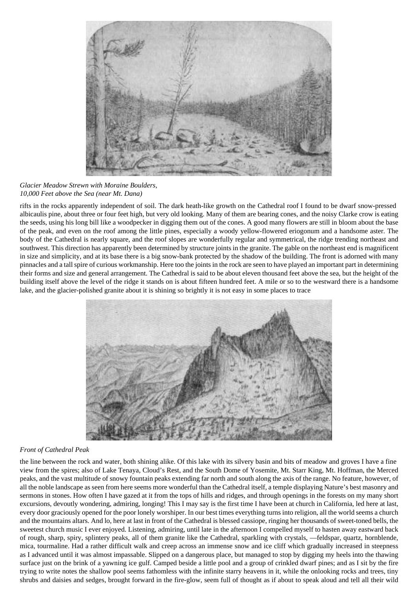

*Glacier Meadow Strewn with Moraine Boulders, 10,000 Feet above the Sea (near Mt. Dana)*

rifts in the rocks apparently independent of soil. The dark heath-like growth on the Cathedral roof I found to be dwarf snow-pressed albicaulis pine, about three or four feet high, but very old looking. Many of them are bearing cones, and the noisy Clarke crow is eating the seeds, using his long bill like a woodpecker in digging them out of the cones. A good many flowers are still in bloom about the base of the peak, and even on the roof among the little pines, especially a woody yellow-flowered eriogonum and a handsome aster. The body of the Cathedral is nearly square, and the roof slopes are wonderfully regular and symmetrical, the ridge trending northeast and southwest. This direction has apparently been determined by structure joints in the granite. The gable on the northeast end is magnificent in size and simplicity, and at its base there is a big snow-bank protected by the shadow of the building. The front is adorned with many pinnacles and a tall spire of curious workmanship. Here too the joints in the rock are seen to have played an important part in determining their forms and size and general arrangement. The Cathedral is said to be about eleven thousand feet above the sea, but the height of the building itself above the level of the ridge it stands on is about fifteen hundred feet. A mile or so to the westward there is a handsome lake, and the glacier-polished granite about it is shining so brightly it is not easy in some places to trace



# *Front of Cathedral Peak*

the line between the rock and water, both shining alike. Of this lake with its silvery basin and bits of meadow and groves I have a fine view from the spires; also of Lake Tenaya, Cloud's Rest, and the South Dome of Yosemite, Mt. Starr King, Mt. Hoffman, the Merced peaks, and the vast multitude of snowy fountain peaks extending far north and south along the axis of the range. No feature, however, of all the noble landscape as seen from here seems more wonderful than the Cathedral itself, a temple displaying Nature's best masonry and sermons in stones. How often I have gazed at it from the tops of hills and ridges, and through openings in the forests on my many short excursions, devoutly wondering, admiring, longing! This I may say is the first time I have been at church in California, led here at last, every door graciously opened for the poor lonely worshiper. In our best times everything turns into religion, all the world seems a church and the mountains altars. And lo, here at last in front of the Cathedral is blessed cassiope, ringing her thousands of sweet-toned bells, the sweetest church music I ever enjoyed. Listening, admiring, until late in the afternoon I compelled myself to hasten away eastward back of rough, sharp, spiry, splintery peaks, all of them granite like the Cathedral, sparkling with crystals, —feldspar, quartz, hornblende, mica, tourmaline. Had a rather difficult walk and creep across an immense snow and ice cliff which gradually increased in steepness as I advanced until it was almost impassable. Slipped on a dangerous place, but managed to stop by digging my heels into the thawing surface just on the brink of a yawning ice gulf. Camped beside a little pool and a group of crinkled dwarf pines; and as I sit by the fire trying to write notes the shallow pool seems fathomless with the infinite starry heavens in it, while the onlooking rocks and trees, tiny shrubs and daisies and sedges, brought forward in the fire-glow, seem full of thought as if about to speak aloud and tell all their wild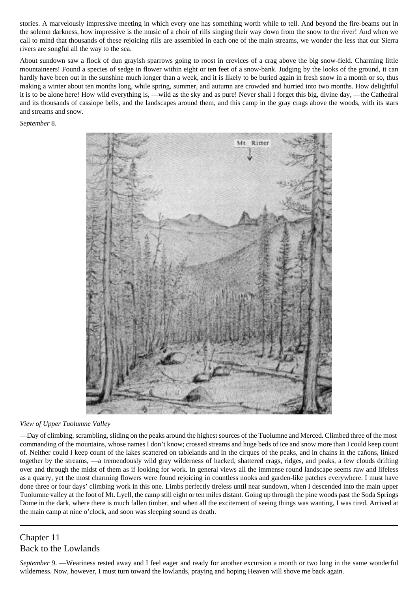stories. A marvelously impressive meeting in which every one has something worth while to tell. And beyond the fire-beams out in the solemn darkness, how impressive is the music of a choir of rills singing their way down from the snow to the river! And when we call to mind that thousands of these rejoicing rills are assembled in each one of the main streams, we wonder the less that our Sierra rivers are songful all the way to the sea.

About sundown saw a flock of dun grayish sparrows going to roost in crevices of a crag above the big snow-field. Charming little mountaineers! Found a species of sedge in flower within eight or ten feet of a snow-bank. Judging by the looks of the ground, it can hardly have been out in the sunshine much longer than a week, and it is likely to be buried again in fresh snow in a month or so, thus making a winter about ten months long, while spring, summer, and autumn are crowded and hurried into two months. How delightful it is to be alone here! How wild everything is, —wild as the sky and as pure! Never shall I forget this big, divine day, —the Cathedral and its thousands of cassiope bells, and the landscapes around them, and this camp in the gray crags above the woods, with its stars and streams and snow.

*September* 8.



## *View of Upper Tuolumne Valley*

—Day of climbing, scrambling, sliding on the peaks around the highest sources of the Tuolumne and Merced. Climbed three of the most commanding of the mountains, whose names I don't know; crossed streams and huge beds of ice and snow more than I could keep count of. Neither could I keep count of the lakes scattered on tablelands and in the cirques of the peaks, and in chains in the cañons, linked together by the streams, —a tremendously wild gray wilderness of hacked, shattered crags, ridges, and peaks, a few clouds drifting over and through the midst of them as if looking for work. In general views all the immense round landscape seems raw and lifeless as a quarry, yet the most charming flowers were found rejoicing in countless nooks and garden-like patches everywhere. I must have done three or four days' climbing work in this one. Limbs perfectly tireless until near sundown, when I descended into the main upper Tuolumne valley at the foot of Mt. Lyell, the camp still eight or ten miles distant. Going up through the pine woods past the Soda Springs Dome in the dark, where there is much fallen timber, and when all the excitement of seeing things was wanting, I was tired. Arrived at the main camp at nine o'clock, and soon was sleeping sound as death.

# Chapter 11 Back to the Lowlands

*September* 9. —Weariness rested away and I feel eager and ready for another excursion a month or two long in the same wonderful wilderness. Now, however, I must turn toward the lowlands, praying and hoping Heaven will shove me back again.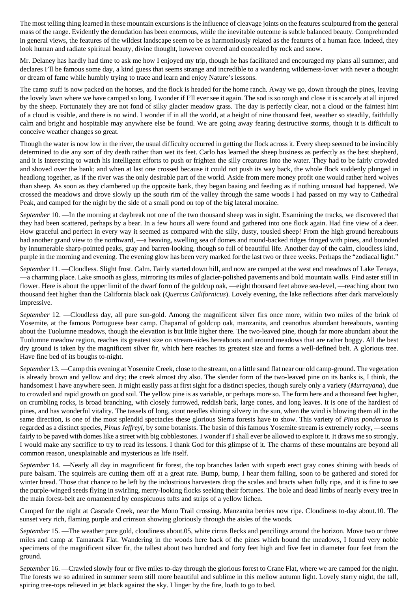The most telling thing learned in these mountain excursions is the influence of cleavage joints on the features sculptured from the general mass of the range. Evidently the denudation has been enormous, while the inevitable outcome is subtle balanced beauty. Comprehended in general views, the features of the wildest landscape seem to be as harmoniously related as the features of a human face. Indeed, they look human and radiate spiritual beauty, divine thought, however covered and concealed by rock and snow.

Mr. Delaney has hardly had time to ask me how I enjoyed my trip, though he has facilitated and encouraged my plans all summer, and declares I'll be famous some day, a kind guess that seems strange and incredible to a wandering wilderness-lover with never a thought or dream of fame while humbly trying to trace and learn and enjoy Nature's lessons.

The camp stuff is now packed on the horses, and the flock is headed for the home ranch. Away we go, down through the pines, leaving the lovely lawn where we have camped so long. I wonder if I'll ever see it again. The sod is so tough and close it is scarcely at all injured by the sheep. Fortunately they are not fond of silky glacier meadow grass. The day is perfectly clear, not a cloud or the faintest hint of a cloud is visible, and there is no wind. I wonder if in all the world, at a height of nine thousand feet, weather so steadily, faithfully calm and bright and hospitable may anywhere else be found. We are going away fearing destructive storms, though it is difficult to conceive weather changes so great.

Though the water is now low in the river, the usual difficulty occurred in getting the flock across it. Every sheep seemed to be invincibly determined to die any sort of dry death rather than wet its feet. Carlo has learned the sheep business as perfectly as the best shepherd, and it is interesting to watch his intelligent efforts to push or frighten the silly creatures into the water. They had to be fairly crowded and shoved over the bank; and when at last one crossed because it could not push its way back, the whole flock suddenly plunged in headlong together, as if the river was the only desirable part of the world. Aside from mere money profit one would rather herd wolves than sheep. As soon as they clambered up the opposite bank, they began baaing and feeding as if nothing unusual had happened. We crossed the meadows and drove slowly up the south rim of the valley through the same woods I had passed on my way to Cathedral Peak, and camped for the night by the side of a small pond on top of the big lateral moraine.

*September* 10. —In the morning at daybreak not one of the two thousand sheep was in sight. Examining the tracks, we discovered that they had been scattered, perhaps by a bear. In a few hours all were found and gathered into one flock again. Had fine view of a deer. How graceful and perfect in every way it seemed as compared with the silly, dusty, tousled sheep! From the high ground hereabouts had another grand view to the northward, —a heaving, swelling sea of domes and round-backed ridges fringed with pines, and bounded by innumerable sharp-pointed peaks, gray and barren-looking, though so full of beautiful life. Another day of the calm, cloudless kind, purple in the morning and evening. The evening glow has been very marked for the last two or three weeks. Perhaps the "zodiacal light."

*September* 11. —Cloudless. Slight frost. Calm. Fairly started down hill, and now are camped at the west end meadows of Lake Tenaya, —a charming place. Lake smooth as glass, mirroring its miles of glacier-polished pavements and bold mountain walls. Find aster still in flower. Here is about the upper limit of the dwarf form of the goldcup oak, —eight thousand feet above sea-level, —reaching about two thousand feet higher than the California black oak (*Quercus Californicus*). Lovely evening, the lake reflections after dark marvelously impressive.

*September* 12. —Cloudless day, all pure sun-gold. Among the magnificent silver firs once more, within two miles of the brink of Yosemite, at the famous Portuguese bear camp. Chaparral of goldcup oak, manzanita, and ceanothus abundant hereabouts, wanting about the Tuolumne meadows, though the elevation is but little higher there. The two-leaved pine, though far more abundant about the Tuolumne meadow region, reaches its greatest size on stream-sides hereabouts and around meadows that are rather boggy. All the best dry ground is taken by the magnificent silver fir, which here reaches its greatest size and forms a well-defined belt. A glorious tree. Have fine bed of its boughs to-night.

*September* 13. —Camp this evening at Yosemite Creek, close to the stream, on a little sand flat near our old camp-ground. The vegetation is already brown and yellow and dry; the creek almost dry also. The slender form of the two-leaved pine on its banks is, I think, the handsomest I have anywhere seen. It might easily pass at first sight for a distinct species, though surely only a variety (*Murrayana*), due to crowded and rapid growth on good soil. The yellow pine is as variable, or perhaps more so. The form here and a thousand feet higher, on crumbling rocks, is broad branching, with closely furrowed, reddish bark, large cones, and long leaves. It is one of the hardiest of pines, and has wonderful vitality. The tassels of long, stout needles shining silvery in the sun, when the wind is blowing them all in the same direction, is one of the most splendid spectacles these glorious Sierra forests have to show. This variety of *Pinus ponderosa* is regarded as a distinct species, *Pinus Jeffreyi*, by some botanists. The basin of this famous Yosemite stream is extremely rocky, —seems fairly to be paved with domes like a street with big cobblestones. I wonder if I shall ever be allowed to explore it. It draws me so strongly, I would make any sacrifice to try to read its lessons. I thank God for this glimpse of it. The charms of these mountains are beyond all common reason, unexplainable and mysterious as life itself.

*September* 14. —Nearly all day in magnificent fir forest, the top branches laden with superb erect gray cones shining with beads of pure balsam. The squirrels are cutting them off at a great rate. Bump, bump, I hear them falling, soon to be gathered and stored for winter bread. Those that chance to be left by the industrious harvesters drop the scales and bracts when fully ripe, and it is fine to see the purple-winged seeds flying in swirling, merry-looking flocks seeking their fortunes. The bole and dead limbs of nearly every tree in the main forest-belt are ornamented by conspicuous tufts and strips of a yellow lichen.

Camped for the night at Cascade Creek, near the Mono Trail crossing. Manzanita berries now ripe. Cloudiness to-day about.10. The sunset very rich, flaming purple and crimson showing gloriously through the aisles of the woods.

*September* 15. —The weather pure gold, cloudiness about.05, white cirrus flecks and pencilings around the horizon. Move two or three miles and camp at Tamarack Flat. Wandering in the woods here back of the pines which bound the meadows, I found very noble specimens of the magnificent silver fir, the tallest about two hundred and forty feet high and five feet in diameter four feet from the ground.

*September* 16. —Crawled slowly four or five miles to-day through the glorious forest to Crane Flat, where we are camped for the night. The forests we so admired in summer seem still more beautiful and sublime in this mellow autumn light. Lovely starry night, the tall, spiring tree-tops relieved in jet black against the sky. I linger by the fire, loath to go to bed.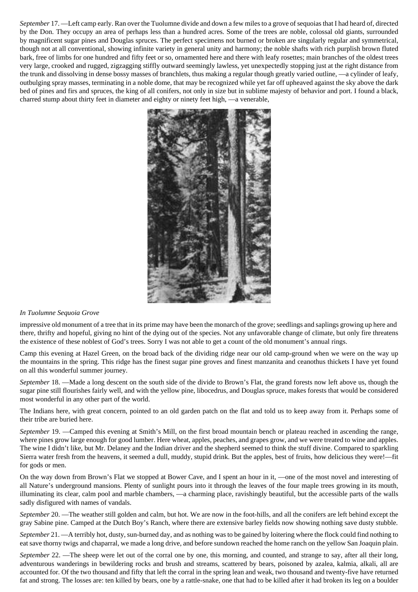*September* 17. —Left camp early. Ran over the Tuolumne divide and down a few miles to a grove of sequoias that I had heard of, directed by the Don. They occupy an area of perhaps less than a hundred acres. Some of the trees are noble, colossal old giants, surrounded by magnificent sugar pines and Douglas spruces. The perfect specimens not burned or broken are singularly regular and symmetrical, though not at all conventional, showing infinite variety in general unity and harmony; the noble shafts with rich purplish brown fluted bark, free of limbs for one hundred and fifty feet or so, ornamented here and there with leafy rosettes; main branches of the oldest trees very large, crooked and rugged, zigzagging stiffly outward seemingly lawless, yet unexpectedly stopping just at the right distance from the trunk and dissolving in dense bossy masses of branchlets, thus making a regular though greatly varied outline, —a cylinder of leafy, outbulging spray masses, terminating in a noble dome, that may be recognized while yet far off upheaved against the sky above the dark bed of pines and firs and spruces, the king of all conifers, not only in size but in sublime majesty of behavior and port. I found a black, charred stump about thirty feet in diameter and eighty or ninety feet high, —a venerable,



## *In Tuolumne Sequoia Grove*

impressive old monument of a tree that in its prime may have been the monarch of the grove; seedlings and saplings growing up here and there, thrifty and hopeful, giving no hint of the dying out of the species. Not any unfavorable change of climate, but only fire threatens the existence of these noblest of God's trees. Sorry I was not able to get a count of the old monument's annual rings.

Camp this evening at Hazel Green, on the broad back of the dividing ridge near our old camp-ground when we were on the way up the mountains in the spring. This ridge has the finest sugar pine groves and finest manzanita and ceanothus thickets I have yet found on all this wonderful summer journey.

*September* 18. —Made a long descent on the south side of the divide to Brown's Flat, the grand forests now left above us, though the sugar pine still flourishes fairly well, and with the yellow pine, libocedrus, and Douglas spruce, makes forests that would be considered most wonderful in any other part of the world.

The Indians here, with great concern, pointed to an old garden patch on the flat and told us to keep away from it. Perhaps some of their tribe are buried here.

*September* 19. —Camped this evening at Smith's Mill, on the first broad mountain bench or plateau reached in ascending the range, where pines grow large enough for good lumber. Here wheat, apples, peaches, and grapes grow, and we were treated to wine and apples. The wine I didn't like, but Mr. Delaney and the Indian driver and the shepherd seemed to think the stuff divine. Compared to sparkling Sierra water fresh from the heavens, it seemed a dull, muddy, stupid drink. But the apples, best of fruits, how delicious they were!—fit for gods or men.

On the way down from Brown's Flat we stopped at Bower Cave, and I spent an hour in it, —one of the most novel and interesting of all Nature's underground mansions. Plenty of sunlight pours into it through the leaves of the four maple trees growing in its mouth, illuminating its clear, calm pool and marble chambers, —a charming place, ravishingly beautiful, but the accessible parts of the walls sadly disfigured with names of vandals.

*September* 20. —The weather still golden and calm, but hot. We are now in the foot-hills, and all the conifers are left behind except the gray Sabine pine. Camped at the Dutch Boy's Ranch, where there are extensive barley fields now showing nothing save dusty stubble.

*September* 21. —A terribly hot, dusty, sun-burned day, and as nothing was to be gained by loitering where the flock could find nothing to eat save thorny twigs and chaparral, we made a long drive, and before sundown reached the home ranch on the yellow San Joaquin plain.

*September* 22. —The sheep were let out of the corral one by one, this morning, and counted, and strange to say, after all their long, adventurous wanderings in bewildering rocks and brush and streams, scattered by bears, poisoned by azalea, kalmia, alkali, all are accounted for. Of the two thousand and fifty that left the corral in the spring lean and weak, two thousand and twenty-five have returned fat and strong. The losses are: ten killed by bears, one by a rattle-snake, one that had to be killed after it had broken its leg on a boulder